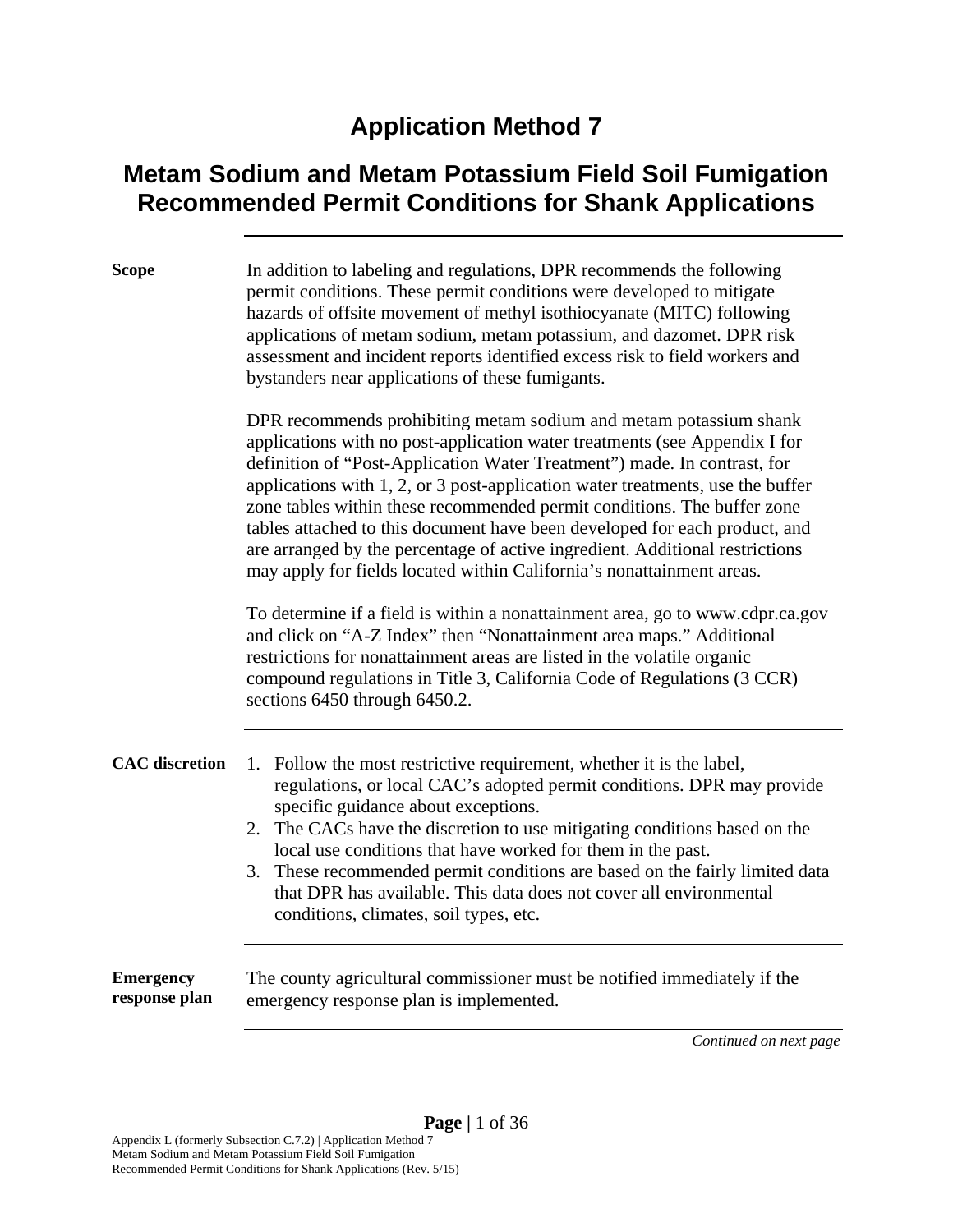#### **Application Method 7**

#### **Metam Sodium and Metam Potassium Field Soil Fumigation Recommended Permit Conditions for Shank Applications**

| <b>Scope</b>          | In addition to labeling and regulations, DPR recommends the following<br>permit conditions. These permit conditions were developed to mitigate<br>hazards of offsite movement of methyl isothiocyanate (MITC) following<br>applications of metam sodium, metam potassium, and dazomet. DPR risk<br>assessment and incident reports identified excess risk to field workers and<br>bystanders near applications of these fumigants.                                                                                                                                                                                              |  |
|-----------------------|---------------------------------------------------------------------------------------------------------------------------------------------------------------------------------------------------------------------------------------------------------------------------------------------------------------------------------------------------------------------------------------------------------------------------------------------------------------------------------------------------------------------------------------------------------------------------------------------------------------------------------|--|
|                       | DPR recommends prohibiting metam sodium and metam potassium shank<br>applications with no post-application water treatments (see Appendix I for<br>definition of "Post-Application Water Treatment") made. In contrast, for<br>applications with 1, 2, or 3 post-application water treatments, use the buffer<br>zone tables within these recommended permit conditions. The buffer zone<br>tables attached to this document have been developed for each product, and<br>are arranged by the percentage of active ingredient. Additional restrictions<br>may apply for fields located within California's nonattainment areas. |  |
|                       | To determine if a field is within a nonattainment area, go to www.cdpr.ca.gov<br>and click on "A-Z Index" then "Nonattainment area maps." Additional<br>restrictions for nonattainment areas are listed in the volatile organic<br>compound regulations in Title 3, California Code of Regulations (3 CCR)<br>sections 6450 through 6450.2.                                                                                                                                                                                                                                                                                     |  |
| <b>CAC</b> discretion | Follow the most restrictive requirement, whether it is the label,<br>1.<br>regulations, or local CAC's adopted permit conditions. DPR may provide<br>specific guidance about exceptions.<br>2. The CACs have the discretion to use mitigating conditions based on the<br>local use conditions that have worked for them in the past.<br>3. These recommended permit conditions are based on the fairly limited data<br>that DPR has available. This data does not cover all environmental<br>conditions, climates, soil types, etc.                                                                                             |  |

**Emergency response plan**  The county agricultural commissioner must be notified immediately if the emergency response plan is implemented.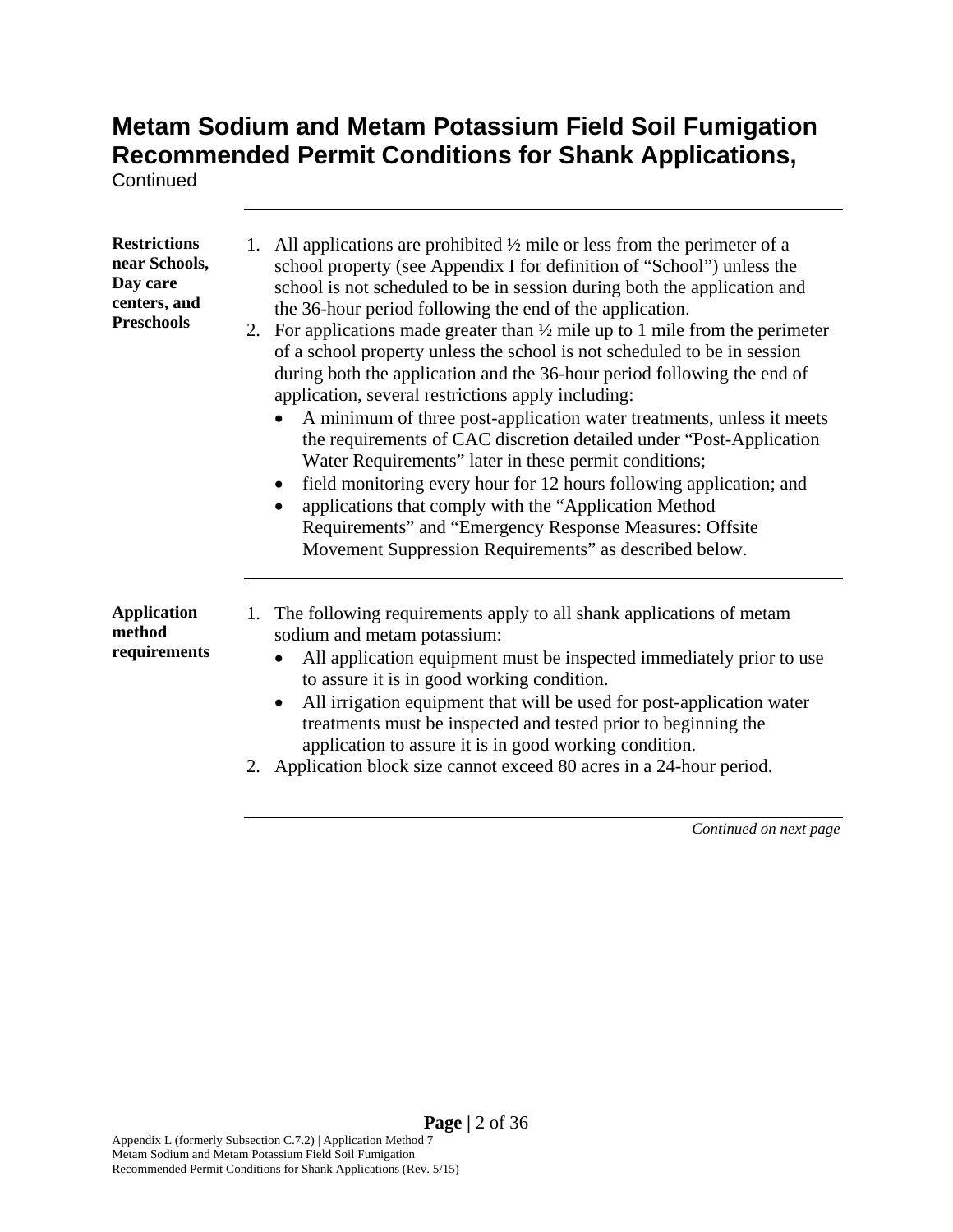**Continued** 

| <b>Restrictions</b><br>near Schools,<br>Day care<br>centers, and<br><b>Preschools</b> | All applications are prohibited $\frac{1}{2}$ mile or less from the perimeter of a<br>1.<br>school property (see Appendix I for definition of "School") unless the<br>school is not scheduled to be in session during both the application and<br>the 36-hour period following the end of the application.<br>2. For applications made greater than $\frac{1}{2}$ mile up to 1 mile from the perimeter<br>of a school property unless the school is not scheduled to be in session<br>during both the application and the 36-hour period following the end of<br>application, several restrictions apply including:<br>A minimum of three post-application water treatments, unless it meets<br>the requirements of CAC discretion detailed under "Post-Application"<br>Water Requirements" later in these permit conditions;<br>field monitoring every hour for 12 hours following application; and<br>applications that comply with the "Application Method<br>Requirements" and "Emergency Response Measures: Offsite<br>Movement Suppression Requirements" as described below. |
|---------------------------------------------------------------------------------------|------------------------------------------------------------------------------------------------------------------------------------------------------------------------------------------------------------------------------------------------------------------------------------------------------------------------------------------------------------------------------------------------------------------------------------------------------------------------------------------------------------------------------------------------------------------------------------------------------------------------------------------------------------------------------------------------------------------------------------------------------------------------------------------------------------------------------------------------------------------------------------------------------------------------------------------------------------------------------------------------------------------------------------------------------------------------------------|
| <b>Application</b><br>method<br>requirements                                          | The following requirements apply to all shank applications of metam<br>1.<br>sodium and metam potassium:<br>All application equipment must be inspected immediately prior to use<br>$\bullet$<br>to assure it is in good working condition.<br>All irrigation equipment that will be used for post-application water<br>$\bullet$<br>treatments must be inspected and tested prior to beginning the<br>application to assure it is in good working condition.<br>2. Application block size cannot exceed 80 acres in a 24-hour period.                                                                                                                                                                                                                                                                                                                                                                                                                                                                                                                                             |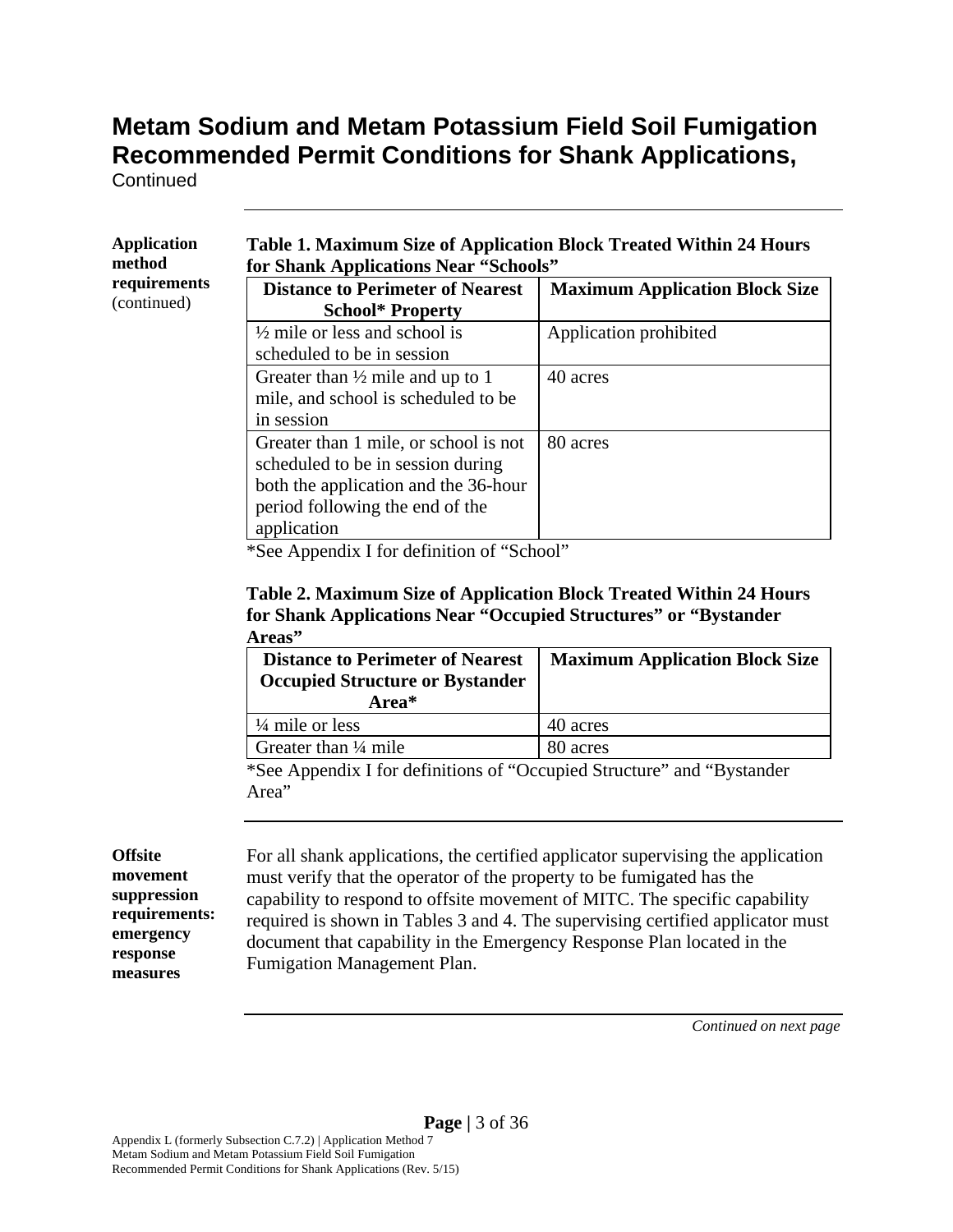**Continued** 

| <b>Application</b><br>method | Table 1. Maximum Size of Application Block Treated Within 24 Hours<br>for Shank Applications Near "Schools"                                           |                                       |  |
|------------------------------|-------------------------------------------------------------------------------------------------------------------------------------------------------|---------------------------------------|--|
| requirements<br>(continued)  | <b>Distance to Perimeter of Nearest</b><br><b>School* Property</b>                                                                                    | <b>Maximum Application Block Size</b> |  |
|                              | $\frac{1}{2}$ mile or less and school is<br>scheduled to be in session                                                                                | Application prohibited                |  |
|                              | Greater than $\frac{1}{2}$ mile and up to 1<br>mile, and school is scheduled to be<br>in session                                                      | 40 acres                              |  |
|                              | Greater than 1 mile, or school is not<br>scheduled to be in session during<br>both the application and the 36-hour<br>period following the end of the | 80 acres                              |  |
|                              | application<br>$\cdots$ $\cdots$                                                                                                                      |                                       |  |

\*See Appendix I for definition of "School"

#### **Table 2. Maximum Size of Application Block Treated Within 24 Hours for Shank Applications Near "Occupied Structures" or "Bystander Areas"**

| <b>Distance to Perimeter of Nearest</b><br><b>Occupied Structure or Bystander</b><br>Area* | <b>Maximum Application Block Size</b> |
|--------------------------------------------------------------------------------------------|---------------------------------------|
| $\frac{1}{4}$ mile or less                                                                 | 40 acres                              |
| Greater than $\frac{1}{4}$ mile                                                            | 80 acres                              |

\*See Appendix I for definitions of "Occupied Structure" and "Bystander Area"

#### **Offsite movement suppression requirements: emergency response measures**

For all shank applications, the certified applicator supervising the application must verify that the operator of the property to be fumigated has the capability to respond to offsite movement of MITC. The specific capability required is shown in Tables 3 and 4. The supervising certified applicator must document that capability in the Emergency Response Plan located in the Fumigation Management Plan.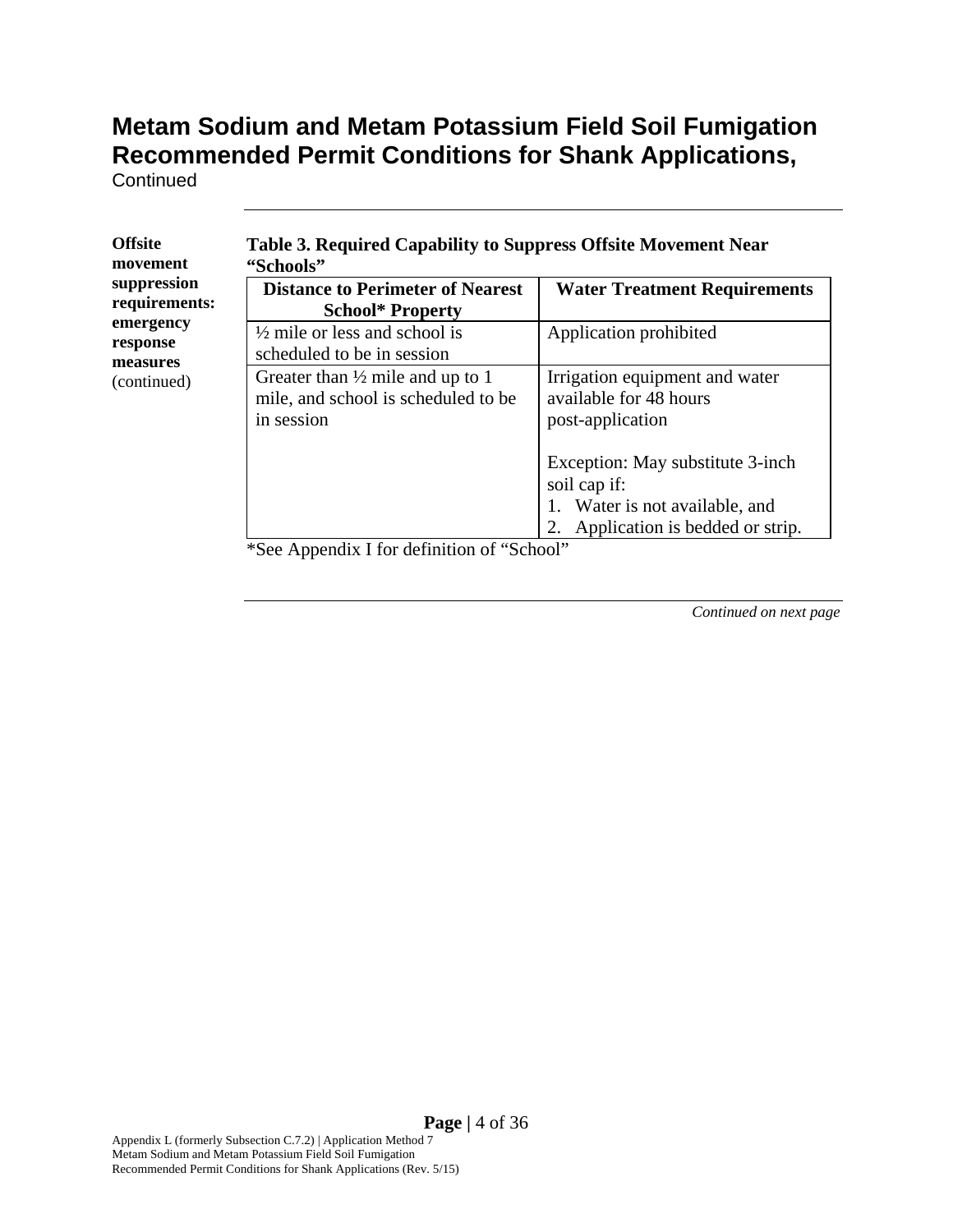**Continued** 

| suppression<br>requirements:<br>emergency<br>response<br>measures<br>(continued) | <b>Distance to Perimeter of Nearest</b><br><b>School* Property</b>                               | <b>Water Treatment Requirements</b>                                                                                |
|----------------------------------------------------------------------------------|--------------------------------------------------------------------------------------------------|--------------------------------------------------------------------------------------------------------------------|
|                                                                                  | $\frac{1}{2}$ mile or less and school is<br>scheduled to be in session                           | Application prohibited                                                                                             |
|                                                                                  | Greater than $\frac{1}{2}$ mile and up to 1<br>mile, and school is scheduled to be<br>in session | Irrigation equipment and water<br>available for 48 hours<br>post-application                                       |
|                                                                                  |                                                                                                  | Exception: May substitute 3-inch<br>soil cap if:<br>Water is not available, and<br>Application is bedded or strip. |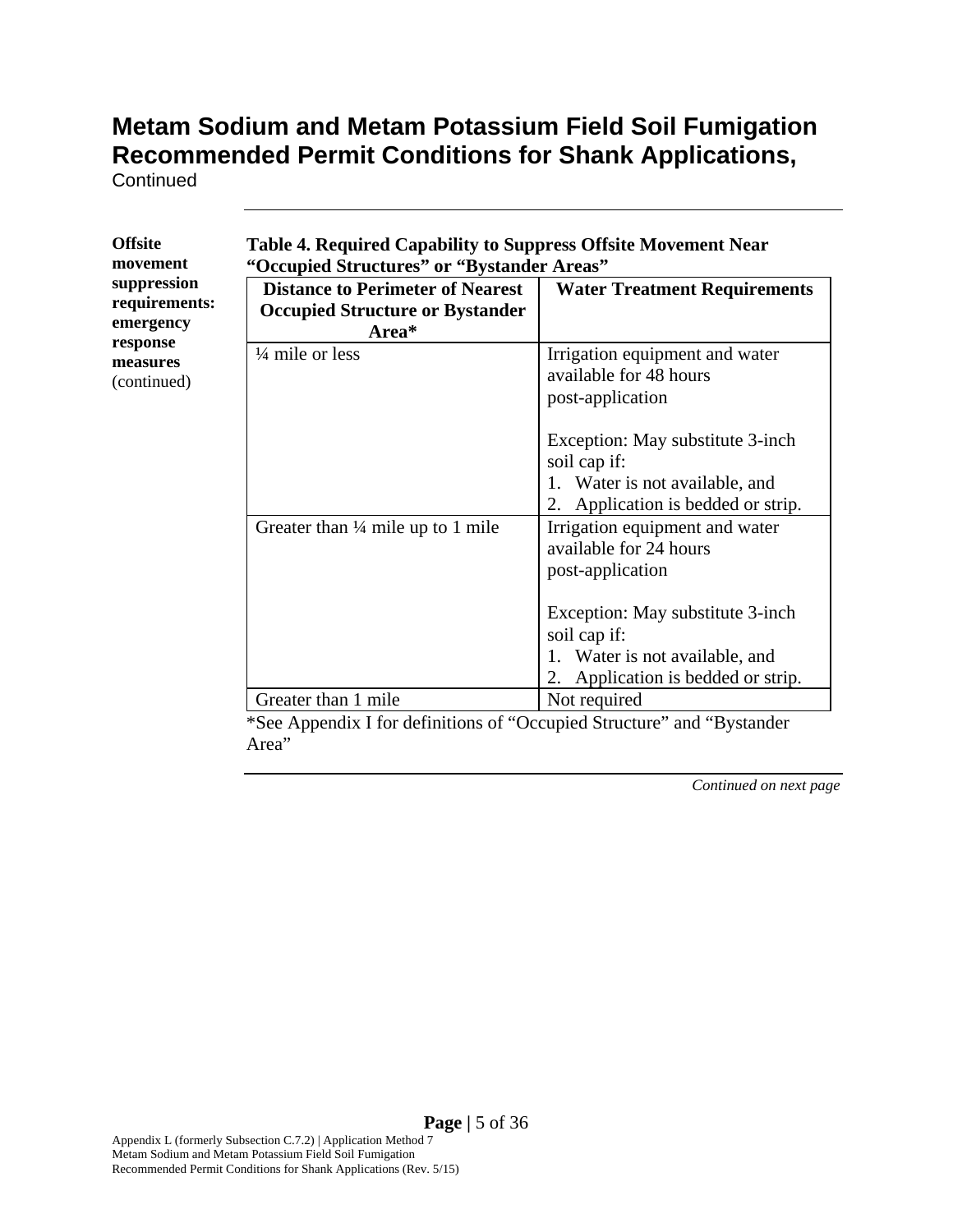**Continued** 

**Offsite** 

| <b>Offsite</b><br>movement                                                       | <b>Table 4. Required Capability to Suppress Offsite Movement Near</b><br>"Occupied Structures" or "Bystander Areas"         |                                                                                                                                                                                                       |  |
|----------------------------------------------------------------------------------|-----------------------------------------------------------------------------------------------------------------------------|-------------------------------------------------------------------------------------------------------------------------------------------------------------------------------------------------------|--|
| suppression<br>requirements:<br>emergency<br>response<br>measures<br>(continued) | <b>Distance to Perimeter of Nearest</b><br><b>Occupied Structure or Bystander</b><br>Area*                                  | <b>Water Treatment Requirements</b>                                                                                                                                                                   |  |
|                                                                                  | $\frac{1}{4}$ mile or less                                                                                                  | Irrigation equipment and water<br>available for 48 hours<br>post-application                                                                                                                          |  |
|                                                                                  |                                                                                                                             | Exception: May substitute 3-inch<br>soil cap if:<br>1. Water is not available, and<br>2. Application is bedded or strip.                                                                              |  |
|                                                                                  | Greater than $\frac{1}{4}$ mile up to 1 mile                                                                                | Irrigation equipment and water<br>available for 24 hours<br>post-application<br>Exception: May substitute 3-inch<br>soil cap if:<br>Water is not available, and<br>2. Application is bedded or strip. |  |
|                                                                                  | Greater than 1 mile<br>$\ast$ C $\rightarrow$ A second 11 of $C_{\ast}$ so $A_{\ast}$ C states<br>$\mathfrak{c}$ $\omega$ . | Not required                                                                                                                                                                                          |  |

\*See Appendix I for definitions of "Occupied Structure" and "Bystander Area"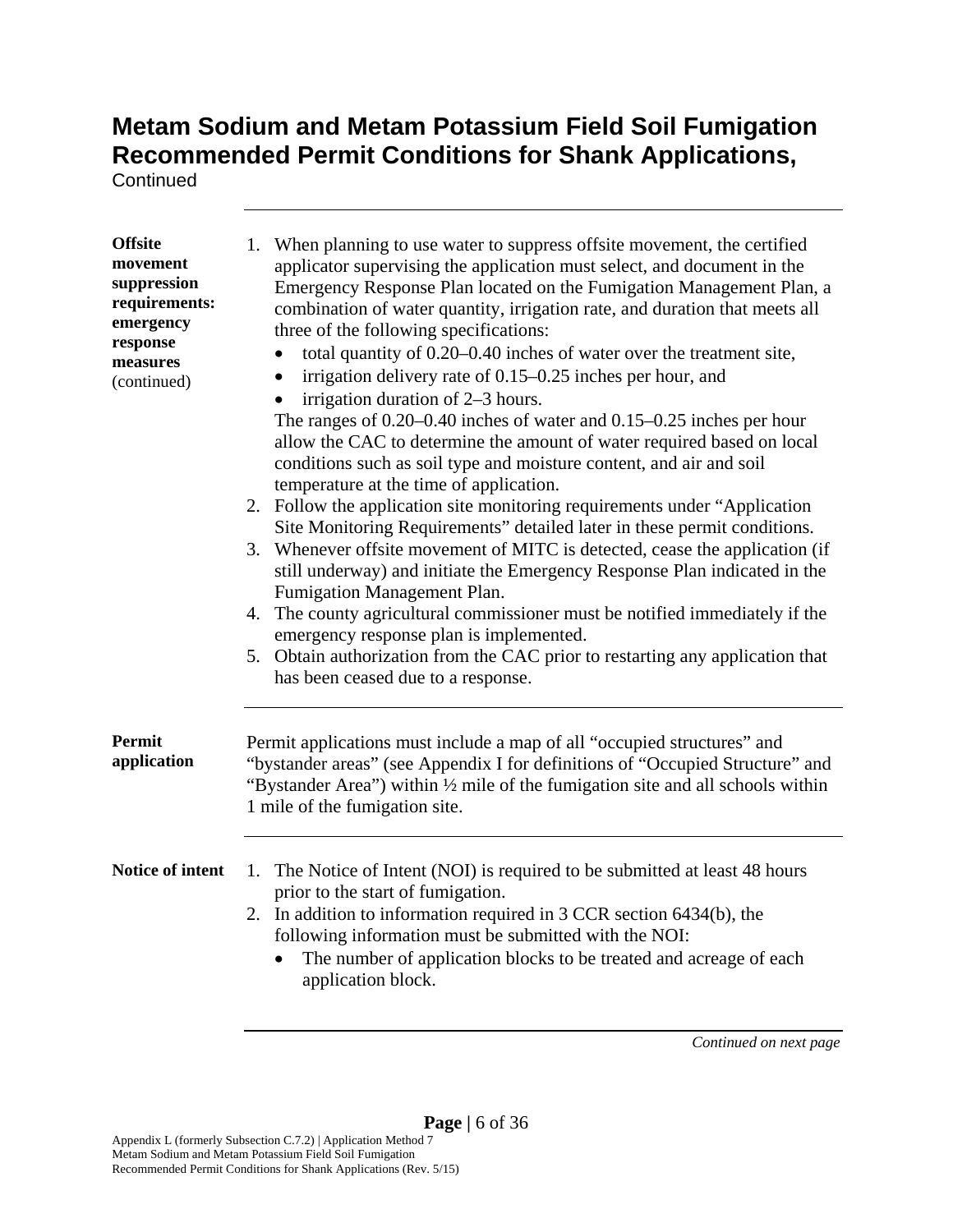**Continued** 

| <b>Offsite</b><br>movement<br>suppression<br>requirements:<br>emergency<br>response<br>measures<br>(continued) | 1. When planning to use water to suppress offsite movement, the certified<br>applicator supervising the application must select, and document in the<br>Emergency Response Plan located on the Fumigation Management Plan, a<br>combination of water quantity, irrigation rate, and duration that meets all<br>three of the following specifications:<br>total quantity of 0.20-0.40 inches of water over the treatment site,<br>$\bullet$<br>irrigation delivery rate of 0.15–0.25 inches per hour, and<br>$\bullet$<br>irrigation duration of 2–3 hours.<br>The ranges of $0.20-0.40$ inches of water and $0.15-0.25$ inches per hour<br>allow the CAC to determine the amount of water required based on local<br>conditions such as soil type and moisture content, and air and soil<br>temperature at the time of application.<br>2. Follow the application site monitoring requirements under "Application"<br>Site Monitoring Requirements" detailed later in these permit conditions.<br>3. Whenever offsite movement of MITC is detected, cease the application (if<br>still underway) and initiate the Emergency Response Plan indicated in the<br>Fumigation Management Plan.<br>4. The county agricultural commissioner must be notified immediately if the<br>emergency response plan is implemented.<br>5. Obtain authorization from the CAC prior to restarting any application that<br>has been ceased due to a response. |  |
|----------------------------------------------------------------------------------------------------------------|-------------------------------------------------------------------------------------------------------------------------------------------------------------------------------------------------------------------------------------------------------------------------------------------------------------------------------------------------------------------------------------------------------------------------------------------------------------------------------------------------------------------------------------------------------------------------------------------------------------------------------------------------------------------------------------------------------------------------------------------------------------------------------------------------------------------------------------------------------------------------------------------------------------------------------------------------------------------------------------------------------------------------------------------------------------------------------------------------------------------------------------------------------------------------------------------------------------------------------------------------------------------------------------------------------------------------------------------------------------------------------------------------------------------------------------------|--|
| <b>Permit</b><br>application                                                                                   | Permit applications must include a map of all "occupied structures" and<br>"bystander areas" (see Appendix I for definitions of "Occupied Structure" and<br>"Bystander Area") within 1/2 mile of the fumigation site and all schools within<br>1 mile of the fumigation site.                                                                                                                                                                                                                                                                                                                                                                                                                                                                                                                                                                                                                                                                                                                                                                                                                                                                                                                                                                                                                                                                                                                                                             |  |
| Notice of intent                                                                                               | 1. The Notice of Intent (NOI) is required to be submitted at least 48 hours<br>prior to the start of fumigation.<br>2. In addition to information required in 3 CCR section 6434(b), the<br>following information must be submitted with the NOI:<br>The number of application blocks to be treated and acreage of each<br>$\bullet$<br>application block.                                                                                                                                                                                                                                                                                                                                                                                                                                                                                                                                                                                                                                                                                                                                                                                                                                                                                                                                                                                                                                                                                |  |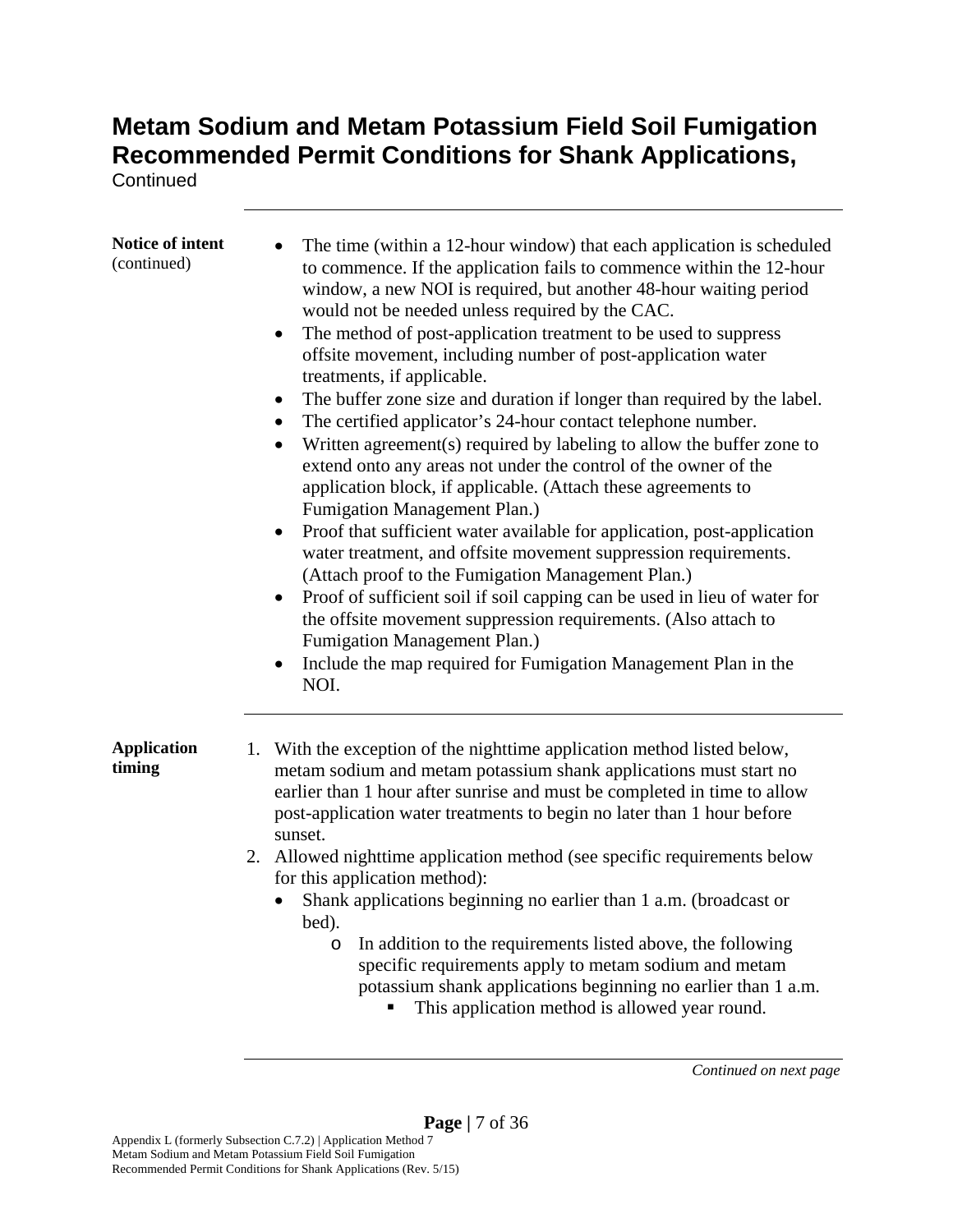**Continued** 

| <b>Notice of intent</b><br>(continued) | The time (within a 12-hour window) that each application is scheduled<br>to commence. If the application fails to commence within the 12-hour<br>window, a new NOI is required, but another 48-hour waiting period<br>would not be needed unless required by the CAC.<br>The method of post-application treatment to be used to suppress<br>٠<br>offsite movement, including number of post-application water<br>treatments, if applicable.<br>The buffer zone size and duration if longer than required by the label.<br>$\bullet$<br>The certified applicator's 24-hour contact telephone number.<br>$\bullet$<br>Written agreement(s) required by labeling to allow the buffer zone to<br>٠<br>extend onto any areas not under the control of the owner of the<br>application block, if applicable. (Attach these agreements to<br>Fumigation Management Plan.)<br>Proof that sufficient water available for application, post-application<br>water treatment, and offsite movement suppression requirements.<br>(Attach proof to the Fumigation Management Plan.)<br>Proof of sufficient soil if soil capping can be used in lieu of water for<br>the offsite movement suppression requirements. (Also attach to<br>Fumigation Management Plan.)<br>Include the map required for Fumigation Management Plan in the<br>NOI. |
|----------------------------------------|--------------------------------------------------------------------------------------------------------------------------------------------------------------------------------------------------------------------------------------------------------------------------------------------------------------------------------------------------------------------------------------------------------------------------------------------------------------------------------------------------------------------------------------------------------------------------------------------------------------------------------------------------------------------------------------------------------------------------------------------------------------------------------------------------------------------------------------------------------------------------------------------------------------------------------------------------------------------------------------------------------------------------------------------------------------------------------------------------------------------------------------------------------------------------------------------------------------------------------------------------------------------------------------------------------------------------------|
| <b>Application</b><br>timing           | 1. With the exception of the nighttime application method listed below,<br>metam sodium and metam potassium shank applications must start no<br>earlier than 1 hour after sunrise and must be completed in time to allow<br>post-application water treatments to begin no later than 1 hour before<br>sunset.<br>2. Allowed nighttime application method (see specific requirements below<br>for this application method):<br>Shank applications beginning no earlier than 1 a.m. (broadcast or<br>bed).<br>In addition to the requirements listed above, the following<br>O<br>specific requirements apply to metam sodium and metam<br>potassium shank applications beginning no earlier than 1 a.m.<br>This application method is allowed year round.                                                                                                                                                                                                                                                                                                                                                                                                                                                                                                                                                                       |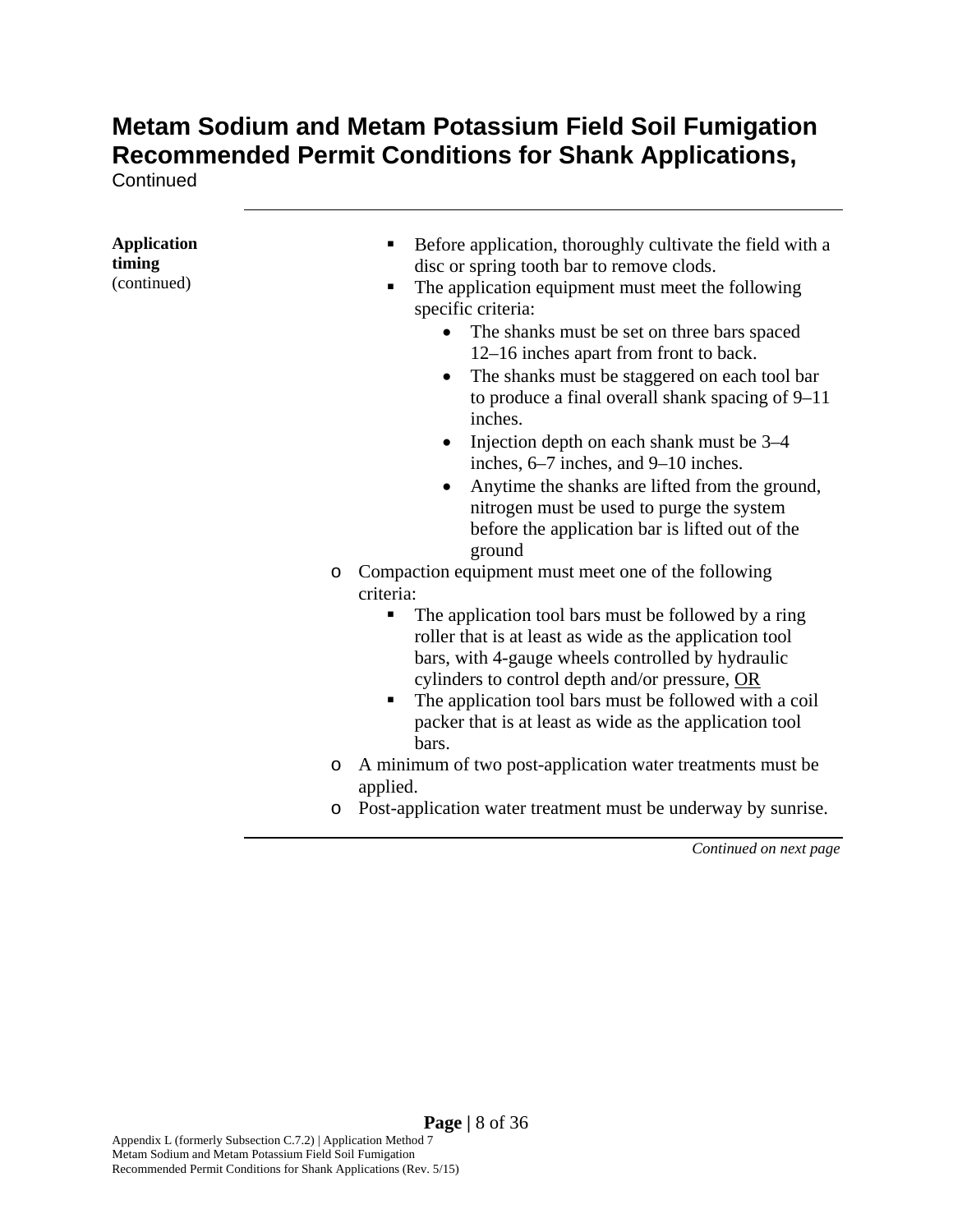**Continued** 

| <b>Application</b><br>timing<br>(continued) | Before application, thoroughly cultivate the field with a<br>٠<br>disc or spring tooth bar to remove clods.<br>The application equipment must meet the following<br>٠<br>specific criteria:<br>The shanks must be set on three bars spaced<br>$\bullet$<br>12–16 inches apart from front to back.<br>The shanks must be staggered on each tool bar<br>$\bullet$<br>to produce a final overall shank spacing of $9-11$<br>inches.<br>Injection depth on each shank must be 3–4<br>٠<br>inches, 6–7 inches, and 9–10 inches.<br>Anytime the shanks are lifted from the ground,<br>٠<br>nitrogen must be used to purge the system<br>before the application bar is lifted out of the<br>ground |
|---------------------------------------------|---------------------------------------------------------------------------------------------------------------------------------------------------------------------------------------------------------------------------------------------------------------------------------------------------------------------------------------------------------------------------------------------------------------------------------------------------------------------------------------------------------------------------------------------------------------------------------------------------------------------------------------------------------------------------------------------|
|                                             | Compaction equipment must meet one of the following<br>$\circ$<br>criteria:<br>The application tool bars must be followed by a ring<br>п<br>roller that is at least as wide as the application tool<br>bars, with 4-gauge wheels controlled by hydraulic<br>cylinders to control depth and/or pressure, OR<br>The application tool bars must be followed with a coil<br>٠<br>packer that is at least as wide as the application tool<br>bars.                                                                                                                                                                                                                                               |
|                                             | A minimum of two post-application water treatments must be<br>O<br>applied.                                                                                                                                                                                                                                                                                                                                                                                                                                                                                                                                                                                                                 |
|                                             | Post-application water treatment must be underway by sunrise.<br>$\circ$                                                                                                                                                                                                                                                                                                                                                                                                                                                                                                                                                                                                                    |
|                                             |                                                                                                                                                                                                                                                                                                                                                                                                                                                                                                                                                                                                                                                                                             |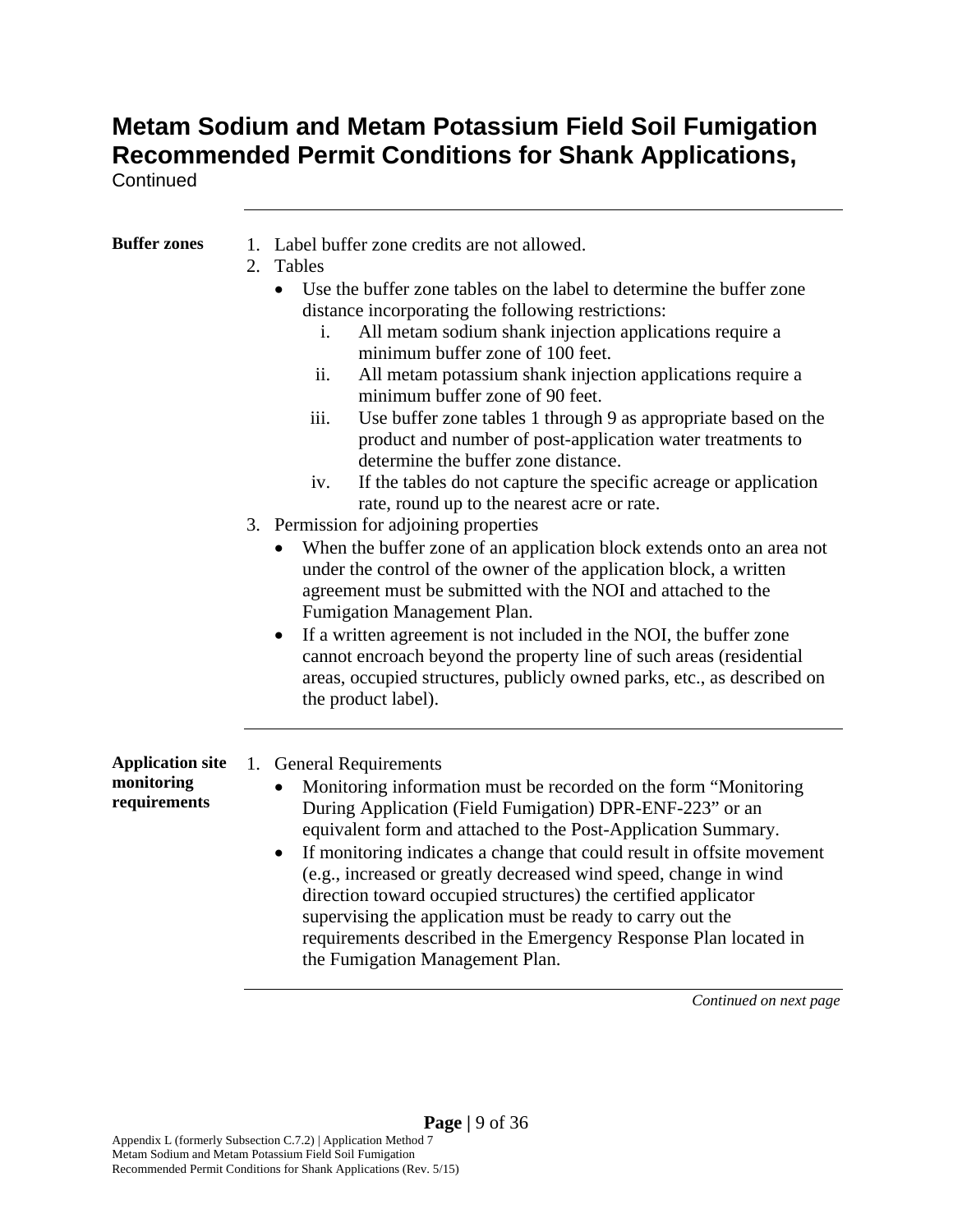**Continued** 

| <b>Buffer zones</b>                                   | 1. Label buffer zone credits are not allowed.<br>2. Tables<br>Use the buffer zone tables on the label to determine the buffer zone<br>$\bullet$<br>distance incorporating the following restrictions:<br>All metam sodium shank injection applications require a<br>i.<br>minimum buffer zone of 100 feet.<br>ii.<br>All metam potassium shank injection applications require a<br>minimum buffer zone of 90 feet.<br>Use buffer zone tables 1 through 9 as appropriate based on the<br>iii.<br>product and number of post-application water treatments to<br>determine the buffer zone distance.<br>If the tables do not capture the specific acreage or application<br>iv.<br>rate, round up to the nearest acre or rate. |
|-------------------------------------------------------|-----------------------------------------------------------------------------------------------------------------------------------------------------------------------------------------------------------------------------------------------------------------------------------------------------------------------------------------------------------------------------------------------------------------------------------------------------------------------------------------------------------------------------------------------------------------------------------------------------------------------------------------------------------------------------------------------------------------------------|
|                                                       | 3. Permission for adjoining properties<br>When the buffer zone of an application block extends onto an area not<br>under the control of the owner of the application block, a written<br>agreement must be submitted with the NOI and attached to the<br>Fumigation Management Plan.<br>If a written agreement is not included in the NOI, the buffer zone<br>cannot encroach beyond the property line of such areas (residential<br>areas, occupied structures, publicly owned parks, etc., as described on<br>the product label).                                                                                                                                                                                         |
| <b>Application site</b><br>monitoring<br>requirements | 1. General Requirements<br>Monitoring information must be recorded on the form "Monitoring<br>During Application (Field Fumigation) DPR-ENF-223" or an<br>equivalent form and attached to the Post-Application Summary.<br>If monitoring indicates a change that could result in offsite movement<br>$\bullet$<br>(e.g., increased or greatly decreased wind speed, change in wind<br>direction toward occupied structures) the certified applicator<br>supervising the application must be ready to carry out the<br>requirements described in the Emergency Response Plan located in<br>the Fumigation Management Plan.                                                                                                   |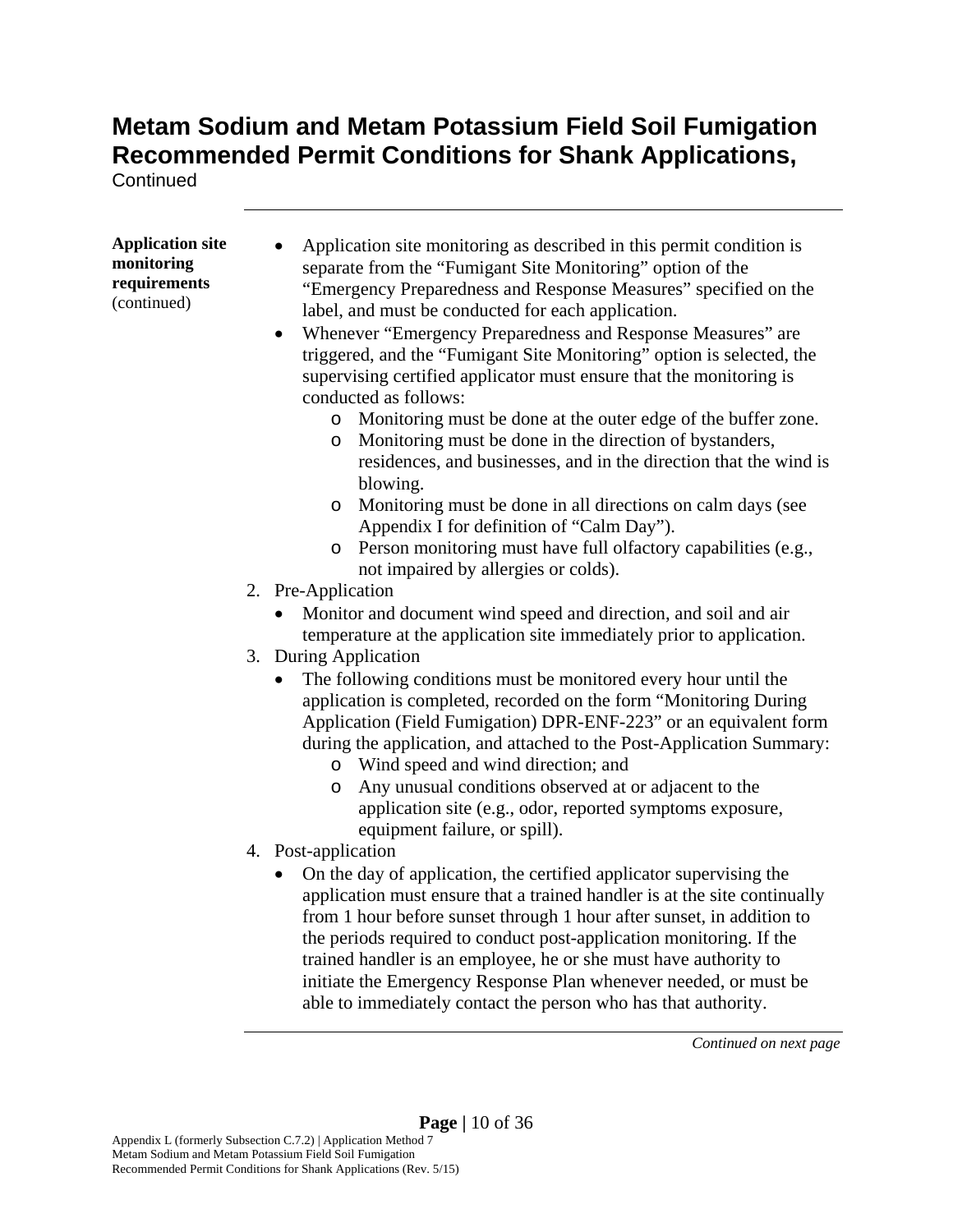**Continued** 

| <b>Application site</b><br>monitoring<br>requirements<br>(continued) | Application site monitoring as described in this permit condition is<br>separate from the "Fumigant Site Monitoring" option of the<br>"Emergency Preparedness and Response Measures" specified on the<br>label, and must be conducted for each application.                                                                                                                                                                                                                                                             |
|----------------------------------------------------------------------|-------------------------------------------------------------------------------------------------------------------------------------------------------------------------------------------------------------------------------------------------------------------------------------------------------------------------------------------------------------------------------------------------------------------------------------------------------------------------------------------------------------------------|
|                                                                      | Whenever "Emergency Preparedness and Response Measures" are<br>triggered, and the "Fumigant Site Monitoring" option is selected, the<br>supervising certified applicator must ensure that the monitoring is<br>conducted as follows:                                                                                                                                                                                                                                                                                    |
|                                                                      | o Monitoring must be done at the outer edge of the buffer zone.<br>Monitoring must be done in the direction of bystanders,<br>O<br>residences, and businesses, and in the direction that the wind is<br>blowing.                                                                                                                                                                                                                                                                                                        |
|                                                                      | Monitoring must be done in all directions on calm days (see<br>O<br>Appendix I for definition of "Calm Day").<br>Person monitoring must have full olfactory capabilities (e.g.,<br>$\circ$                                                                                                                                                                                                                                                                                                                              |
|                                                                      | not impaired by allergies or colds).                                                                                                                                                                                                                                                                                                                                                                                                                                                                                    |
|                                                                      | 2. Pre-Application                                                                                                                                                                                                                                                                                                                                                                                                                                                                                                      |
|                                                                      | • Monitor and document wind speed and direction, and soil and air<br>temperature at the application site immediately prior to application.                                                                                                                                                                                                                                                                                                                                                                              |
|                                                                      | 3. During Application                                                                                                                                                                                                                                                                                                                                                                                                                                                                                                   |
|                                                                      | The following conditions must be monitored every hour until the<br>application is completed, recorded on the form "Monitoring During<br>Application (Field Fumigation) DPR-ENF-223" or an equivalent form<br>during the application, and attached to the Post-Application Summary:<br>o Wind speed and wind direction; and                                                                                                                                                                                              |
|                                                                      | Any unusual conditions observed at or adjacent to the<br>$\circ$<br>application site (e.g., odor, reported symptoms exposure,<br>equipment failure, or spill).                                                                                                                                                                                                                                                                                                                                                          |
|                                                                      | 4. Post-application                                                                                                                                                                                                                                                                                                                                                                                                                                                                                                     |
|                                                                      | On the day of application, the certified applicator supervising the<br>$\bullet$<br>application must ensure that a trained handler is at the site continually<br>from 1 hour before sunset through 1 hour after sunset, in addition to<br>the periods required to conduct post-application monitoring. If the<br>trained handler is an employee, he or she must have authority to<br>initiate the Emergency Response Plan whenever needed, or must be<br>able to immediately contact the person who has that authority. |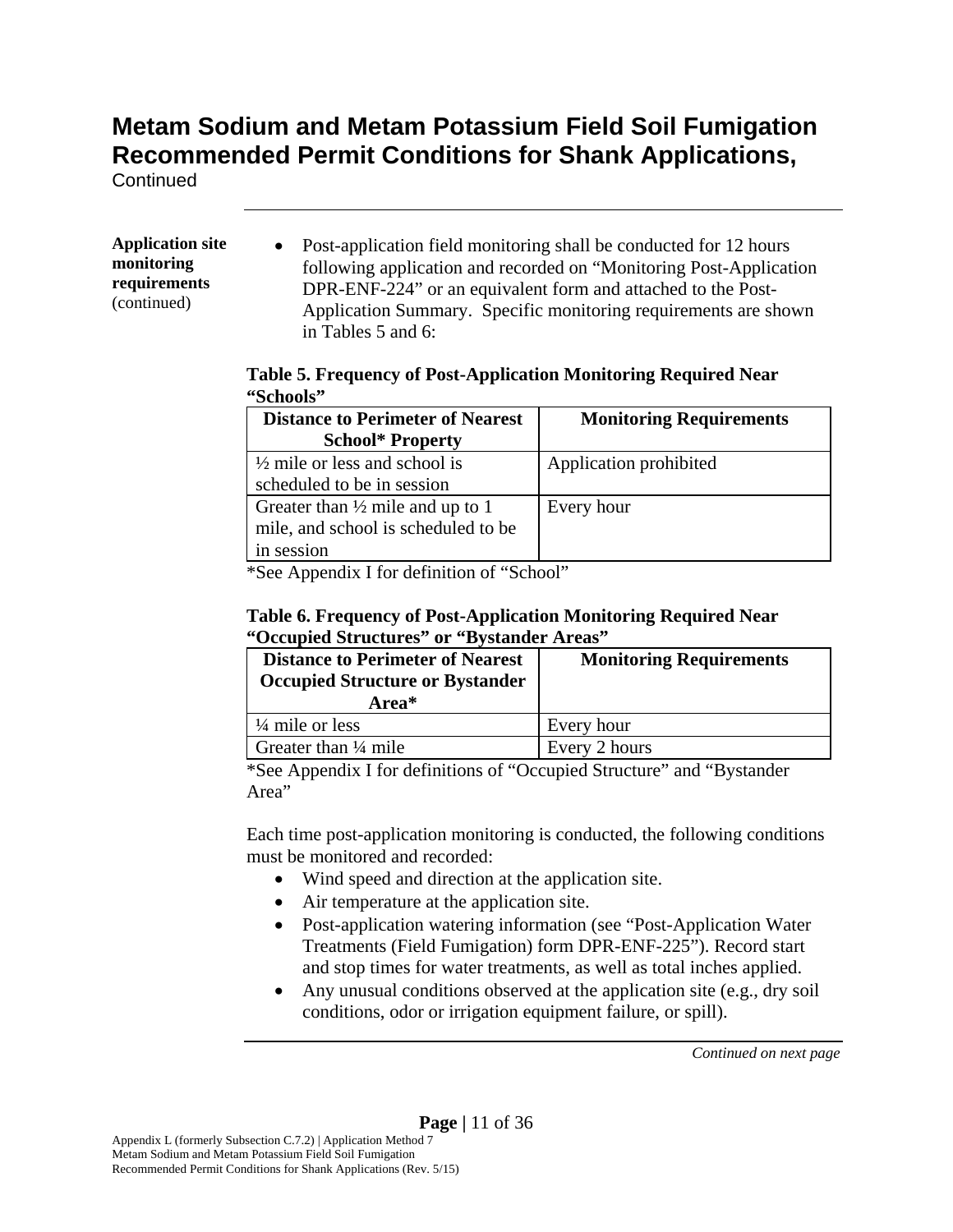**Continued** 

#### **Application site monitoring requirements**  (continued)

• Post-application field monitoring shall be conducted for 12 hours following application and recorded on "Monitoring Post-Application DPR-ENF-224" or an equivalent form and attached to the Post-Application Summary. Specific monitoring requirements are shown in Tables 5 and 6:

#### **Table 5. Frequency of Post-Application Monitoring Required Near "Schools"**

| <b>Distance to Perimeter of Nearest</b>     | <b>Monitoring Requirements</b> |
|---------------------------------------------|--------------------------------|
| <b>School* Property</b>                     |                                |
| $\frac{1}{2}$ mile or less and school is    | Application prohibited         |
| scheduled to be in session                  |                                |
| Greater than $\frac{1}{2}$ mile and up to 1 | Every hour                     |
| mile, and school is scheduled to be         |                                |
| in session                                  |                                |

\*See Appendix I for definition of "School"

#### **Table 6. Frequency of Post-Application Monitoring Required Near "Occupied Structures" or "Bystander Areas"**

| <b>Distance to Perimeter of Nearest</b><br><b>Occupied Structure or Bystander</b><br>Area* | <b>Monitoring Requirements</b> |
|--------------------------------------------------------------------------------------------|--------------------------------|
| $\frac{1}{4}$ mile or less                                                                 | Every hour                     |
| Greater than $\frac{1}{4}$ mile                                                            | Every 2 hours                  |

\*See Appendix I for definitions of "Occupied Structure" and "Bystander Area"

Each time post-application monitoring is conducted, the following conditions must be monitored and recorded:

- Wind speed and direction at the application site.
- Air temperature at the application site.
- Post-application watering information (see "Post-Application Water Treatments (Field Fumigation) form DPR-ENF-225"). Record start and stop times for water treatments, as well as total inches applied.
- Any unusual conditions observed at the application site (e.g., dry soil conditions, odor or irrigation equipment failure, or spill).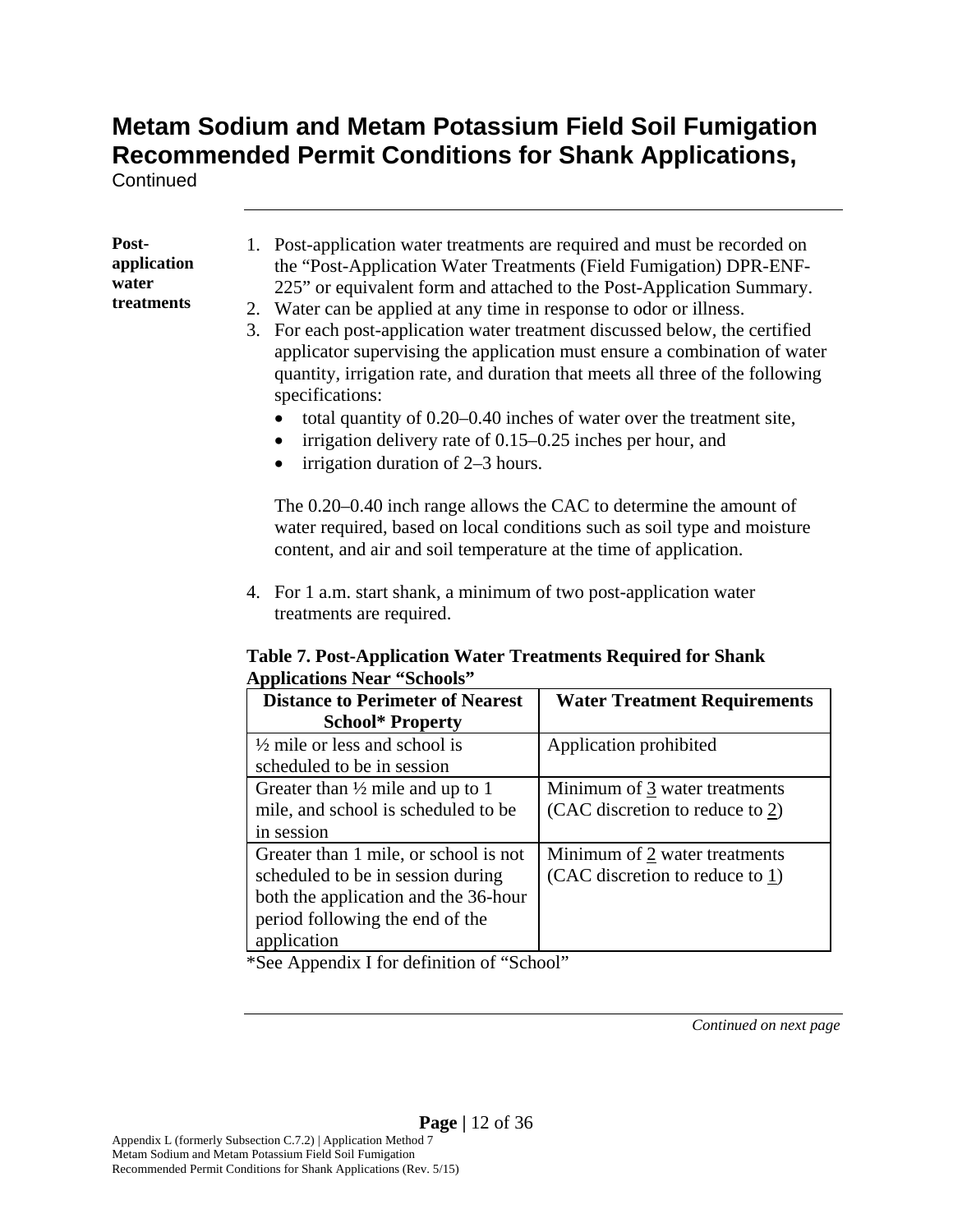**Continued** 

#### **Postapplication water treatments**

- 1. Post-application water treatments are required and must be recorded on the "Post-Application Water Treatments (Field Fumigation) DPR-ENF-225" or equivalent form and attached to the Post-Application Summary.
- 2. Water can be applied at any time in response to odor or illness.
- 3. For each post-application water treatment discussed below, the certified applicator supervising the application must ensure a combination of water quantity, irrigation rate, and duration that meets all three of the following specifications:
	- total quantity of 0.20–0.40 inches of water over the treatment site,
	- $\bullet$  irrigation delivery rate of 0.15–0.25 inches per hour, and
	- irrigation duration of 2–3 hours.

The 0.20–0.40 inch range allows the CAC to determine the amount of water required, based on local conditions such as soil type and moisture content, and air and soil temperature at the time of application.

4. For 1 a.m. start shank, a minimum of two post-application water treatments are required.

#### **Table 7. Post-Application Water Treatments Required for Shank Applications Near "Schools"**

| <b>Distance to Perimeter of Nearest</b>     | <b>Water Treatment Requirements</b> |
|---------------------------------------------|-------------------------------------|
| <b>School* Property</b>                     |                                     |
| $\frac{1}{2}$ mile or less and school is    | Application prohibited              |
| scheduled to be in session                  |                                     |
| Greater than $\frac{1}{2}$ mile and up to 1 | Minimum of 3 water treatments       |
| mile, and school is scheduled to be         | (CAC discretion to reduce to 2)     |
| in session                                  |                                     |
| Greater than 1 mile, or school is not       | Minimum of 2 water treatments       |
| scheduled to be in session during           | (CAC discretion to reduce to $1$ )  |
| both the application and the 36-hour        |                                     |
| period following the end of the             |                                     |
| application                                 |                                     |

\*See Appendix I for definition of "School"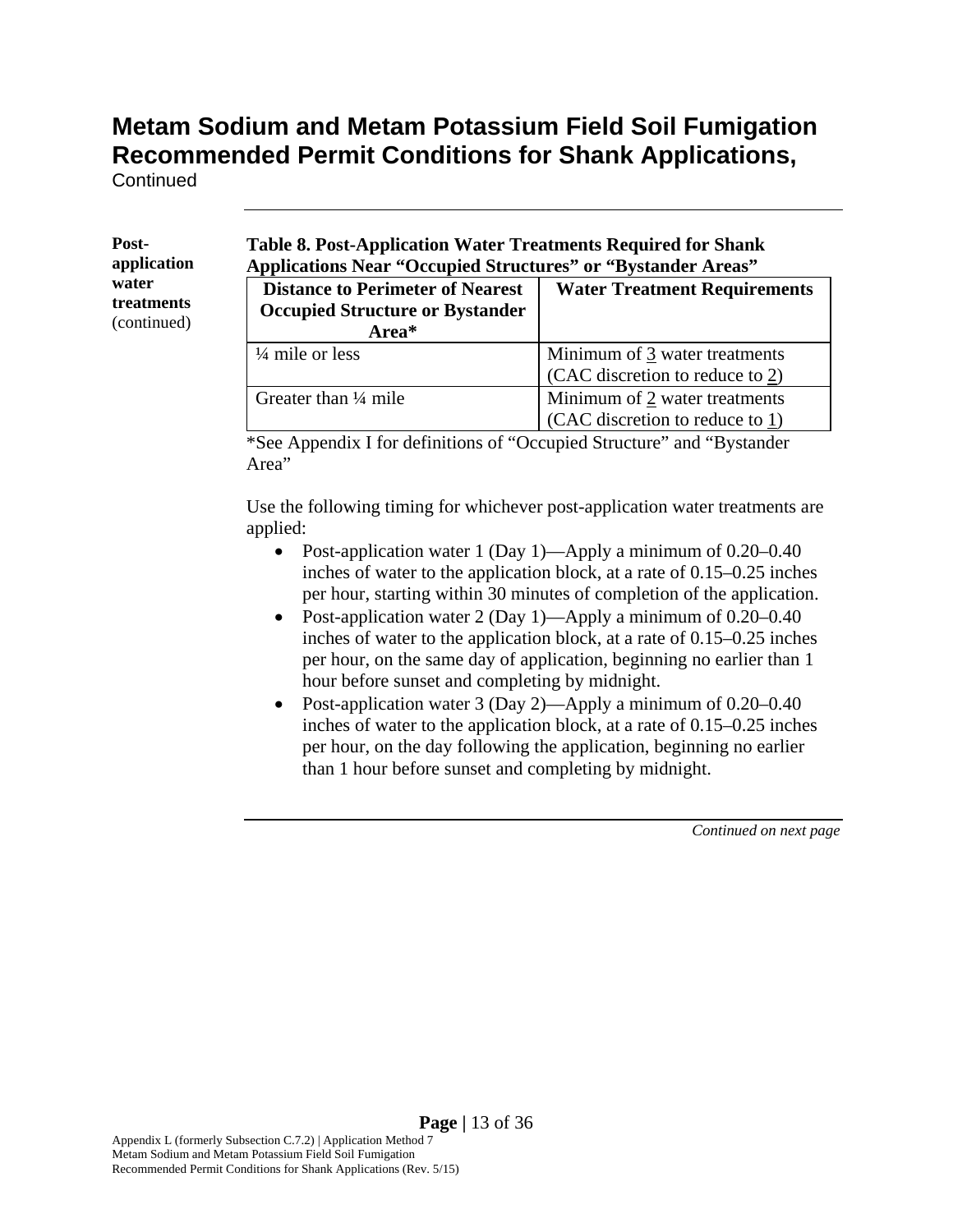**Continued** 

**Postapplication water treatments**  (continued)

#### **Table 8. Post-Application Water Treatments Required for Shank Applications Near "Occupied Structures" or "Bystander Areas"**

| <b>Distance to Perimeter of Nearest</b><br><b>Occupied Structure or Bystander</b><br>Area* | <b>Water Treatment Requirements</b> |
|--------------------------------------------------------------------------------------------|-------------------------------------|
| $\frac{1}{4}$ mile or less                                                                 | Minimum of 3 water treatments       |
|                                                                                            | (CAC discretion to reduce to 2)     |
| Greater than $\frac{1}{4}$ mile                                                            | Minimum of 2 water treatments       |
|                                                                                            | (CAC discretion to reduce to 1)     |

\*See Appendix I for definitions of "Occupied Structure" and "Bystander Area"

Use the following timing for whichever post-application water treatments are applied:

- Post-application water 1 (Day 1)—Apply a minimum of 0.20–0.40 inches of water to the application block, at a rate of 0.15–0.25 inches per hour, starting within 30 minutes of completion of the application.
- Post-application water 2 (Day 1)—Apply a minimum of 0.20–0.40 inches of water to the application block, at a rate of 0.15–0.25 inches per hour, on the same day of application, beginning no earlier than 1 hour before sunset and completing by midnight.
- Post-application water 3 (Day 2)—Apply a minimum of 0.20–0.40 inches of water to the application block, at a rate of 0.15–0.25 inches per hour, on the day following the application, beginning no earlier than 1 hour before sunset and completing by midnight.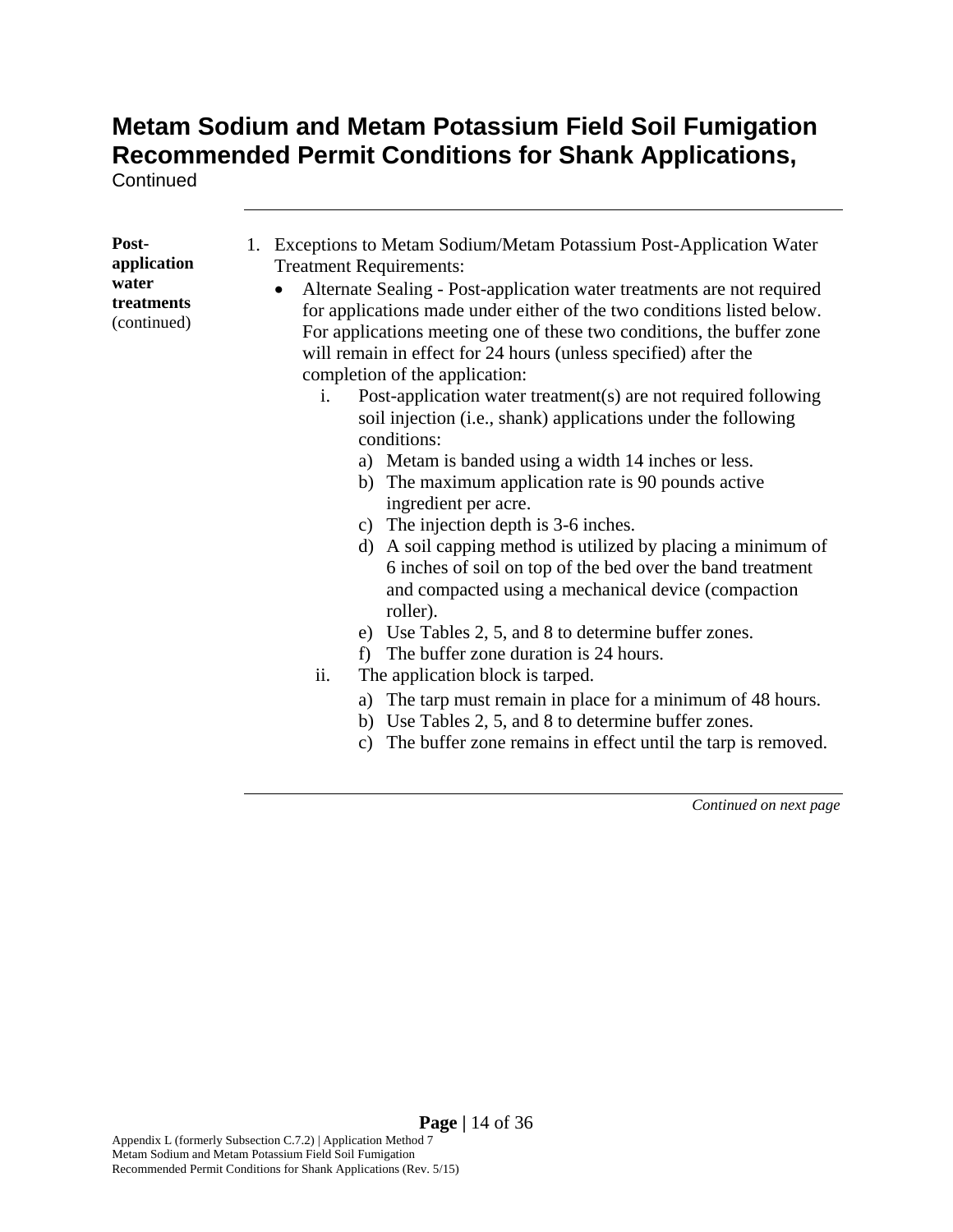**Continued** 

| Post-                              | Exceptions to Metam Sodium/Metam Potassium Post-Application Water<br>1.                                                                                                                                                                                                                      |
|------------------------------------|----------------------------------------------------------------------------------------------------------------------------------------------------------------------------------------------------------------------------------------------------------------------------------------------|
| application                        | <b>Treatment Requirements:</b>                                                                                                                                                                                                                                                               |
| water<br>treatments<br>(continued) | Alternate Sealing - Post-application water treatments are not required<br>for applications made under either of the two conditions listed below.<br>For applications meeting one of these two conditions, the buffer zone<br>will remain in effect for 24 hours (unless specified) after the |
|                                    | completion of the application:                                                                                                                                                                                                                                                               |
|                                    | Post-application water treatment(s) are not required following<br>i.<br>soil injection (i.e., shank) applications under the following<br>conditions:                                                                                                                                         |
|                                    | a) Metam is banded using a width 14 inches or less.                                                                                                                                                                                                                                          |
|                                    | The maximum application rate is 90 pounds active<br>b)<br>ingredient per acre.                                                                                                                                                                                                               |
|                                    | c) The injection depth is 3-6 inches.                                                                                                                                                                                                                                                        |
|                                    | d) A soil capping method is utilized by placing a minimum of<br>6 inches of soil on top of the bed over the band treatment<br>and compacted using a mechanical device (compaction<br>roller).                                                                                                |
|                                    | e) Use Tables 2, 5, and 8 to determine buffer zones.                                                                                                                                                                                                                                         |
|                                    | The buffer zone duration is 24 hours.<br>f)                                                                                                                                                                                                                                                  |
|                                    | ii.<br>The application block is tarped.                                                                                                                                                                                                                                                      |
|                                    | a) The tarp must remain in place for a minimum of 48 hours.<br>b) Use Tables 2, 5, and 8 to determine buffer zones.<br>The buffer zone remains in effect until the tarp is removed.<br>c)                                                                                                    |
|                                    |                                                                                                                                                                                                                                                                                              |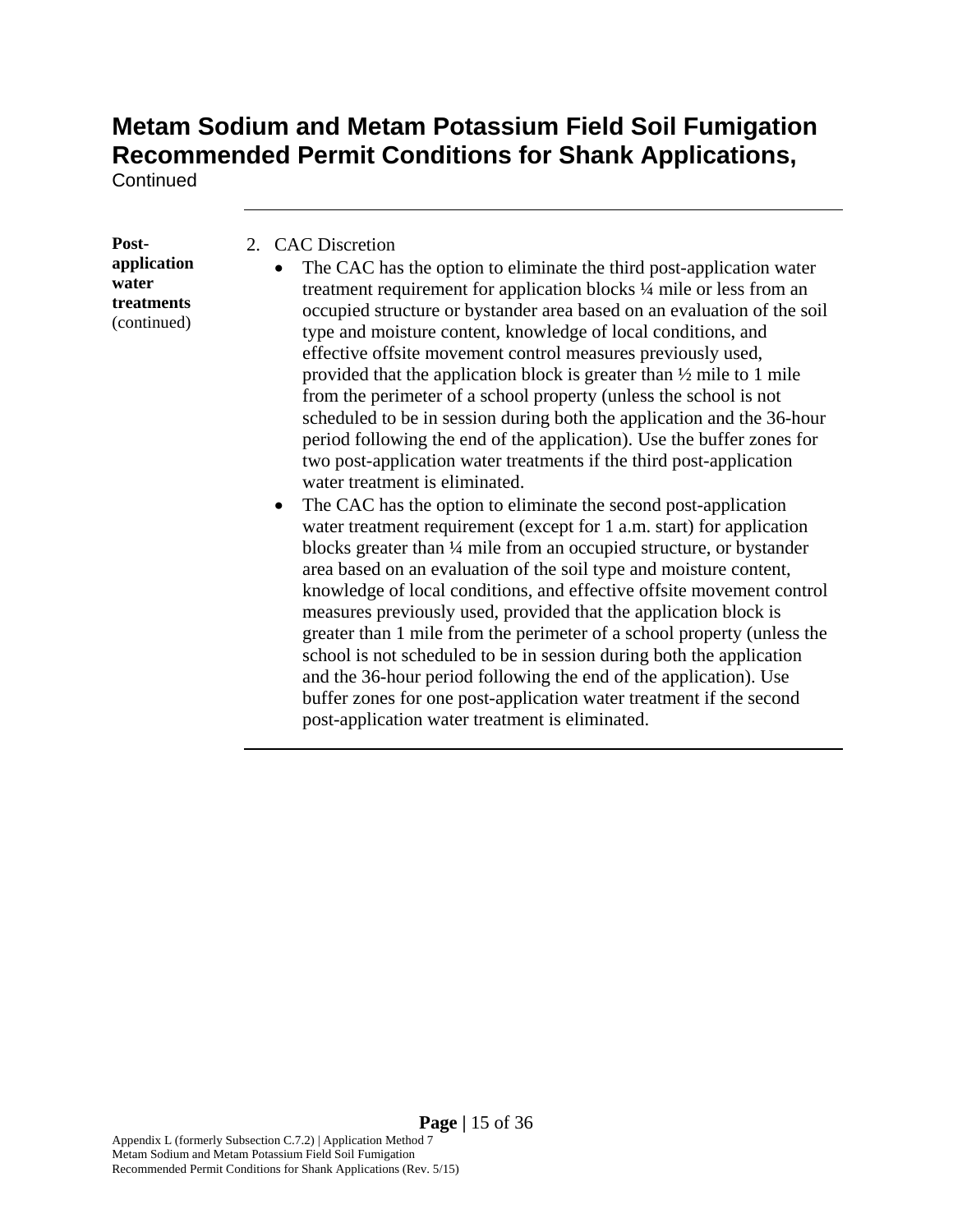**Continued** 

**Postapplication water treatments**  (continued)

- 2. CAC Discretion
	- The CAC has the option to eliminate the third post-application water treatment requirement for application blocks ¼ mile or less from an occupied structure or bystander area based on an evaluation of the soil type and moisture content, knowledge of local conditions, and effective offsite movement control measures previously used, provided that the application block is greater than ½ mile to 1 mile from the perimeter of a school property (unless the school is not scheduled to be in session during both the application and the 36-hour period following the end of the application). Use the buffer zones for two post-application water treatments if the third post-application water treatment is eliminated.
	- The CAC has the option to eliminate the second post-application water treatment requirement (except for 1 a.m. start) for application blocks greater than ¼ mile from an occupied structure, or bystander area based on an evaluation of the soil type and moisture content, knowledge of local conditions, and effective offsite movement control measures previously used, provided that the application block is greater than 1 mile from the perimeter of a school property (unless the school is not scheduled to be in session during both the application and the 36-hour period following the end of the application). Use buffer zones for one post-application water treatment if the second post-application water treatment is eliminated.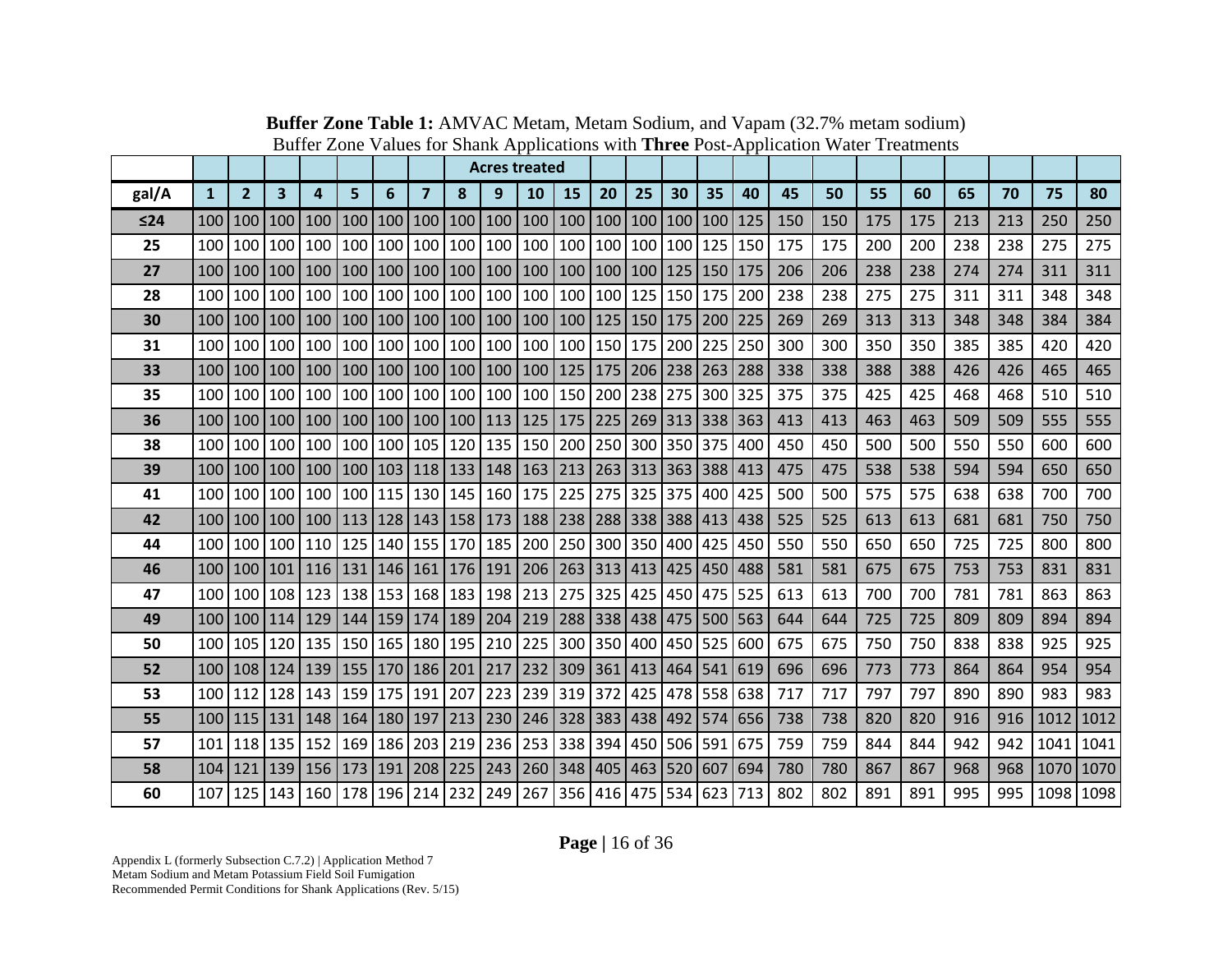|       |                  |                  |                 |                         |                                                                             |         |                         |                                                           | <b>Acres treated</b> |                                         |                                   |         |                         |    |     |     |     |     |     |     |     |     |      |           |
|-------|------------------|------------------|-----------------|-------------------------|-----------------------------------------------------------------------------|---------|-------------------------|-----------------------------------------------------------|----------------------|-----------------------------------------|-----------------------------------|---------|-------------------------|----|-----|-----|-----|-----|-----|-----|-----|-----|------|-----------|
| gal/A | $\mathbf{1}$     | $\overline{2}$   | 3               | $\overline{\mathbf{4}}$ | 5                                                                           | 6       | $\overline{\mathbf{z}}$ | 8                                                         | 9                    | 10                                      | 15                                | 20      | 25                      | 30 | 35  | 40  | 45  | 50  | 55  | 60  | 65  | 70  | 75   | 80        |
| ≤24   | 100              | 100              | 100             | 100                     | 100                                                                         | 100     |                         | 100 100                                                   | 100                  |                                         | 100   100   100   100   100   100 |         |                         |    |     | 125 | 150 | 150 | 175 | 175 | 213 | 213 | 250  | 250       |
| 25    |                  | 100 100 100      |                 |                         | 100   100   100   100   100   100                                           |         |                         |                                                           |                      | 100   100   100   100   100   125       |                                   |         |                         |    |     | 150 | 175 | 175 | 200 | 200 | 238 | 238 | 275  | 275       |
| 27    | 100              | 100              | 100             |                         | 100   100   100                                                             |         |                         | 100 100 100                                               |                      |                                         | 100 100 100                       |         | 100 125 150             |    |     | 175 | 206 | 206 | 238 | 238 | 274 | 274 | 311  | 311       |
| 28    |                  | 100 100 100      |                 |                         | 100 100 100                                                                 |         |                         | 100 100 100                                               |                      | 100 100 100 125 150 175                 |                                   |         |                         |    |     | 200 | 238 | 238 | 275 | 275 | 311 | 311 | 348  | 348       |
| 30    |                  | 100   100   100  |                 |                         | 100   100   100   100   100   100   100   100   125   150   175   200   225 |         |                         |                                                           |                      |                                         |                                   |         |                         |    |     |     | 269 | 269 | 313 | 313 | 348 | 348 | 384  | 384       |
| 31    |                  | 100 100 100      |                 |                         | 100 100 100                                                                 |         |                         | 100 100 100                                               |                      | 100 100 150                             |                                   |         | 175 200 225             |    |     | 250 | 300 | 300 | 350 | 350 | 385 | 385 | 420  | 420       |
| 33    | 100              | 100 <sub>l</sub> | 100             | 100                     | 100                                                                         | 100     |                         | 100 100 100                                               |                      |                                         | 100   125   175   206   238   263 |         |                         |    |     | 288 | 338 | 338 | 388 | 388 | 426 | 426 | 465  | 465       |
| 35    | 100              |                  | 100 100         | 100                     |                                                                             | 100 100 |                         | 100 100 100                                               |                      | 100                                     | 150                               |         | 200 238 275 300         |    |     | 325 | 375 | 375 | 425 | 425 | 468 | 468 | 510  | 510       |
| 36    | 100 <sub>l</sub> |                  | 100   100       |                         | 100   100   100   100   100   113   125   175   225   269   313   338   363 |         |                         |                                                           |                      |                                         |                                   |         |                         |    |     |     | 413 | 413 | 463 | 463 | 509 | 509 | 555  | 555       |
| 38    |                  | 100 100 100      |                 |                         | 100 100 100                                                                 |         |                         | 105 120 135                                               |                      | 150                                     |                                   |         | 200 250 300 350 375     |    |     | 400 | 450 | 450 | 500 | 500 | 550 | 550 | 600  | 600       |
| 39    | 100              | 100 <sup>1</sup> | 100             |                         | 100   100   103                                                             |         |                         | 118   133   148   163   213   263   313   363   388   413 |                      |                                         |                                   |         |                         |    |     |     | 475 | 475 | 538 | 538 | 594 | 594 | 650  | 650       |
| 41    |                  | 100 100 100      |                 |                         | 100 100 115                                                                 |         |                         | 130 145 160                                               |                      | 175 225                                 |                                   |         | 275 325 375 400         |    |     | 425 | 500 | 500 | 575 | 575 | 638 | 638 | 700  | 700       |
| 42    | 100 l            | 100 100          |                 |                         | 100   113   128   143   158   173                                           |         |                         |                                                           |                      | 188   238   288   338   388   413   438 |                                   |         |                         |    |     |     | 525 | 525 | 613 | 613 | 681 | 681 | 750  | 750       |
| 44    | 100              | 100 100          |                 | 110                     | 125                                                                         | 140     | 155                     | 170 185                                                   |                      | 200                                     |                                   | 250 300 | 350 400 425             |    |     | 450 | 550 | 550 | 650 | 650 | 725 | 725 | 800  | 800       |
| 46    | 100              | 100              | 101             |                         | 116 131                                                                     |         | 146   161   176   191   |                                                           |                      | 206   263   313   413   425   450       |                                   |         |                         |    |     | 488 | 581 | 581 | 675 | 675 | 753 | 753 | 831  | 831       |
| 47    |                  |                  | 100 100 108     |                         | 123   138   153   168   183   198   213   275   325   425   450   475       |         |                         |                                                           |                      |                                         |                                   |         |                         |    |     | 525 | 613 | 613 | 700 | 700 | 781 | 781 | 863  | 863       |
| 49    | 100              |                  | 100   114       |                         | 129   144   159                                                             |         |                         | 174 189 204                                               |                      | 219   288   338   438   475   500   563 |                                   |         |                         |    |     |     | 644 | 644 | 725 | 725 | 809 | 809 | 894  | 894       |
| 50    |                  |                  | 100 105 120     |                         | 135 150 165                                                                 |         |                         | 180 195 210                                               |                      | 225                                     |                                   |         | 300 350 400 450 525 600 |    |     |     | 675 | 675 | 750 | 750 | 838 | 838 | 925  | 925       |
| 52    |                  |                  | 100   108   124 |                         | 139   155   170   186   201   217                                           |         |                         |                                                           |                      | 232                                     |                                   |         | 309 361 413 464 541 619 |    |     |     | 696 | 696 | 773 | 773 | 864 | 864 | 954  | 954       |
| 53    | 100              | 112              | 128             |                         | 143 159 175                                                                 |         | 191                     | 207                                                       | 223                  | 239 319 372                             |                                   |         | 425 478 558             |    |     | 638 | 717 | 717 | 797 | 797 | 890 | 890 | 983  | 983       |
| 55    | 100              | 115              | 131             |                         | 148   164   180                                                             |         | 197                     | $ 213 $                                                   | 230                  |                                         | 246 328 383 438 492 574 656       |         |                         |    |     |     | 738 | 738 | 820 | 820 | 916 | 916 | 1012 | 1012      |
| 57    | 101              |                  | 118 135         | 152                     | 169                                                                         | 186     |                         | 203 219 236                                               |                      | 253 338 394                             |                                   |         | 450 506 591             |    |     | 675 | 759 | 759 | 844 | 844 | 942 | 942 | 1041 | 1041      |
| 58    | 104              | $121$            | 139             |                         | 156   173   191   208   225   243                                           |         |                         |                                                           |                      | 260 348 405 463 520 607                 |                                   |         |                         |    |     | 694 | 780 | 780 | 867 | 867 | 968 | 968 |      | 1070 1070 |
| 60    |                  | 107 125 143      |                 | 160                     | 178 196                                                                     |         | 214                     | 232 249                                                   |                      | 267                                     |                                   | 356 416 | 475 534                 |    | 623 | 713 | 802 | 802 | 891 | 891 | 995 | 995 |      | 1098 1098 |

**Buffer Zone Table 1:** AMVAC Metam, Metam Sodium, and Vapam (32.7% metam sodium) Buffer Zone Values for Shank Applications with **Three** Post-Application Water Treatments

**Page |** 16 of 36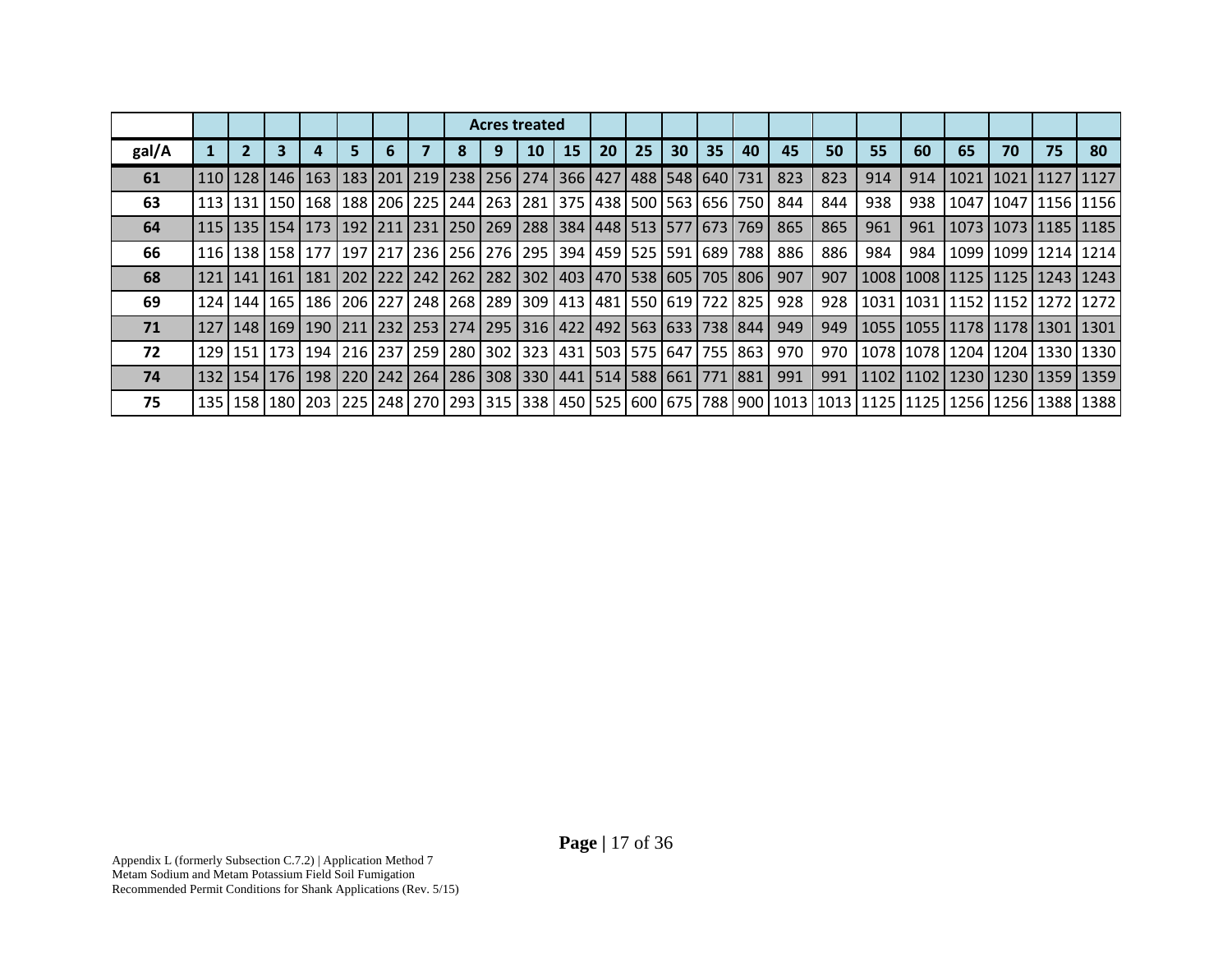|       |                 |                 |  |  | <b>Acres treated</b><br>15<br>10<br>163   183   201   219   238   256   274   366   427   488   548   640   731  <br>113   131   150   168   188   206   225   244   263   281   375   438   500   563   656   750  <br>115   135   154   173   192   211   231   250   269   288   384   448   513   577   673   769  <br>116   138   158   177   197   217   236   256   276   295   394   459   525   591   689   788  <br>181   202   222   242   262   282   302   403   470   538   605   705   806  <br>186   206   227   248   268   289   309   413   481   550   619   722   825 |  |  |    |    |    |    |                                                                             |     |     |                                                                                                                                                                                                                                 |     |                                         |                           |    |           |
|-------|-----------------|-----------------|--|--|--------------------------------------------------------------------------------------------------------------------------------------------------------------------------------------------------------------------------------------------------------------------------------------------------------------------------------------------------------------------------------------------------------------------------------------------------------------------------------------------------------------------------------------------------------------------------------------------|--|--|----|----|----|----|-----------------------------------------------------------------------------|-----|-----|---------------------------------------------------------------------------------------------------------------------------------------------------------------------------------------------------------------------------------|-----|-----------------------------------------|---------------------------|----|-----------|
| gal/A | $\overline{2}$  |                 |  |  |                                                                                                                                                                                                                                                                                                                                                                                                                                                                                                                                                                                            |  |  | 20 | 25 | 30 | 35 | 40                                                                          | 45  | 50  | 55                                                                                                                                                                                                                              | 60  | 65                                      | 70                        | 75 | 80        |
| 61    |                 | 110   128   146 |  |  |                                                                                                                                                                                                                                                                                                                                                                                                                                                                                                                                                                                            |  |  |    |    |    |    |                                                                             | 823 | 823 | 914                                                                                                                                                                                                                             | 914 |                                         | 1021 1021                 |    | 1127 1127 |
| 63    |                 |                 |  |  |                                                                                                                                                                                                                                                                                                                                                                                                                                                                                                                                                                                            |  |  |    |    |    |    |                                                                             | 844 | 844 | 938                                                                                                                                                                                                                             | 938 |                                         | 1047   1047   1156   1156 |    |           |
| 64    |                 |                 |  |  |                                                                                                                                                                                                                                                                                                                                                                                                                                                                                                                                                                                            |  |  |    |    |    |    |                                                                             | 865 | 865 | 961                                                                                                                                                                                                                             | 961 |                                         | 1073   1073   1185   1185 |    |           |
| 66    |                 |                 |  |  |                                                                                                                                                                                                                                                                                                                                                                                                                                                                                                                                                                                            |  |  |    |    |    |    |                                                                             | 886 | 886 | 984                                                                                                                                                                                                                             | 984 |                                         | 1099   1099   1214   1214 |    |           |
| 68    | 121   141   161 |                 |  |  |                                                                                                                                                                                                                                                                                                                                                                                                                                                                                                                                                                                            |  |  |    |    |    |    |                                                                             | 907 | 907 |                                                                                                                                                                                                                                 |     | 1008   1008   1125   1125   1243   1243 |                           |    |           |
| 69    | 124   144   165 |                 |  |  |                                                                                                                                                                                                                                                                                                                                                                                                                                                                                                                                                                                            |  |  |    |    |    |    |                                                                             | 928 | 928 |                                                                                                                                                                                                                                 |     | 1031   1031   1152   1152   1272   1272 |                           |    |           |
| 71    |                 | 127   148   169 |  |  |                                                                                                                                                                                                                                                                                                                                                                                                                                                                                                                                                                                            |  |  |    |    |    |    | 190   211   232   253   274   295   316   422   492   563   633   738   844 | 949 | 949 |                                                                                                                                                                                                                                 |     | 1055   1055   1178   1178   1301   1301 |                           |    |           |
| 72    |                 | 129   151   173 |  |  |                                                                                                                                                                                                                                                                                                                                                                                                                                                                                                                                                                                            |  |  |    |    |    |    | 194   216   237   259   280   302   323   431   503   575   647   755   863 | 970 | 970 |                                                                                                                                                                                                                                 |     | 1078   1078   1204   1204   1330   1330 |                           |    |           |
| 74    |                 | 132   154   176 |  |  |                                                                                                                                                                                                                                                                                                                                                                                                                                                                                                                                                                                            |  |  |    |    |    |    | 198   220   242   264   286   308   330   441   514   588   661   771   881 | 991 | 991 |                                                                                                                                                                                                                                 |     | 1102   1102   1230   1230   1359   1359 |                           |    |           |
| 75    |                 |                 |  |  |                                                                                                                                                                                                                                                                                                                                                                                                                                                                                                                                                                                            |  |  |    |    |    |    |                                                                             |     |     | 138 1388 1388 1398 1425 1256 1266 1267 1268 1269 1270 1289 1291 1292 1293 1294 1295 1296 1297 1296 1297 1296 1297 1297 1298 1298 1298 1298 1298 1298 1298 1209 1200 1201 1201 1202 1203 1204 1205 1206 1207 1208 1209 1200 1200 |     |                                         |                           |    |           |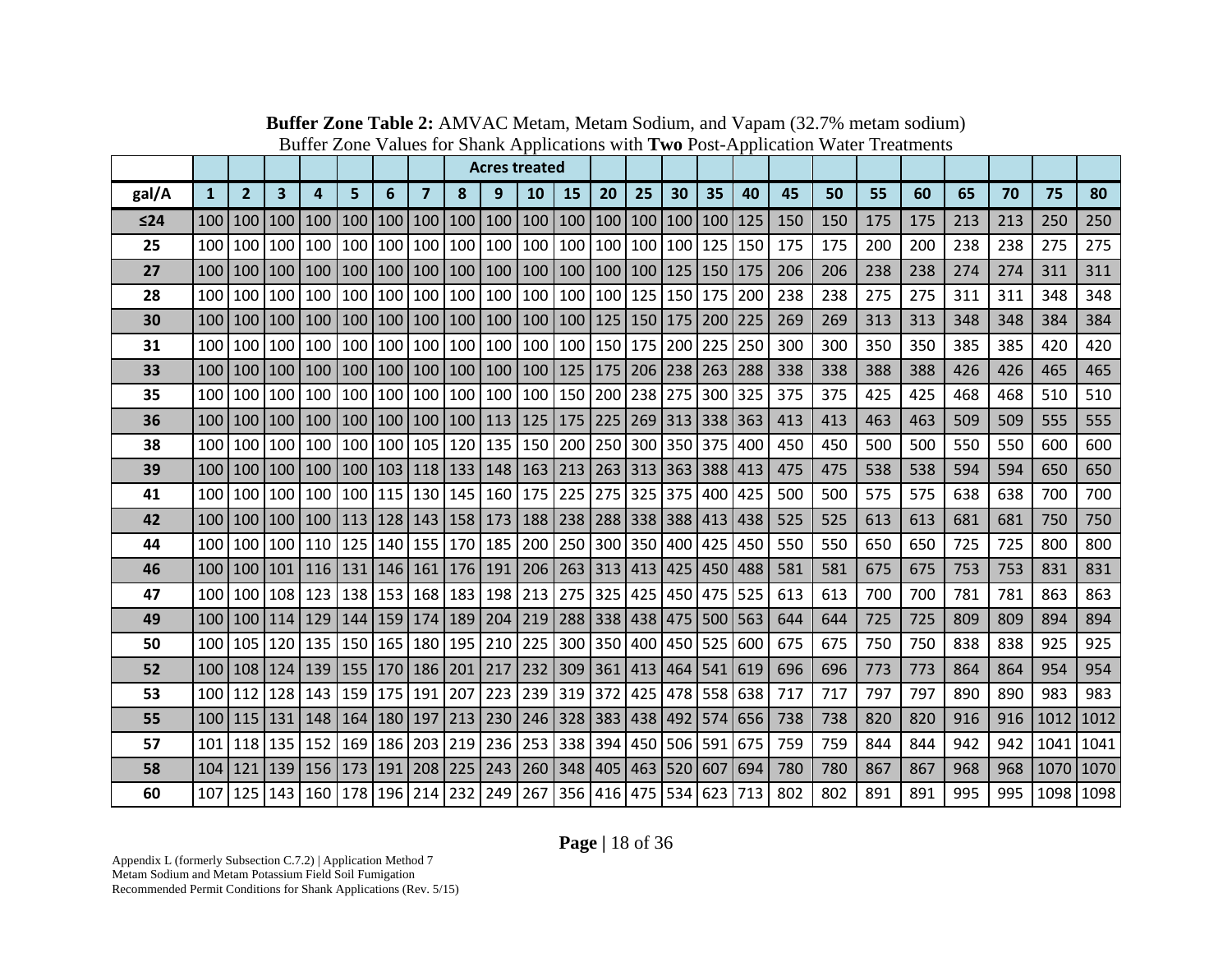|       |                  |                  |                         |                         |                                                                             |     |                       |             |     | <b>Acres treated</b>                    |                                   |         |                     |    |     |     |     |     |     |     |     |     |           |      |
|-------|------------------|------------------|-------------------------|-------------------------|-----------------------------------------------------------------------------|-----|-----------------------|-------------|-----|-----------------------------------------|-----------------------------------|---------|---------------------|----|-----|-----|-----|-----|-----|-----|-----|-----|-----------|------|
| gal/A | $\mathbf{1}$     | 2 <sup>2</sup>   | $\overline{\mathbf{3}}$ | $\overline{\mathbf{4}}$ | 5                                                                           | 6   | $\overline{7}$        | 8           | 9   | 10                                      | 15                                | 20      | 25                  | 30 | 35  | 40  | 45  | 50  | 55  | 60  | 65  | 70  | 75        | 80   |
| ≤24   | 100              | 100              | 100                     | 100                     | 100                                                                         | 100 | 100                   | 100         | 100 | 100                                     | 100                               | 100     | 100 100 100         |    |     | 125 | 150 | 150 | 175 | 175 | 213 | 213 | 250       | 250  |
| 25    | 100              | 100 100          |                         | 100                     | 100                                                                         | 100 | 100                   | 100 100     |     | 100                                     | 100                               |         | 100 100 100 125     |    |     | 150 | 175 | 175 | 200 | 200 | 238 | 238 | 275       | 275  |
| 27    | 100              |                  | 100   100               |                         | 100   100   100   100   100   100                                           |     |                       |             |     |                                         | 100   100   100   100   125   150 |         |                     |    |     | 175 | 206 | 206 | 238 | 238 | 274 | 274 | 311       | 311  |
| 28    |                  | 100 100 100      |                         |                         | 100 100 100                                                                 |     |                       | 100 100 100 |     |                                         | 100   100   100   125   150   175 |         |                     |    |     | 200 | 238 | 238 | 275 | 275 | 311 | 311 | 348       | 348  |
| 30    | 100 <sup>1</sup> | 100 100          |                         |                         | 100   100   100   100   100   100                                           |     |                       |             |     |                                         | 100   100   125   150   175   200 |         |                     |    |     | 225 | 269 | 269 | 313 | 313 | 348 | 348 | 384       | 384  |
| 31    |                  | 100 100 100      |                         |                         | 100   100   100   100   100   100                                           |     |                       |             |     |                                         | 100   100   150   175   200   225 |         |                     |    |     | 250 | 300 | 300 | 350 | 350 | 385 | 385 | 420       | 420  |
| 33    | 100              | 100              | 100                     |                         | 100 100 100                                                                 |     |                       | 100 100 100 |     |                                         | 100   125   175   206   238   263 |         |                     |    |     | 288 | 338 | 338 | 388 | 388 | 426 | 426 | 465       | 465  |
| 35    | 100              |                  | 100 100                 | 100                     | 100                                                                         | 100 | 100                   | 100 100     |     | 100                                     | 150                               | 200     | 238 275             |    | 300 | 325 | 375 | 375 | 425 | 425 | 468 | 468 | 510       | 510  |
| 36    | 100 <sup>1</sup> | 100 100          |                         |                         | 100   100   100   100   100   113   125   175   225   269   313   338   363 |     |                       |             |     |                                         |                                   |         |                     |    |     |     | 413 | 413 | 463 | 463 | 509 | 509 | 555       | 555  |
| 38    |                  | 100 100 100      |                         |                         | 100 100 100                                                                 |     |                       | 105 120 135 |     |                                         | 150   200   250   300   350   375 |         |                     |    |     | 400 | 450 | 450 | 500 | 500 | 550 | 550 | 600       | 600  |
| 39    | 100              | 100 <sup>1</sup> | 100                     |                         | 100   100   103   118   133   148   163   213   263   313   363   388   413 |     |                       |             |     |                                         |                                   |         |                     |    |     |     | 475 | 475 | 538 | 538 | 594 | 594 | 650       | 650  |
| 41    |                  | 100 100 100      |                         |                         | 100 100 115                                                                 |     |                       | 130 145 160 |     |                                         | 175 225                           |         | 275 325 375         |    | 400 | 425 | 500 | 500 | 575 | 575 | 638 | 638 | 700       | 700  |
| 42    |                  |                  | 100   100   100         |                         | 100   113   128   143   158   173   188   238   288   338   388   413   438 |     |                       |             |     |                                         |                                   |         |                     |    |     |     | 525 | 525 | 613 | 613 | 681 | 681 | 750       | 750  |
| 44    | 100              | 100 100          |                         | 110                     | 125 140                                                                     |     |                       | 155 170 185 |     | 200                                     |                                   |         | 250 300 350 400     |    | 425 | 450 | 550 | 550 | 650 | 650 | 725 | 725 | 800       | 800  |
| 46    | 100 <sub>1</sub> | 100 <sup>1</sup> | 101                     |                         | 116   131                                                                   |     | 146   161   176   191 |             |     |                                         | 206 263 313 413 425               |         |                     |    | 450 | 488 | 581 | 581 | 675 | 675 | 753 | 753 | 831       | 831  |
| 47    | 100 l            |                  | 100 108                 |                         | 123   138   153                                                             |     |                       |             |     | 168   183   198   213                   |                                   |         | 275 325 425 450 475 |    |     | 525 | 613 | 613 | 700 | 700 | 781 | 781 | 863       | 863  |
| 49    | 100 <sup>1</sup> |                  | 100   114               |                         | 129   144   159   174   189   204                                           |     |                       |             |     | 219   288   338   438   475   500   563 |                                   |         |                     |    |     |     | 644 | 644 | 725 | 725 | 809 | 809 | 894       | 894  |
| 50    |                  |                  | 100 105 120             |                         | 135   150   165                                                             |     |                       | 180 195 210 |     |                                         | 225 300 350 400 450 525           |         |                     |    |     | 600 | 675 | 675 | 750 | 750 | 838 | 838 | 925       | 925  |
| 52    |                  |                  | 100   108   124         |                         | 139   155   170   186   201   217   232   309   361   413   464   541   619 |     |                       |             |     |                                         |                                   |         |                     |    |     |     | 696 | 696 | 773 | 773 | 864 | 864 | 954       | 954  |
| 53    |                  | 100   112        | 128                     |                         | 143 159 175 191                                                             |     |                       | 207         | 223 |                                         | 239 319 372 425 478 558           |         |                     |    |     | 638 | 717 | 717 | 797 | 797 | 890 | 890 | 983       | 983  |
| 55    | 100              | 115              | 131                     |                         | 148   164   180                                                             |     | 197                   | 213         | 230 |                                         | 246 328 383 438 492 574 656       |         |                     |    |     |     | 738 | 738 | 820 | 820 | 916 | 916 | 1012      | 1012 |
| 57    | 101              |                  | 118 135                 | 152                     | 169                                                                         | 186 | 203                   | 219 236     |     |                                         | 253 338 394                       |         | 450 506 591         |    |     | 675 | 759 | 759 | 844 | 844 | 942 | 942 | 1041      | 1041 |
| 58    | 104              | $121$            | 139                     |                         | 156   173   191   208   225   243                                           |     |                       |             |     |                                         | 260   348   405   463   520   607 |         |                     |    |     | 694 | 780 | 780 | 867 | 867 | 968 | 968 | 1070 1070 |      |
| 60    |                  | 107 125 143      |                         | 160                     | 178                                                                         | 196 | 214                   | 232 249     |     | 267                                     |                                   | 356 416 | 475 534             |    | 623 | 713 | 802 | 802 | 891 | 891 | 995 | 995 | 1098 1098 |      |

**Buffer Zone Table 2:** AMVAC Metam, Metam Sodium, and Vapam (32.7% metam sodium) Buffer Zone Values for Shank Applications with **Two** Post-Application Water Treatments

**Page |** 18 of 36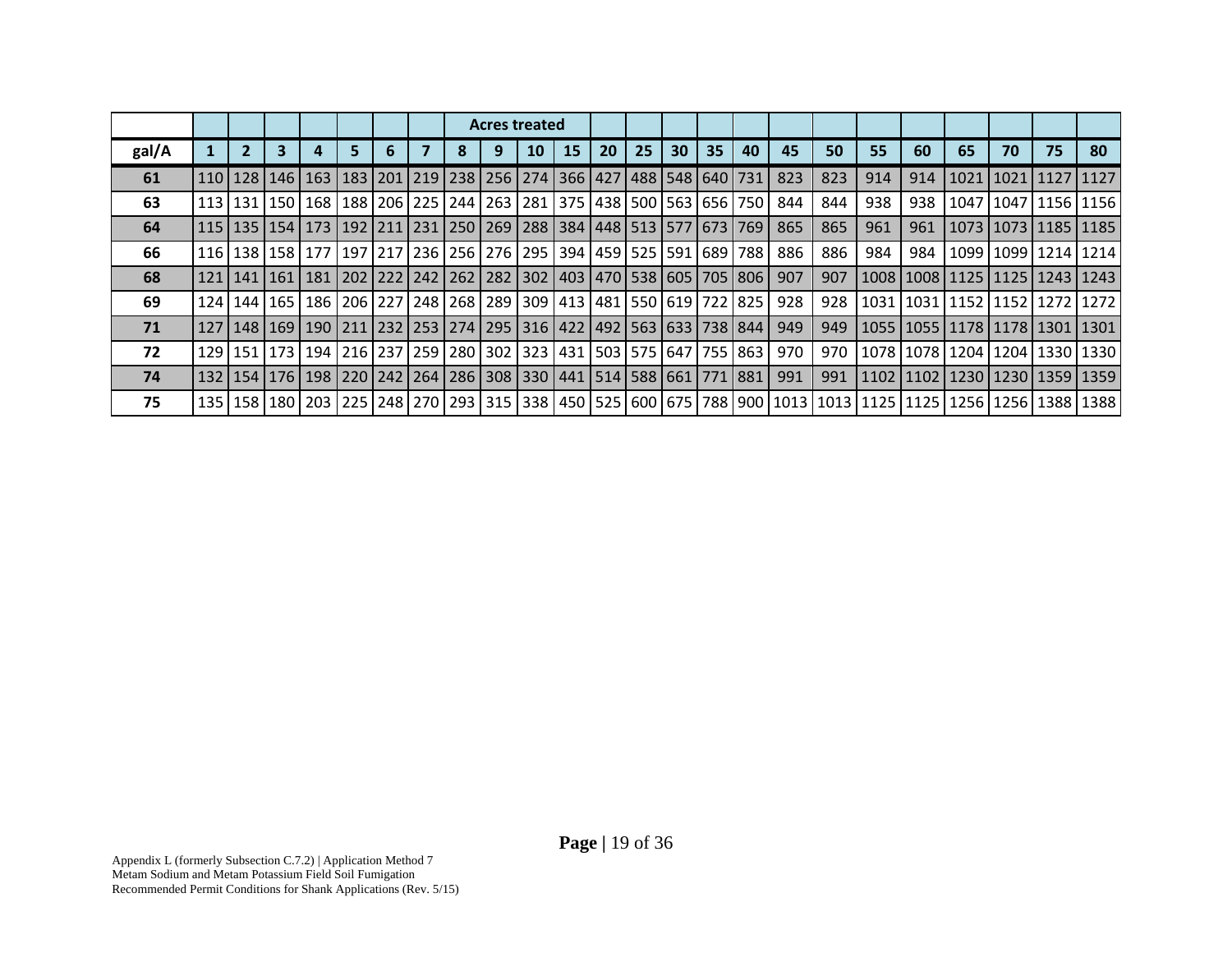|       |                 |                 |                                                                                               |    |  |   | <b>Acres treated</b><br>15<br>10<br>163   183   201   219   238   256   274   366   427   488   548   640   731  <br>113   131   150   168   188   206   225   244   263   281   375   438   500   563   656   750  <br>115   135   154   173   192   211   231   250   269   288   384   448   513   577   673   769  <br>116   138   158   177   197   217   236   256   276   295   394   459   525   591   689   788  <br>181   202   222   242   262   282   302   403   470   538   605   705   806  <br>186   206   227   248   268   289   309   413   481   550   619   722   825  <br>127   148   169   190   211   232   253   274   295   316   422   492   563   633   738   844  <br>  194   216   237   259   280   302   323   431   503   575   647   755   863 |  |  |           |    |    |    |    |     |     |     |     |                                                                                                                                                                                                                                 |                    |    |                           |
|-------|-----------------|-----------------|-----------------------------------------------------------------------------------------------|----|--|---|----------------------------------------------------------------------------------------------------------------------------------------------------------------------------------------------------------------------------------------------------------------------------------------------------------------------------------------------------------------------------------------------------------------------------------------------------------------------------------------------------------------------------------------------------------------------------------------------------------------------------------------------------------------------------------------------------------------------------------------------------------------------------------|--|--|-----------|----|----|----|----|-----|-----|-----|-----|---------------------------------------------------------------------------------------------------------------------------------------------------------------------------------------------------------------------------------|--------------------|----|---------------------------|
| gal/A | $\mathbf{2}$    |                 |                                                                                               | 5. |  | 8 |                                                                                                                                                                                                                                                                                                                                                                                                                                                                                                                                                                                                                                                                                                                                                                                  |  |  | <b>20</b> | 25 | 30 | 35 | 40 | 45  | 50  | 55  | 60  | 65                                                                                                                                                                                                                              | 70                 | 75 | 80                        |
| 61    |                 | 110   128   146 |                                                                                               |    |  |   |                                                                                                                                                                                                                                                                                                                                                                                                                                                                                                                                                                                                                                                                                                                                                                                  |  |  |           |    |    |    |    | 823 | 823 | 914 | 914 |                                                                                                                                                                                                                                 | 1021   1021   1127 |    | 1127                      |
| 63    |                 |                 |                                                                                               |    |  |   |                                                                                                                                                                                                                                                                                                                                                                                                                                                                                                                                                                                                                                                                                                                                                                                  |  |  |           |    |    |    |    | 844 | 844 | 938 | 938 |                                                                                                                                                                                                                                 |                    |    | 1047   1047   1156   1156 |
| 64    |                 |                 |                                                                                               |    |  |   |                                                                                                                                                                                                                                                                                                                                                                                                                                                                                                                                                                                                                                                                                                                                                                                  |  |  |           |    |    |    |    | 865 | 865 | 961 | 961 |                                                                                                                                                                                                                                 |                    |    | 1073   1073   1185   1185 |
| 66    |                 |                 |                                                                                               |    |  |   |                                                                                                                                                                                                                                                                                                                                                                                                                                                                                                                                                                                                                                                                                                                                                                                  |  |  |           |    |    |    |    | 886 | 886 | 984 | 984 |                                                                                                                                                                                                                                 |                    |    | 1099   1099   1214   1214 |
| 68    | 121   141   161 |                 |                                                                                               |    |  |   |                                                                                                                                                                                                                                                                                                                                                                                                                                                                                                                                                                                                                                                                                                                                                                                  |  |  |           |    |    |    |    | 907 | 907 |     |     | 1008   1008   1125   1125   1243   1243                                                                                                                                                                                         |                    |    |                           |
| 69    | 124   144   165 |                 |                                                                                               |    |  |   |                                                                                                                                                                                                                                                                                                                                                                                                                                                                                                                                                                                                                                                                                                                                                                                  |  |  |           |    |    |    |    | 928 | 928 |     |     | 1031   1031   1152   1152   1272   1272                                                                                                                                                                                         |                    |    |                           |
| 71    |                 |                 |                                                                                               |    |  |   |                                                                                                                                                                                                                                                                                                                                                                                                                                                                                                                                                                                                                                                                                                                                                                                  |  |  |           |    |    |    |    | 949 | 949 |     |     | 1055   1055   1178   1178   1301   1301                                                                                                                                                                                         |                    |    |                           |
| 72    |                 | 129 151 173     |                                                                                               |    |  |   |                                                                                                                                                                                                                                                                                                                                                                                                                                                                                                                                                                                                                                                                                                                                                                                  |  |  |           |    |    |    |    | 970 | 970 |     |     | 1078   1078   1204   1204   1330   1330                                                                                                                                                                                         |                    |    |                           |
| 74    |                 |                 | 132   154   176   198   220   242   264   286   308   330   441   514   588   661   771   881 |    |  |   |                                                                                                                                                                                                                                                                                                                                                                                                                                                                                                                                                                                                                                                                                                                                                                                  |  |  |           |    |    |    |    | 991 | 991 |     |     | 1102   1102   1230   1230   1359   1359                                                                                                                                                                                         |                    |    |                           |
| 75    |                 |                 |                                                                                               |    |  |   |                                                                                                                                                                                                                                                                                                                                                                                                                                                                                                                                                                                                                                                                                                                                                                                  |  |  |           |    |    |    |    |     |     |     |     | 138   138   139   139   139   139   139   139   139   139   149   149   149   149   149   149   149   169   169   169   169   169   169   179   179   179   179   179   179   179   179   179   179   179   179   179   179   1 |                    |    |                           |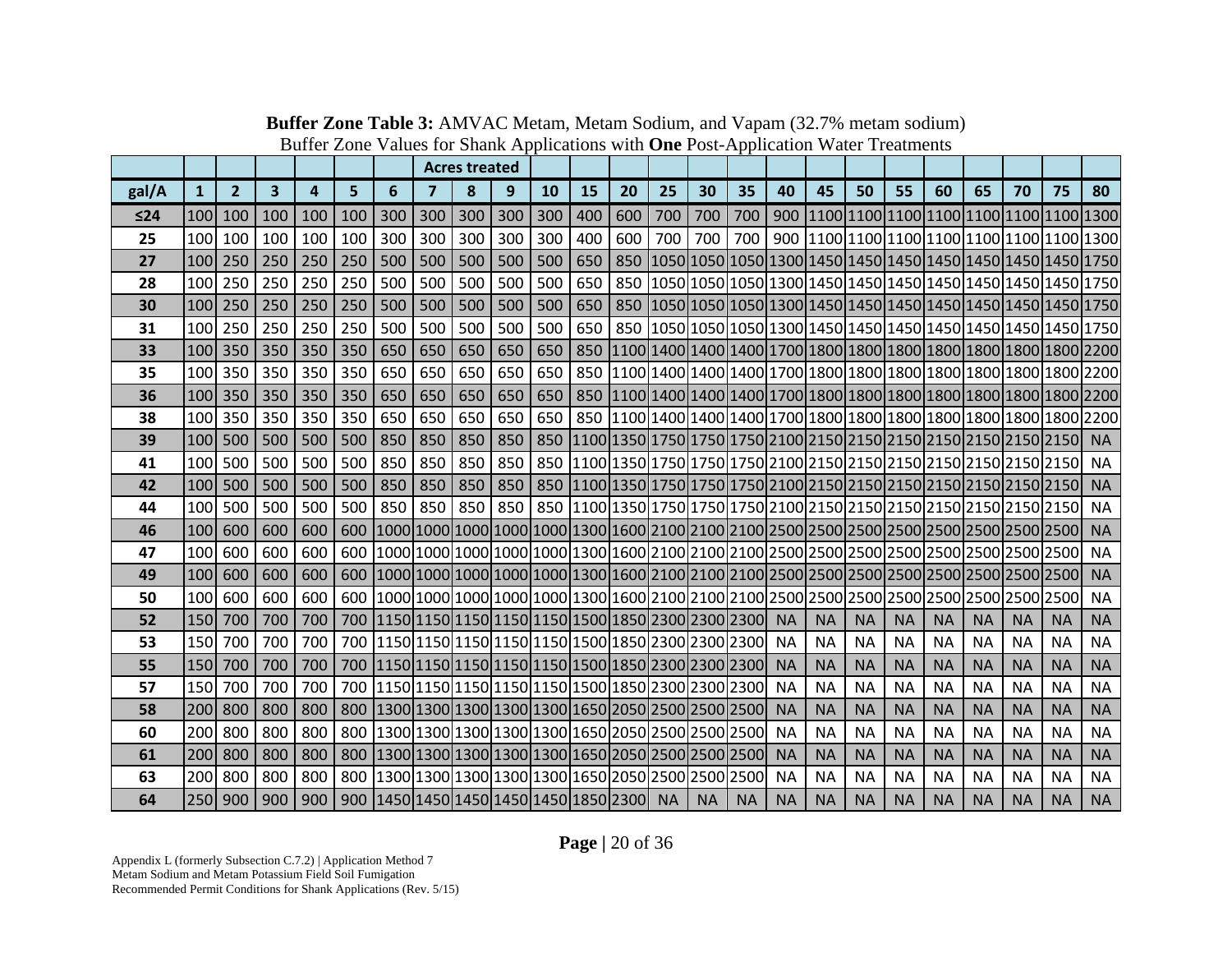|           |              |                |     |     |     |                                                       |         | <b>Acres treated</b> |     |     |     |     |           |           |                                                                                  |           |           |           |           |           |           |           |                                                                 |           |
|-----------|--------------|----------------|-----|-----|-----|-------------------------------------------------------|---------|----------------------|-----|-----|-----|-----|-----------|-----------|----------------------------------------------------------------------------------|-----------|-----------|-----------|-----------|-----------|-----------|-----------|-----------------------------------------------------------------|-----------|
| gal/A     | $\mathbf{1}$ | $\overline{2}$ | 3   | 4   | 5   | 6                                                     | 7       | 8                    | 9   | 10  | 15  | 20  | 25        | 30        | 35                                                                               | 40        | 45        | 50        | 55        | 60        | 65        | 70        | 75                                                              | 80        |
| $\leq 24$ | 100          | 100            | 100 | 100 | 100 | 300                                                   | 300     | 300                  | 300 | 300 | 400 | 600 | 700       | 700       | 700                                                                              |           |           |           |           |           |           |           |                                                                 |           |
| 25        | 100          | 100            | 100 | 100 | 100 | 300                                                   | 300     | 300                  | 300 | 300 | 400 | 600 | 700       | 700       | 700                                                                              |           |           |           |           |           |           |           |                                                                 |           |
| 27        | 100          | 250            | 250 | 250 | 250 | 500                                                   | 500     | 500                  | 500 | 500 | 650 | 850 |           |           |                                                                                  |           |           |           |           |           |           |           | 1050 1050 1050 1300 1450 1450 1450 1450 1450 1450 1450 1750     |           |
| 28        | 100          | 250            | 250 | 250 | 250 | 500                                                   | 500     | 500                  | 500 | 500 | 650 | 850 |           |           |                                                                                  |           |           |           |           |           |           |           | 1050 1050 1050 1300 1450 1450 1450 1450 1450 1450 1450 1750     |           |
| 30        | 100          | 250            | 250 | 250 | 250 | 500                                                   | 500     | 500                  | 500 | 500 | 650 |     |           |           |                                                                                  |           |           |           |           |           |           |           | 850 1050 1050 1050 1300 1450 1450 1450 1450 1450 1450 1450 1750 |           |
| 31        | 100          | 250            | 250 | 250 | 250 | 500                                                   | 500     | 500                  | 500 | 500 | 650 |     |           |           |                                                                                  |           |           |           |           |           |           |           | 850 1050 1050 1050 1300 1450 1450 1450 1450 1450 1450 1450 1750 |           |
| 33        | 100          | 350            | 350 | 350 | 350 | 650                                                   | 650     | 650                  | 650 | 650 | 850 |     |           |           |                                                                                  |           |           |           |           |           |           |           |                                                                 |           |
| 35        | 100          | 350            | 350 | 350 | 350 | 650                                                   | 650     | 650                  | 650 | 650 | 850 |     |           |           |                                                                                  |           |           |           |           |           |           |           |                                                                 |           |
| 36        |              | 100 350        | 350 | 350 | 350 | 650                                                   | 650     | 650                  | 650 | 650 |     |     |           |           |                                                                                  |           |           |           |           |           |           |           |                                                                 |           |
| 38        | 100          | 350            | 350 | 350 | 350 | 650                                                   | 650     | 650                  | 650 | 650 |     |     |           |           |                                                                                  |           |           |           |           |           |           |           |                                                                 |           |
| 39        | 100          | 500            | 500 | 500 | 500 | 850                                                   | 850     | 850                  | 850 |     |     |     |           |           |                                                                                  |           |           |           |           |           |           |           |                                                                 | <b>NA</b> |
| 41        | 100          | 500            | 500 | 500 | 500 | 850                                                   | 850     | 850                  | 850 |     |     |     |           |           |                                                                                  |           |           |           |           |           |           |           |                                                                 | <b>NA</b> |
| 42        | 100          | 500            | 500 | 500 | 500 | 850                                                   | 850     | 850                  | 850 |     |     |     |           |           |                                                                                  |           |           |           |           |           |           |           |                                                                 | <b>NA</b> |
| 44        | 100          | 500            | 500 | 500 | 500 | 850                                                   | 850 850 |                      | 850 |     |     |     |           |           |                                                                                  |           |           |           |           |           |           |           |                                                                 | <b>NA</b> |
| 46        | 100          | 600            | 600 | 600 | 600 |                                                       |         |                      |     |     |     |     |           |           |                                                                                  |           |           |           |           |           |           |           |                                                                 | <b>NA</b> |
| 47        | 100          | 600            | 600 | 600 |     |                                                       |         |                      |     |     |     |     |           |           |                                                                                  |           |           |           |           |           |           |           |                                                                 | <b>NA</b> |
| 49        | 100          | 600            | 600 | 600 |     |                                                       |         |                      |     |     |     |     |           |           |                                                                                  |           |           |           |           |           |           |           |                                                                 | <b>NA</b> |
| 50        | 100          | 600            | 600 | 600 |     |                                                       |         |                      |     |     |     |     |           |           |                                                                                  |           |           |           |           |           |           |           |                                                                 | <b>NA</b> |
| 52        | 150          | 700            | 700 | 700 |     |                                                       |         |                      |     |     |     |     |           |           | 700   1150   1150   1150   1150   1150   1150   1500   1850   2300   2300   2300 | <b>NA</b> | <b>NA</b> | <b>NA</b> | <b>NA</b> | <b>NA</b> | <b>NA</b> | <b>NA</b> | <b>NA</b>                                                       | <b>NA</b> |
| 53        | 150          | 700            | 700 | 700 |     |                                                       |         |                      |     |     |     |     |           |           | 700 1150 1150 1150 1150 1150 1500 1650 2300 2300 2300 2300                       | <b>NA</b> | <b>NA</b> | <b>NA</b> | <b>NA</b> | <b>NA</b> | <b>NA</b> | <b>NA</b> | <b>NA</b>                                                       | <b>NA</b> |
| 55        | 150          | 700            | 700 | 700 |     |                                                       |         |                      |     |     |     |     |           |           | 700   1150   1150   1150   1150   1150   1150   1500   1850   2300   2300   2300 | <b>NA</b> | <b>NA</b> | <b>NA</b> | <b>NA</b> | <b>NA</b> | <b>NA</b> | <b>NA</b> | <b>NA</b>                                                       | <b>NA</b> |
| 57        | 150          | 700            | 700 | 700 |     |                                                       |         |                      |     |     |     |     |           |           | 700  1150 1150 1150 1150 1150 1500 1850 2300 2300 2300                           | <b>NA</b> | <b>NA</b> | <b>NA</b> | <b>NA</b> | <b>NA</b> | <b>NA</b> | <b>NA</b> | <b>NA</b>                                                       | <b>NA</b> |
| 58        | 200          | 800            | 800 | 800 |     |                                                       |         |                      |     |     |     |     |           |           | 800  1300 1300 1300 1300 1300 1650 2050 2500 2500 2500                           | <b>NA</b> | <b>NA</b> | <b>NA</b> | <b>NA</b> | <b>NA</b> | <b>NA</b> | <b>NA</b> | <b>NA</b>                                                       | <b>NA</b> |
| 60        | 200          | 800            | 800 | 800 |     |                                                       |         |                      |     |     |     |     |           |           | 800 1300 1300 1300 1300 1300 1650 2050 2500 2500 2500 2500                       | <b>NA</b> | <b>NA</b> | <b>NA</b> | <b>NA</b> | <b>NA</b> | <b>NA</b> | <b>NA</b> | <b>NA</b>                                                       | <b>NA</b> |
| 61        | 200          | 800            | 800 | 800 | 800 |                                                       |         |                      |     |     |     |     |           |           | 1300 1300 1300 1300 1300 1650 2050 2500 2500 2500                                | <b>NA</b> | <b>NA</b> | <b>NA</b> | <b>NA</b> | <b>NA</b> | <b>NA</b> | <b>NA</b> | <b>NA</b>                                                       | <b>NA</b> |
| 63        | 200          | 800            | 800 | 800 |     | 800 1300 1300 1300 1300 1300 1650 2050 2500 2500 2500 |         |                      |     |     |     |     |           |           |                                                                                  | <b>NA</b> | <b>NA</b> | <b>NA</b> | <b>NA</b> | <b>NA</b> | <b>NA</b> | <b>NA</b> | <b>NA</b>                                                       | <b>NA</b> |
| 64        | 250          | 900            | 900 | 900 |     | 900   1450   1450   1450   1450   1450   1850   2300  |         |                      |     |     |     |     | <b>NA</b> | <b>NA</b> | <b>NA</b>                                                                        | <b>NA</b> | <b>NA</b> | <b>NA</b> | <b>NA</b> | <b>NA</b> | <b>NA</b> | <b>NA</b> | <b>NA</b>                                                       | <b>NA</b> |

**Buffer Zone Table 3:** AMVAC Metam, Metam Sodium, and Vapam (32.7% metam sodium) Buffer Zone Values for Shank Applications with **One** Post-Application Water Treatments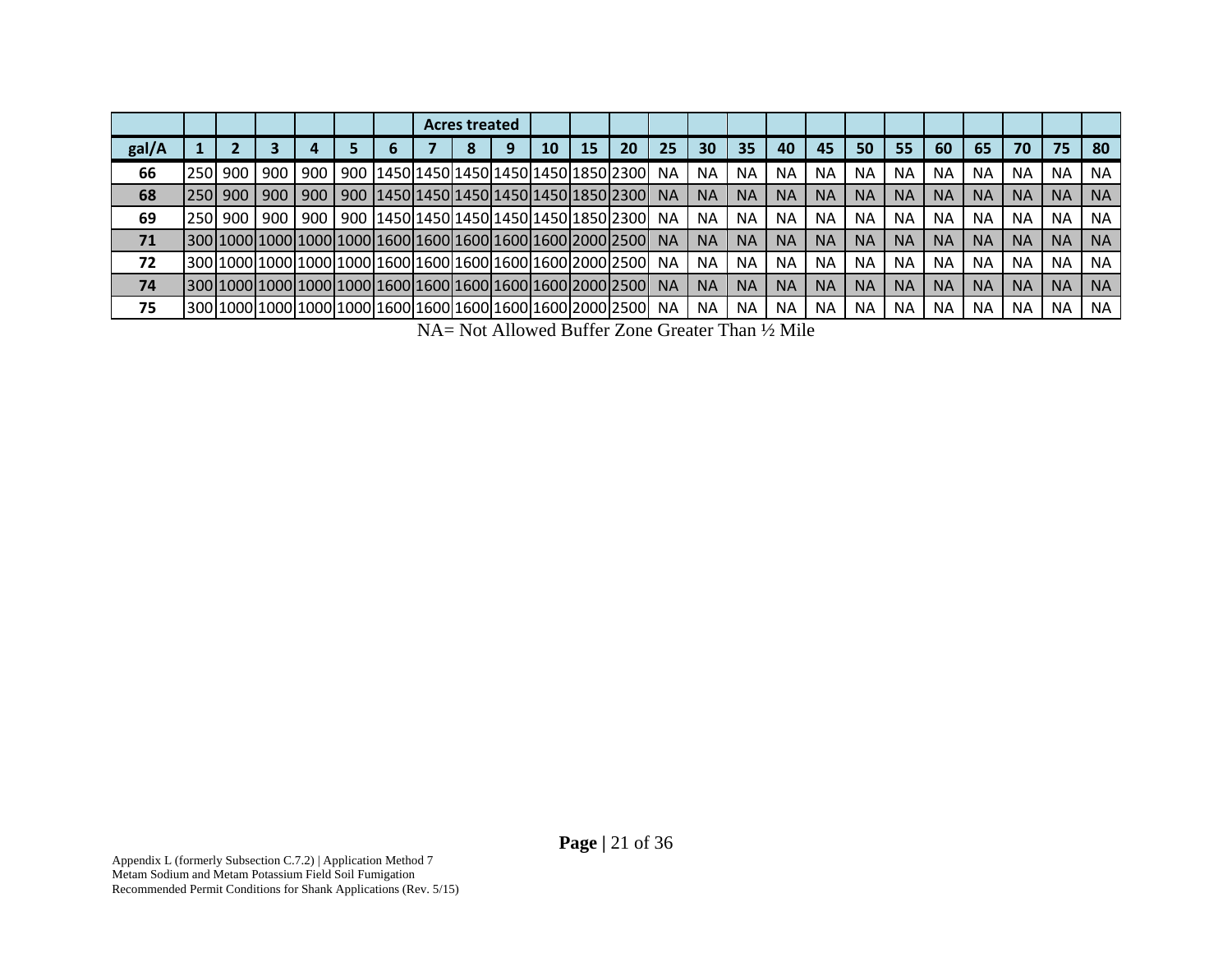|       |      |                  |       |     |   | <b>Acres treated</b> |                                                                                                     |    |    |    |           |           |           |           |           |           |           |           |           |           |           |           |
|-------|------|------------------|-------|-----|---|----------------------|-----------------------------------------------------------------------------------------------------|----|----|----|-----------|-----------|-----------|-----------|-----------|-----------|-----------|-----------|-----------|-----------|-----------|-----------|
| gal/A |      |                  |       |     | b |                      |                                                                                                     | 10 | 15 | 20 | 25        | 30        | 35        | 40        | 45        | 50        | 55        | 60        | 65        | 70        | 75        | 80        |
| 66    | 250  | 900              | 900   | 900 |   |                      | 900  1450 1450 1450 1450 1450 1850 2300                                                             |    |    |    | ΝA        | <b>NA</b> | ΝA        | NA.       | <b>NA</b> | NA.       | NA.       | <b>NA</b> | NA.       | <b>NA</b> | <b>NA</b> | <b>NA</b> |
| 68    | 250I | 900 <sub>1</sub> | 900   | 900 |   |                      | 900   1450   1450   1450   1450   1450   1450   1450   1460   1461   1460   1460   1460   1460   14 |    |    |    | <b>NA</b> | <b>NA</b> | <b>NA</b> | <b>NA</b> | <b>NA</b> | <b>NA</b> | <b>NA</b> | <b>NA</b> | <b>NA</b> | <b>NA</b> | <b>NA</b> | <b>NA</b> |
| 69    | 250I | 900              | 900 l | 900 |   |                      | 900  1450 1450 1450 1450 1450 1850 2300                                                             |    |    |    | <b>NA</b> | <b>NA</b> | ΝA        | <b>NA</b> | <b>NA</b> | <b>NA</b> | <b>NA</b> | <b>NA</b> | <b>NA</b> | <b>NA</b> | <b>NA</b> | <b>NA</b> |
| 71    |      |                  |       |     |   |                      |                                                                                                     |    |    |    | <b>NA</b> | <b>NA</b> | <b>NA</b> | <b>NA</b> | <b>NA</b> | <b>NA</b> | <b>NA</b> | <b>NA</b> | <b>NA</b> | <b>NA</b> | <b>NA</b> | <b>NA</b> |
| 72    |      |                  |       |     |   |                      |                                                                                                     |    |    |    | <b>NA</b> | <b>NA</b> | <b>NA</b> | <b>NA</b> | <b>NA</b> | <b>NA</b> | <b>NA</b> | <b>NA</b> | <b>NA</b> | <b>NA</b> | <b>NA</b> | <b>NA</b> |
| 74    |      |                  |       |     |   |                      |                                                                                                     |    |    |    | <b>NA</b> | <b>NA</b> | <b>NA</b> | <b>NA</b> | <b>NA</b> | <b>NA</b> | <b>NA</b> | <b>NA</b> | <b>NA</b> | <b>NA</b> | <b>NA</b> | <b>NA</b> |
| 75    |      |                  |       |     |   |                      |                                                                                                     |    |    |    | NA.       | <b>NA</b> | <b>NA</b> | <b>NA</b> | <b>NA</b> | NA.       | <b>NA</b> | <b>NA</b> | NA.       | <b>NA</b> | <b>NA</b> | <b>NA</b> |

NA= Not Allowed Buffer Zone Greater Than ½ Mile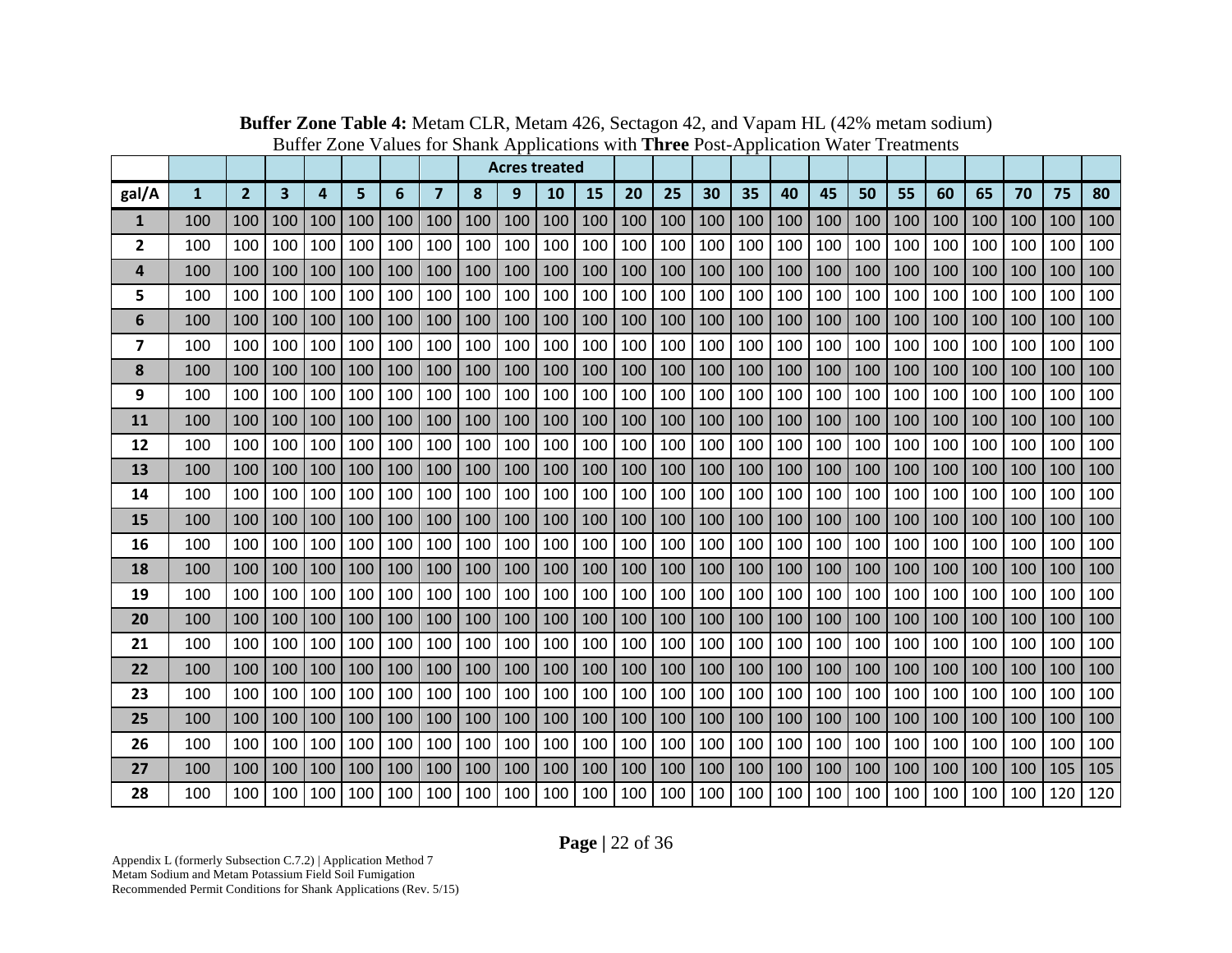|                |              |                |     |     |     |     |                |     |     | <b>Acres treated</b> |     |     |     |     |     |     |     |     |     |     |     |     |     |     |
|----------------|--------------|----------------|-----|-----|-----|-----|----------------|-----|-----|----------------------|-----|-----|-----|-----|-----|-----|-----|-----|-----|-----|-----|-----|-----|-----|
| gal/A          | $\mathbf{1}$ | $\overline{2}$ | 3   | 4   | 5   | 6   | $\overline{7}$ | 8   | 9   | 10                   | 15  | 20  | 25  | 30  | 35  | 40  | 45  | 50  | 55  | 60  | 65  | 70  | 75  | 80  |
| 1              | 100          | 100            | 100 | 100 | 100 | 100 | 100            | 100 | 100 | 100                  | 100 | 100 | 100 | 100 | 100 | 100 | 100 | 100 | 100 | 100 | 100 | 100 | 100 | 100 |
| $\overline{2}$ | 100          | 100            | 100 | 100 | 100 | 100 | 100            | 100 | 100 | 100                  | 100 | 100 | 100 | 100 | 100 | 100 | 100 | 100 | 100 | 100 | 100 | 100 | 100 | 100 |
| 4              | 100          | 100            | 100 | 100 | 100 | 100 | 100            | 100 | 100 | 100                  | 100 | 100 | 100 | 100 | 100 | 100 | 100 | 100 | 100 | 100 | 100 | 100 | 100 | 100 |
| 5              | 100          | 100            | 100 | 100 | 100 | 100 | 100            | 100 | 100 | 100                  | 100 | 100 | 100 | 100 | 100 | 100 | 100 | 100 | 100 | 100 | 100 | 100 | 100 | 100 |
| 6              | 100          | 100            | 100 | 100 | 100 | 100 | 100            | 100 | 100 | 100                  | 100 | 100 | 100 | 100 | 100 | 100 | 100 | 100 | 100 | 100 | 100 | 100 | 100 | 100 |
| 7              | 100          | 100            | 100 | 100 | 100 | 100 | 100            | 100 | 100 | 100                  | 100 | 100 | 100 | 100 | 100 | 100 | 100 | 100 | 100 | 100 | 100 | 100 | 100 | 100 |
| 8              | 100          | 100            | 100 | 100 | 100 | 100 | 100            | 100 | 100 | 100                  | 100 | 100 | 100 | 100 | 100 | 100 | 100 | 100 | 100 | 100 | 100 | 100 | 100 | 100 |
| 9              | 100          | 100            | 100 | 100 | 100 | 100 | 100            | 100 | 100 | 100                  | 100 | 100 | 100 | 100 | 100 | 100 | 100 | 100 | 100 | 100 | 100 | 100 | 100 | 100 |
| 11             | 100          | 100            | 100 | 100 | 100 | 100 | 100            | 100 | 100 | 100                  | 100 | 100 | 100 | 100 | 100 | 100 | 100 | 100 | 100 | 100 | 100 | 100 | 100 | 100 |
| 12             | 100          | 100            | 100 | 100 | 100 | 100 | 100            | 100 | 100 | 100                  | 100 | 100 | 100 | 100 | 100 | 100 | 100 | 100 | 100 | 100 | 100 | 100 | 100 | 100 |
| 13             | 100          | 100            | 100 | 100 | 100 | 100 | 100            | 100 | 100 | 100                  | 100 | 100 | 100 | 100 | 100 | 100 | 100 | 100 | 100 | 100 | 100 | 100 | 100 | 100 |
| 14             | 100          | 100            | 100 | 100 | 100 | 100 | 100            | 100 | 100 | 100                  | 100 | 100 | 100 | 100 | 100 | 100 | 100 | 100 | 100 | 100 | 100 | 100 | 100 | 100 |
| 15             | 100          | 100            | 100 | 100 | 100 | 100 | 100            | 100 | 100 | 100                  | 100 | 100 | 100 | 100 | 100 | 100 | 100 | 100 | 100 | 100 | 100 | 100 | 100 | 100 |
| 16             | 100          | 100            | 100 | 100 | 100 | 100 | 100            | 100 | 100 | 100                  | 100 | 100 | 100 | 100 | 100 | 100 | 100 | 100 | 100 | 100 | 100 | 100 | 100 | 100 |
| 18             | 100          | 100            | 100 | 100 | 100 | 100 | 100            | 100 | 100 | 100                  | 100 | 100 | 100 | 100 | 100 | 100 | 100 | 100 | 100 | 100 | 100 | 100 | 100 | 100 |
| 19             | 100          | 100            | 100 | 100 | 100 | 100 | 100            | 100 | 100 | 100                  | 100 | 100 | 100 | 100 | 100 | 100 | 100 | 100 | 100 | 100 | 100 | 100 | 100 | 100 |
| 20             | 100          | 100            | 100 | 100 | 100 | 100 | 100            | 100 | 100 | 100                  | 100 | 100 | 100 | 100 | 100 | 100 | 100 | 100 | 100 | 100 | 100 | 100 | 100 | 100 |
| 21             | 100          | 100            | 100 | 100 | 100 | 100 | 100            | 100 | 100 | 100                  | 100 | 100 | 100 | 100 | 100 | 100 | 100 | 100 | 100 | 100 | 100 | 100 | 100 | 100 |
| 22             | 100          | 100            | 100 | 100 | 100 | 100 | 100            | 100 | 100 | 100                  | 100 | 100 | 100 | 100 | 100 | 100 | 100 | 100 | 100 | 100 | 100 | 100 | 100 | 100 |
| 23             | 100          | 100            | 100 | 100 | 100 | 100 | 100            | 100 | 100 | 100                  | 100 | 100 | 100 | 100 | 100 | 100 | 100 | 100 | 100 | 100 | 100 | 100 | 100 | 100 |
| 25             | 100          | 100            | 100 | 100 | 100 | 100 | 100            | 100 | 100 | 100                  | 100 | 100 | 100 | 100 | 100 | 100 | 100 | 100 | 100 | 100 | 100 | 100 | 100 | 100 |
| 26             | 100          | 100            | 100 | 100 | 100 | 100 | 100            | 100 | 100 | 100                  | 100 | 100 | 100 | 100 | 100 | 100 | 100 | 100 | 100 | 100 | 100 | 100 | 100 | 100 |
| 27             | 100          | 100            | 100 | 100 | 100 | 100 | 100            | 100 | 100 | 100                  | 100 | 100 | 100 | 100 | 100 | 100 | 100 | 100 | 100 | 100 | 100 | 100 | 105 | 105 |
| 28             | 100          | 100            | 100 | 100 | 100 | 100 | 100            | 100 | 100 | 100                  | 100 | 100 | 100 | 100 | 100 | 100 | 100 | 100 | 100 | 100 | 100 | 100 | 120 | 120 |

**Buffer Zone Table 4:** Metam CLR, Metam 426, Sectagon 42, and Vapam HL (42% metam sodium) Buffer Zone Values for Shank Applications with **Three** Post-Application Water Treatments

**Page |** 22 of 36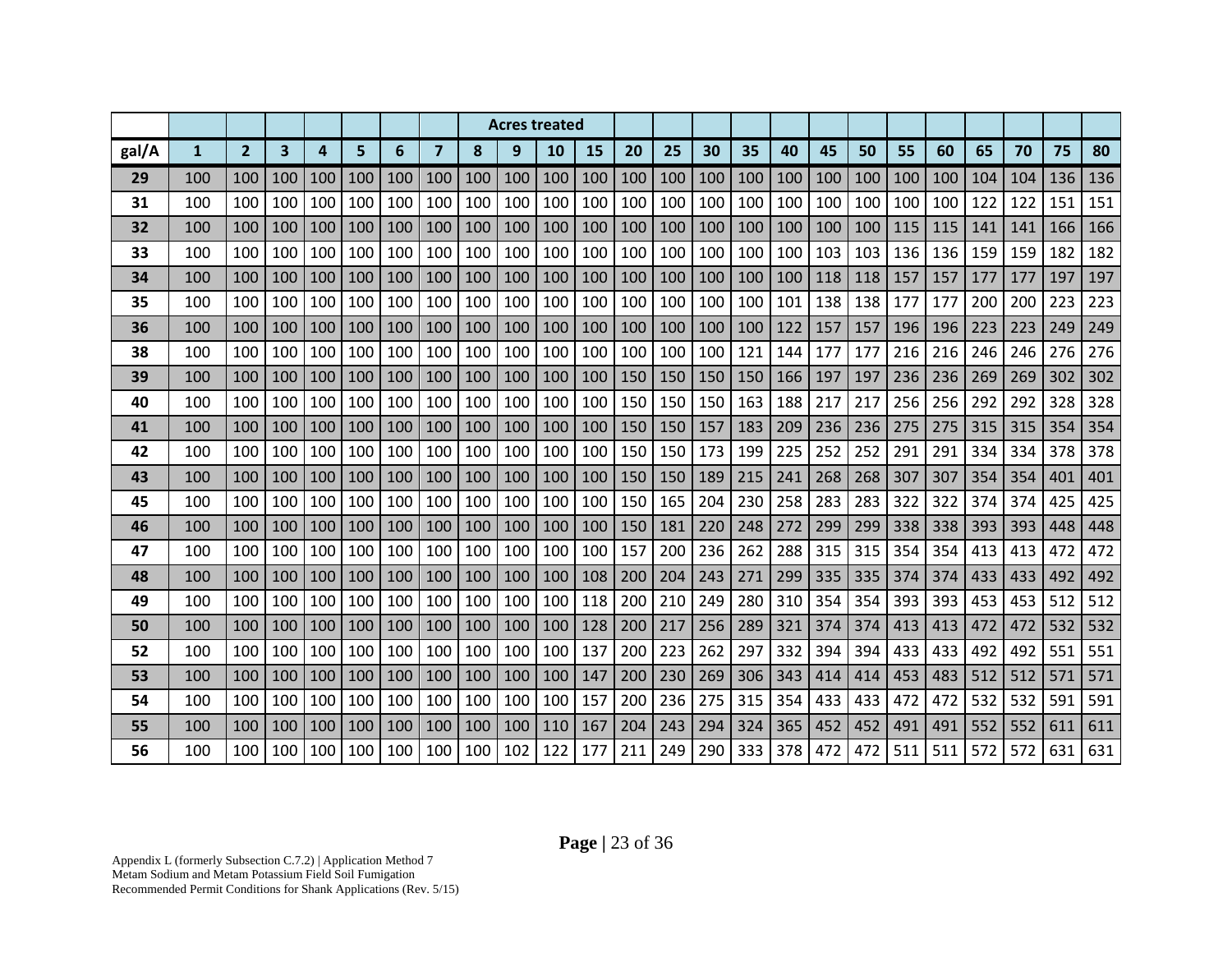|       |              |                |                         |     |     |     |                |     |     | <b>Acres treated</b> |     |     |     |     |     |     |     |     |     |     |     |     |     |     |
|-------|--------------|----------------|-------------------------|-----|-----|-----|----------------|-----|-----|----------------------|-----|-----|-----|-----|-----|-----|-----|-----|-----|-----|-----|-----|-----|-----|
| gal/A | $\mathbf{1}$ | $\overline{2}$ | $\overline{\mathbf{3}}$ | 4   | 5   | 6   | $\overline{7}$ | 8   | 9   | 10                   | 15  | 20  | 25  | 30  | 35  | 40  | 45  | 50  | 55  | 60  | 65  | 70  | 75  | 80  |
| 29    | 100          | 100            | 100                     | 100 | 100 | 100 | 100            | 100 | 100 | 100                  | 100 | 100 | 100 | 100 | 100 | 100 | 100 | 100 | 100 | 100 | 104 | 104 | 136 | 136 |
| 31    | 100          | 100            | 100                     | 100 | 100 | 100 | 100            | 100 | 100 | 100                  | 100 | 100 | 100 | 100 | 100 | 100 | 100 | 100 | 100 | 100 | 122 | 122 | 151 | 151 |
| 32    | 100          | 100            | 100                     | 100 | 100 | 100 | 100            | 100 | 100 | 100                  | 100 | 100 | 100 | 100 | 100 | 100 | 100 | 100 | 115 | 115 | 141 | 141 | 166 | 166 |
| 33    | 100          | 100            | 100                     | 100 | 100 | 100 | 100            | 100 | 100 | 100                  | 100 | 100 | 100 | 100 | 100 | 100 | 103 | 103 | 136 | 136 | 159 | 159 | 182 | 182 |
| 34    | 100          | 100            | 100                     | 100 | 100 | 100 | 100            | 100 | 100 | 100                  | 100 | 100 | 100 | 100 | 100 | 100 | 118 | 118 | 157 | 157 | 177 | 177 | 197 | 197 |
| 35    | 100          | 100            | 100                     | 100 | 100 | 100 | 100            | 100 | 100 | 100                  | 100 | 100 | 100 | 100 | 100 | 101 | 138 | 138 | 177 | 177 | 200 | 200 | 223 | 223 |
| 36    | 100          | 100            | 100                     | 100 | 100 | 100 | 100            | 100 | 100 | 100                  | 100 | 100 | 100 | 100 | 100 | 122 | 157 | 157 | 196 | 196 | 223 | 223 | 249 | 249 |
| 38    | 100          | 100            | 100                     | 100 | 100 | 100 | 100            | 100 | 100 | 100                  | 100 | 100 | 100 | 100 | 121 | 144 | 177 | 177 | 216 | 216 | 246 | 246 | 276 | 276 |
| 39    | 100          | 100            | 100                     | 100 | 100 | 100 | 100            | 100 | 100 | 100                  | 100 | 150 | 150 | 150 | 150 | 166 | 197 | 197 | 236 | 236 | 269 | 269 | 302 | 302 |
| 40    | 100          | 100            | 100                     | 100 | 100 | 100 | 100            | 100 | 100 | 100                  | 100 | 150 | 150 | 150 | 163 | 188 | 217 | 217 | 256 | 256 | 292 | 292 | 328 | 328 |
| 41    | 100          | 100            | 100                     | 100 | 100 | 100 | 100            | 100 | 100 | 100                  | 100 | 150 | 150 | 157 | 183 | 209 | 236 | 236 | 275 | 275 | 315 | 315 | 354 | 354 |
| 42    | 100          | 100            | 100                     | 100 | 100 | 100 | 100            | 100 | 100 | 100                  | 100 | 150 | 150 | 173 | 199 | 225 | 252 | 252 | 291 | 291 | 334 | 334 | 378 | 378 |
| 43    | 100          | 100            | 100                     | 100 | 100 | 100 | 100            | 100 | 100 | 100                  | 100 | 150 | 150 | 189 | 215 | 241 | 268 | 268 | 307 | 307 | 354 | 354 | 401 | 401 |
| 45    | 100          | 100            | 100                     | 100 | 100 | 100 | 100            | 100 | 100 | 100                  | 100 | 150 | 165 | 204 | 230 | 258 | 283 | 283 | 322 | 322 | 374 | 374 | 425 | 425 |
| 46    | 100          | 100            | 100                     | 100 | 100 | 100 | 100            | 100 | 100 | 100                  | 100 | 150 | 181 | 220 | 248 | 272 | 299 | 299 | 338 | 338 | 393 | 393 | 448 | 448 |
| 47    | 100          | 100            | 100                     | 100 | 100 | 100 | 100            | 100 | 100 | 100                  | 100 | 157 | 200 | 236 | 262 | 288 | 315 | 315 | 354 | 354 | 413 | 413 | 472 | 472 |
| 48    | 100          | 100            | 100                     | 100 | 100 | 100 | 100            | 100 | 100 | 100                  | 108 | 200 | 204 | 243 | 271 | 299 | 335 | 335 | 374 | 374 | 433 | 433 | 492 | 492 |
| 49    | 100          | 100            | 100                     | 100 | 100 | 100 | 100            | 100 | 100 | 100                  | 118 | 200 | 210 | 249 | 280 | 310 | 354 | 354 | 393 | 393 | 453 | 453 | 512 | 512 |
| 50    | 100          | 100            | 100                     | 100 | 100 | 100 | 100            | 100 | 100 | 100                  | 128 | 200 | 217 | 256 | 289 | 321 | 374 | 374 | 413 | 413 | 472 | 472 | 532 | 532 |
| 52    | 100          | 100            | 100                     | 100 | 100 | 100 | 100            | 100 | 100 | 100                  | 137 | 200 | 223 | 262 | 297 | 332 | 394 | 394 | 433 | 433 | 492 | 492 | 551 | 551 |
| 53    | 100          | 100            | 100                     | 100 | 100 | 100 | 100            | 100 | 100 | 100                  | 147 | 200 | 230 | 269 | 306 | 343 | 414 | 414 | 453 | 483 | 512 | 512 | 571 | 571 |
| 54    | 100          | 100            | 100                     | 100 | 100 | 100 | 100            | 100 | 100 | 100                  | 157 | 200 | 236 | 275 | 315 | 354 | 433 | 433 | 472 | 472 | 532 | 532 | 591 | 591 |
| 55    | 100          | 100            | 100                     | 100 | 100 | 100 | 100            | 100 | 100 | 110                  | 167 | 204 | 243 | 294 | 324 | 365 | 452 | 452 | 491 | 491 | 552 | 552 | 611 | 611 |
| 56    | 100          | 100            | 100                     | 100 | 100 | 100 | 100            | 100 | 102 | 122                  | 177 | 211 | 249 | 290 | 333 | 378 | 472 | 472 | 511 | 511 | 572 | 572 | 631 | 631 |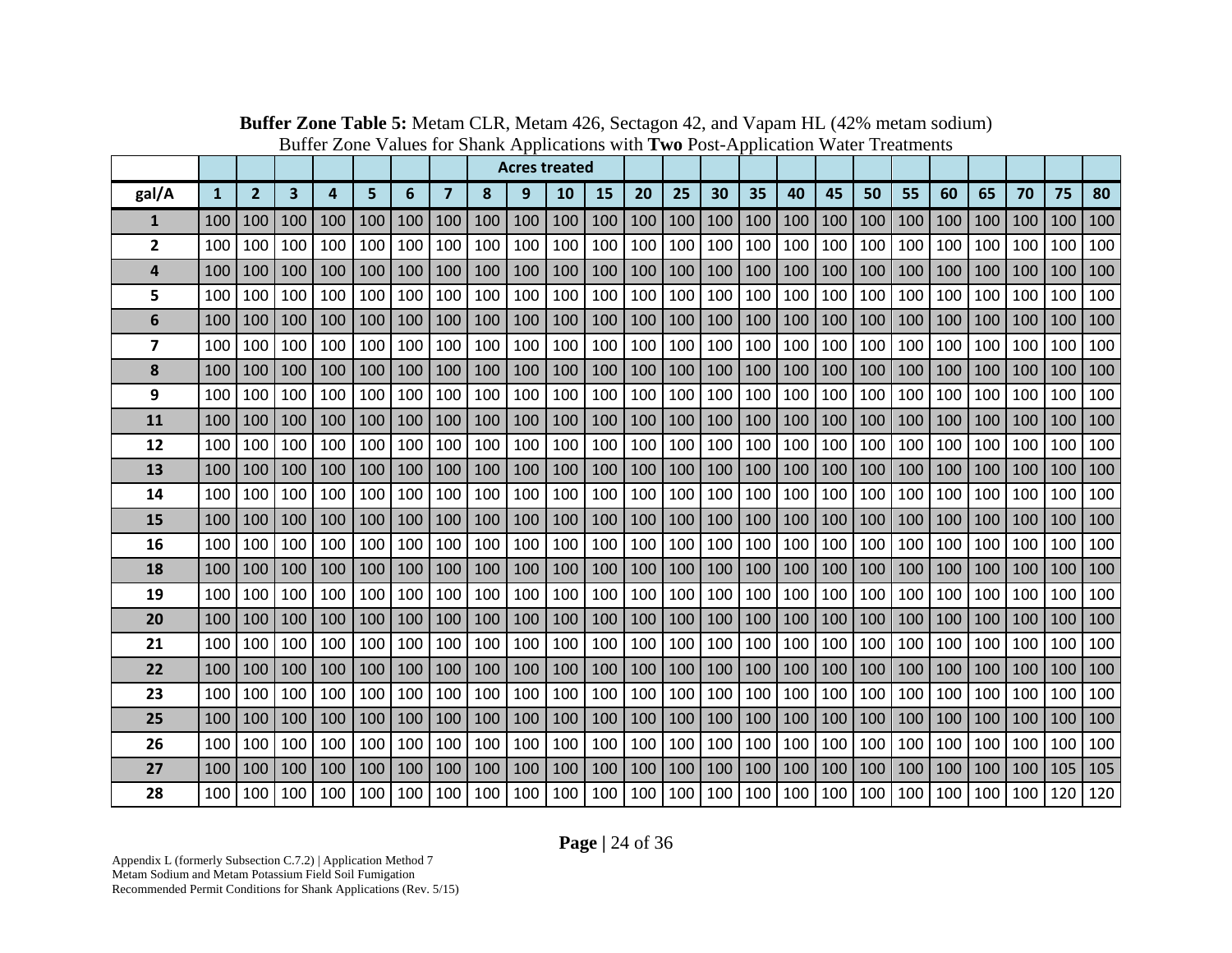|                         |              |                |     |     |     |     |                |     |     | <b>Acres treated</b> |     |     |     |     |     |     |     |     |     |     |     |     |     |     |
|-------------------------|--------------|----------------|-----|-----|-----|-----|----------------|-----|-----|----------------------|-----|-----|-----|-----|-----|-----|-----|-----|-----|-----|-----|-----|-----|-----|
| gal/A                   | $\mathbf{1}$ | $\overline{2}$ | 3   | 4   | 5   | 6   | $\overline{7}$ | 8   | 9   | 10                   | 15  | 20  | 25  | 30  | 35  | 40  | 45  | 50  | 55  | 60  | 65  | 70  | 75  | 80  |
| $\mathbf{1}$            | 100          | 100            | 100 | 100 | 100 | 100 | 100            | 100 | 100 | 100                  | 100 | 100 | 100 | 100 | 100 | 100 | 100 | 100 | 100 | 100 | 100 | 100 | 100 | 100 |
| 2                       | 100          | 100            | 100 | 100 | 100 | 100 | 100            | 100 | 100 | 100                  | 100 | 100 | 100 | 100 | 100 | 100 | 100 | 100 | 100 | 100 | 100 | 100 | 100 | 100 |
| 4                       | 100          | 100            | 100 | 100 | 100 | 100 | 100            | 100 | 100 | 100                  | 100 | 100 | 100 | 100 | 100 | 100 | 100 | 100 | 100 | 100 | 100 | 100 | 100 | 100 |
| 5                       | 100          | 100            | 100 | 100 | 100 | 100 | 100            | 100 | 100 | 100                  | 100 | 100 | 100 | 100 | 100 | 100 | 100 | 100 | 100 | 100 | 100 | 100 | 100 | 100 |
| 6                       | 100          | 100            | 100 | 100 | 100 | 100 | 100            | 100 | 100 | 100                  | 100 | 100 | 100 | 100 | 100 | 100 | 100 | 100 | 100 | 100 | 100 | 100 | 100 | 100 |
| $\overline{\mathbf{z}}$ | 100          | 100            | 100 | 100 | 100 | 100 | 100            | 100 | 100 | 100                  | 100 | 100 | 100 | 100 | 100 | 100 | 100 | 100 | 100 | 100 | 100 | 100 | 100 | 100 |
| 8                       | 100          | 100            | 100 | 100 | 100 | 100 | 100            | 100 | 100 | 100                  | 100 | 100 | 100 | 100 | 100 | 100 | 100 | 100 | 100 | 100 | 100 | 100 | 100 | 100 |
| 9                       | 100          | 100            | 100 | 100 | 100 | 100 | 100            | 100 | 100 | 100                  | 100 | 100 | 100 | 100 | 100 | 100 | 100 | 100 | 100 | 100 | 100 | 100 | 100 | 100 |
| 11                      | 100          | 100            | 100 | 100 | 100 | 100 | 100            | 100 | 100 | 100                  | 100 | 100 | 100 | 100 | 100 | 100 | 100 | 100 | 100 | 100 | 100 | 100 | 100 | 100 |
| 12                      | 100          | 100            | 100 | 100 | 100 | 100 | 100            | 100 | 100 | 100                  | 100 | 100 | 100 | 100 | 100 | 100 | 100 | 100 | 100 | 100 | 100 | 100 | 100 | 100 |
| 13                      | 100          | 100            | 100 | 100 | 100 | 100 | 100            | 100 | 100 | 100                  | 100 | 100 | 100 | 100 | 100 | 100 | 100 | 100 | 100 | 100 | 100 | 100 | 100 | 100 |
| 14                      | 100          | 100            | 100 | 100 | 100 | 100 | 100            | 100 | 100 | 100                  | 100 | 100 | 100 | 100 | 100 | 100 | 100 | 100 | 100 | 100 | 100 | 100 | 100 | 100 |
| 15                      | 100          | 100            | 100 | 100 | 100 | 100 | 100            | 100 | 100 | 100                  | 100 | 100 | 100 | 100 | 100 | 100 | 100 | 100 | 100 | 100 | 100 | 100 | 100 | 100 |
| 16                      | 100          | 100            | 100 | 100 | 100 | 100 | 100            | 100 | 100 | 100                  | 100 | 100 | 100 | 100 | 100 | 100 | 100 | 100 | 100 | 100 | 100 | 100 | 100 | 100 |
| 18                      | 100          | 100            | 100 | 100 | 100 | 100 | 100            | 100 | 100 | 100                  | 100 | 100 | 100 | 100 | 100 | 100 | 100 | 100 | 100 | 100 | 100 | 100 | 100 | 100 |
| 19                      | 100          | 100            | 100 | 100 | 100 | 100 | 100            | 100 | 100 | 100                  | 100 | 100 | 100 | 100 | 100 | 100 | 100 | 100 | 100 | 100 | 100 | 100 | 100 | 100 |
| 20                      | 100          | 100            | 100 | 100 | 100 | 100 | 100            | 100 | 100 | 100                  | 100 | 100 | 100 | 100 | 100 | 100 | 100 | 100 | 100 | 100 | 100 | 100 | 100 | 100 |
| 21                      | 100          | 100            | 100 | 100 | 100 | 100 | 100            | 100 | 100 | 100                  | 100 | 100 | 100 | 100 | 100 | 100 | 100 | 100 | 100 | 100 | 100 | 100 | 100 | 100 |
| 22                      | 100          | 100            | 100 | 100 | 100 | 100 | 100            | 100 | 100 | 100                  | 100 | 100 | 100 | 100 | 100 | 100 | 100 | 100 | 100 | 100 | 100 | 100 | 100 | 100 |
| 23                      | 100          | 100            | 100 | 100 | 100 | 100 | 100            | 100 | 100 | 100                  | 100 | 100 | 100 | 100 | 100 | 100 | 100 | 100 | 100 | 100 | 100 | 100 | 100 | 100 |
| 25                      | 100          | 100            | 100 | 100 | 100 | 100 | 100            | 100 | 100 | 100                  | 100 | 100 | 100 | 100 | 100 | 100 | 100 | 100 | 100 | 100 | 100 | 100 | 100 | 100 |
| 26                      | 100          | 100            | 100 | 100 | 100 | 100 | 100            | 100 | 100 | 100                  | 100 | 100 | 100 | 100 | 100 | 100 | 100 | 100 | 100 | 100 | 100 | 100 | 100 | 100 |
| 27                      | 100          | 100            | 100 | 100 | 100 | 100 | 100            | 100 | 100 | 100                  | 100 | 100 | 100 | 100 | 100 | 100 | 100 | 100 | 100 | 100 | 100 | 100 | 105 | 105 |
| 28                      | 100          | 100            | 100 | 100 | 100 | 100 | 100            | 100 | 100 | 100                  | 100 | 100 | 100 | 100 | 100 | 100 | 100 | 100 | 100 | 100 | 100 | 100 | 120 | 120 |

**Buffer Zone Table 5:** Metam CLR, Metam 426, Sectagon 42, and Vapam HL (42% metam sodium) Buffer Zone Values for Shank Applications with **Two** Post-Application Water Treatments

**Page |** 24 of 36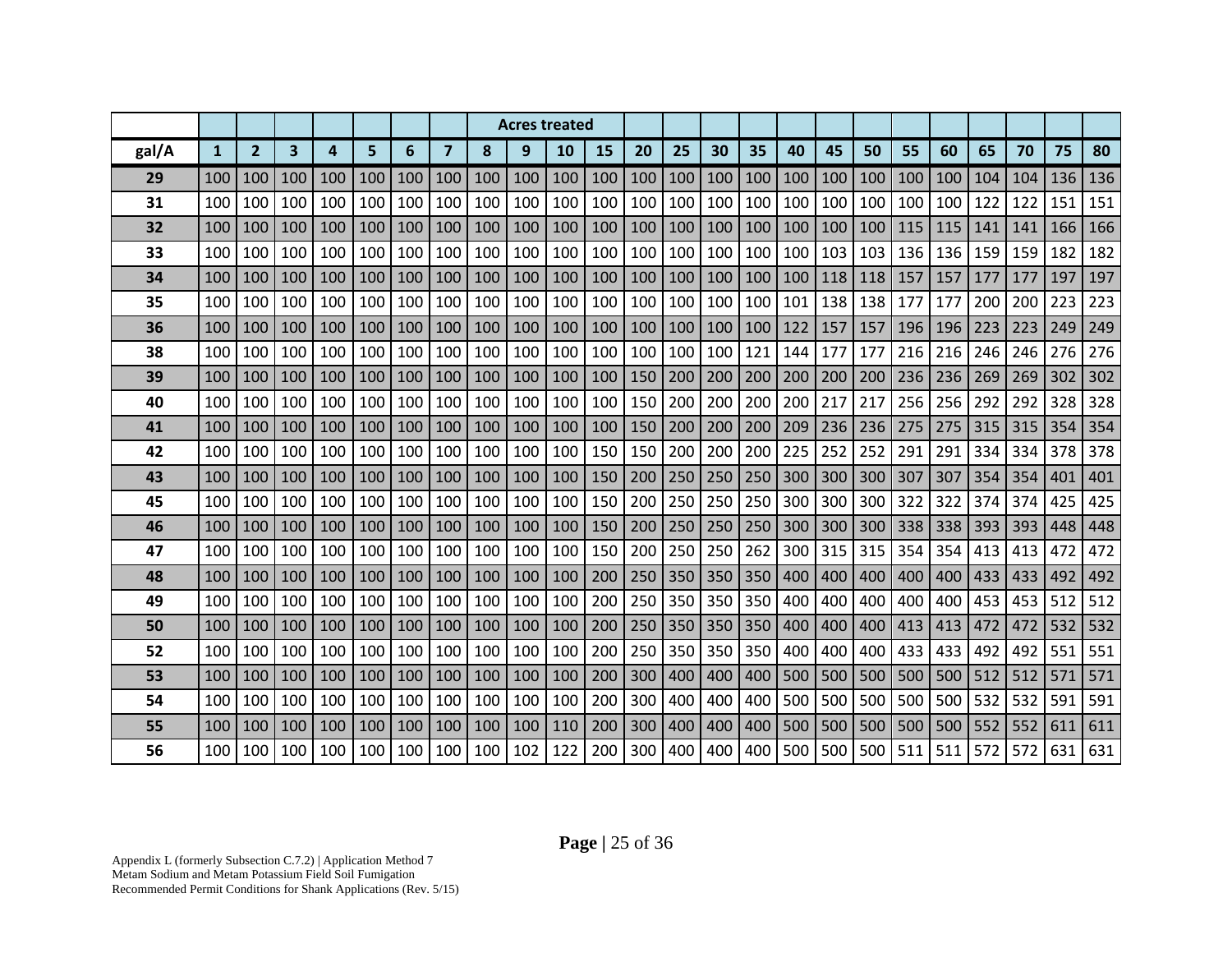|       |              |                |                         |                         |     |     |                |     |     | <b>Acres treated</b> |     |     |     |     |     |     |     |     |     |     |     |     |     |     |
|-------|--------------|----------------|-------------------------|-------------------------|-----|-----|----------------|-----|-----|----------------------|-----|-----|-----|-----|-----|-----|-----|-----|-----|-----|-----|-----|-----|-----|
| gal/A | $\mathbf{1}$ | 2 <sup>1</sup> | $\overline{\mathbf{3}}$ | $\overline{\mathbf{a}}$ | 5   | 6   | $\overline{7}$ | 8   | 9   | 10                   | 15  | 20  | 25  | 30  | 35  | 40  | 45  | 50  | 55  | 60  | 65  | 70  | 75  | 80  |
| 29    | 100          | 100            | 100                     | 100                     | 100 | 100 | 100            | 100 | 100 | 100                  | 100 | 100 | 100 | 100 | 100 | 100 | 100 | 100 | 100 | 100 | 104 | 104 | 136 | 136 |
| 31    | 100          | 100            | 100                     | 100                     | 100 | 100 | 100            | 100 | 100 | 100                  | 100 | 100 | 100 | 100 | 100 | 100 | 100 | 100 | 100 | 100 | 122 | 122 | 151 | 151 |
| 32    | 100          | 100            | 100                     | 100                     | 100 | 100 | 100            | 100 | 100 | 100                  | 100 | 100 | 100 | 100 | 100 | 100 | 100 | 100 | 115 | 115 | 141 | 141 | 166 | 166 |
| 33    | 100          | 100            | 100                     | 100                     | 100 | 100 | 100            | 100 | 100 | 100                  | 100 | 100 | 100 | 100 | 100 | 100 | 103 | 103 | 136 | 136 | 159 | 159 | 182 | 182 |
| 34    | 100          | 100            | 100                     | 100                     | 100 | 100 | 100            | 100 | 100 | 100                  | 100 | 100 | 100 | 100 | 100 | 100 | 118 | 118 | 157 | 157 | 177 | 177 | 197 | 197 |
| 35    | 100          | 100            | 100                     | 100                     | 100 | 100 | 100            | 100 | 100 | 100                  | 100 | 100 | 100 | 100 | 100 | 101 | 138 | 138 | 177 | 177 | 200 | 200 | 223 | 223 |
| 36    | 100          | 100            | 100                     | 100                     | 100 | 100 | 100            | 100 | 100 | 100                  | 100 | 100 | 100 | 100 | 100 | 122 | 157 | 157 | 196 | 196 | 223 | 223 | 249 | 249 |
| 38    | 100          | 100            | 100                     | 100                     | 100 | 100 | 100            | 100 | 100 | 100                  | 100 | 100 | 100 | 100 | 121 | 144 | 177 | 177 | 216 | 216 | 246 | 246 | 276 | 276 |
| 39    | 100          | 100            | 100                     | 100                     | 100 | 100 | 100            | 100 | 100 | 100                  | 100 | 150 | 200 | 200 | 200 | 200 | 200 | 200 | 236 | 236 | 269 | 269 | 302 | 302 |
| 40    | 100          | 100            | 100                     | 100                     | 100 | 100 | 100            | 100 | 100 | 100                  | 100 | 150 | 200 | 200 | 200 | 200 | 217 | 217 | 256 | 256 | 292 | 292 | 328 | 328 |
| 41    | 100          | 100            | 100                     | 100                     | 100 | 100 | 100            | 100 | 100 | 100                  | 100 | 150 | 200 | 200 | 200 | 209 | 236 | 236 | 275 | 275 | 315 | 315 | 354 | 354 |
| 42    | 100          | 100            | 100                     | 100                     | 100 | 100 | 100            | 100 | 100 | 100                  | 150 | 150 | 200 | 200 | 200 | 225 | 252 | 252 | 291 | 291 | 334 | 334 | 378 | 378 |
| 43    | 100          | 100            | 100                     | 100                     | 100 | 100 | 100            | 100 | 100 | 100                  | 150 | 200 | 250 | 250 | 250 | 300 | 300 | 300 | 307 | 307 | 354 | 354 | 401 | 401 |
| 45    | 100          | 100            | 100                     | 100                     | 100 | 100 | 100            | 100 | 100 | 100                  | 150 | 200 | 250 | 250 | 250 | 300 | 300 | 300 | 322 | 322 | 374 | 374 | 425 | 425 |
| 46    | 100          | 100            | 100                     | 100                     | 100 | 100 | 100            | 100 | 100 | 100                  | 150 | 200 | 250 | 250 | 250 | 300 | 300 | 300 | 338 | 338 | 393 | 393 | 448 | 448 |
| 47    | 100          | 100            | 100                     | 100                     | 100 | 100 | 100            | 100 | 100 | 100                  | 150 | 200 | 250 | 250 | 262 | 300 | 315 | 315 | 354 | 354 | 413 | 413 | 472 | 472 |
| 48    | 100          | 100            | 100                     | 100                     | 100 | 100 | 100            | 100 | 100 | 100                  | 200 | 250 | 350 | 350 | 350 | 400 | 400 | 400 | 400 | 400 | 433 | 433 | 492 | 492 |
| 49    | 100          | 100            | 100                     | 100                     | 100 | 100 | 100            | 100 | 100 | 100                  | 200 | 250 | 350 | 350 | 350 | 400 | 400 | 400 | 400 | 400 | 453 | 453 | 512 | 512 |
| 50    | 100          | 100            | 100                     | 100                     | 100 | 100 | 100            | 100 | 100 | 100                  | 200 | 250 | 350 | 350 | 350 | 400 | 400 | 400 | 413 | 413 | 472 | 472 | 532 | 532 |
| 52    | 100          | 100            | 100                     | 100                     | 100 | 100 | 100            | 100 | 100 | 100                  | 200 | 250 | 350 | 350 | 350 | 400 | 400 | 400 | 433 | 433 | 492 | 492 | 551 | 551 |
| 53    | 100          | 100            | 100                     | 100                     | 100 | 100 | 100            | 100 | 100 | 100                  | 200 | 300 | 400 | 400 | 400 | 500 | 500 | 500 | 500 | 500 | 512 | 512 | 571 | 571 |
| 54    | 100          | 100            | 100                     | 100                     | 100 | 100 | 100            | 100 | 100 | 100                  | 200 | 300 | 400 | 400 | 400 | 500 | 500 | 500 | 500 | 500 | 532 | 532 | 591 | 591 |
| 55    | 100          | 100            | 100                     | 100                     | 100 | 100 | 100            | 100 | 100 | 110                  | 200 | 300 | 400 | 400 | 400 | 500 | 500 | 500 | 500 | 500 | 552 | 552 | 611 | 611 |
| 56    | 100          | 100            | 100                     | 100                     | 100 | 100 | 100            | 100 | 102 | 122                  | 200 | 300 | 400 | 400 | 400 | 500 | 500 | 500 | 511 | 511 | 572 | 572 | 631 | 631 |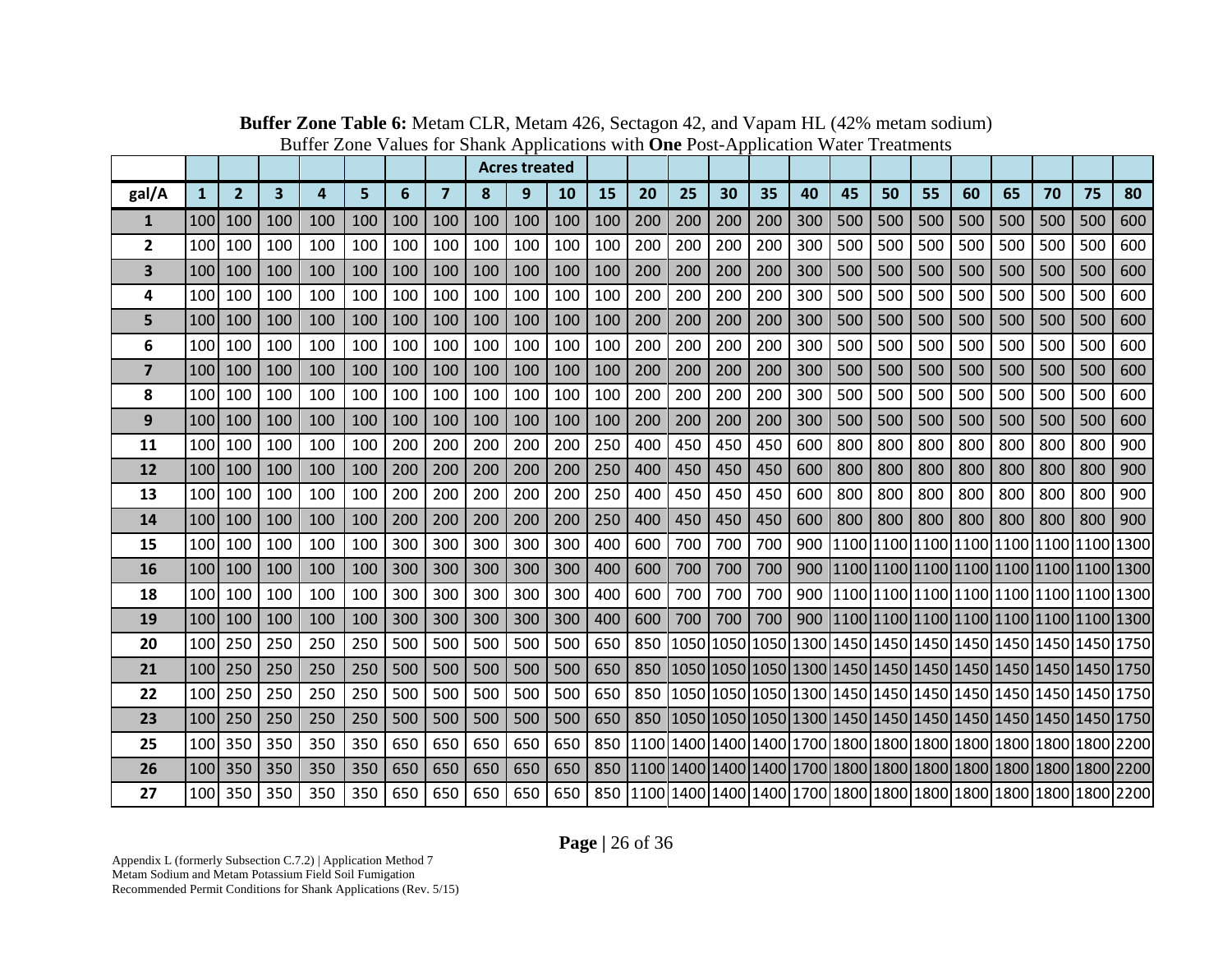|                |                  |                |                         |     |     |     |                |     | <b>Acres treated</b> |     |     |     |     |     |     |     |     |     |     |     |     |     |                                                             |     |
|----------------|------------------|----------------|-------------------------|-----|-----|-----|----------------|-----|----------------------|-----|-----|-----|-----|-----|-----|-----|-----|-----|-----|-----|-----|-----|-------------------------------------------------------------|-----|
| gal/A          | $\mathbf{1}$     | $\overline{2}$ | $\overline{\mathbf{3}}$ | 4   | 5   | 6   | $\overline{7}$ | 8   | 9                    | 10  | 15  | 20  | 25  | 30  | 35  | 40  | 45  | 50  | 55  | 60  | 65  | 70  | 75                                                          | 80  |
| 1              | 100              | 100            | 100                     | 100 | 100 | 100 | 100            | 100 | 100                  | 100 | 100 | 200 | 200 | 200 | 200 | 300 | 500 | 500 | 500 | 500 | 500 | 500 | 500                                                         | 600 |
| $\mathbf{2}$   | 100              | 100            | 100                     | 100 | 100 | 100 | 100            | 100 | 100                  | 100 | 100 | 200 | 200 | 200 | 200 | 300 | 500 | 500 | 500 | 500 | 500 | 500 | 500                                                         | 600 |
| 3              | 100              | 100            | 100                     | 100 | 100 | 100 | 100            | 100 | 100                  | 100 | 100 | 200 | 200 | 200 | 200 | 300 | 500 | 500 | 500 | 500 | 500 | 500 | 500                                                         | 600 |
| 4              | 100              | 100            | 100                     | 100 | 100 | 100 | 100            | 100 | 100                  | 100 | 100 | 200 | 200 | 200 | 200 | 300 | 500 | 500 | 500 | 500 | 500 | 500 | 500                                                         | 600 |
| 5              | 100 <sup>1</sup> | 100            | 100                     | 100 | 100 | 100 | 100            | 100 | 100                  | 100 | 100 | 200 | 200 | 200 | 200 | 300 | 500 | 500 | 500 | 500 | 500 | 500 | 500                                                         | 600 |
| 6              | 100              | 100            | 100                     | 100 | 100 | 100 | 100            | 100 | 100                  | 100 | 100 | 200 | 200 | 200 | 200 | 300 | 500 | 500 | 500 | 500 | 500 | 500 | 500                                                         | 600 |
| $\overline{7}$ | 100              | 100            | 100                     | 100 | 100 | 100 | 100            | 100 | 100                  | 100 | 100 | 200 | 200 | 200 | 200 | 300 | 500 | 500 | 500 | 500 | 500 | 500 | 500                                                         | 600 |
| 8              | 100              | 100            | 100                     | 100 | 100 | 100 | 100            | 100 | 100                  | 100 | 100 | 200 | 200 | 200 | 200 | 300 | 500 | 500 | 500 | 500 | 500 | 500 | 500                                                         | 600 |
| 9              | 100 <sup>1</sup> | 100            | 100                     | 100 | 100 | 100 | 100            | 100 | 100                  | 100 | 100 | 200 | 200 | 200 | 200 | 300 | 500 | 500 | 500 | 500 | 500 | 500 | 500                                                         | 600 |
| 11             | 100              | 100            | 100                     | 100 | 100 | 200 | 200            | 200 | 200                  | 200 | 250 | 400 | 450 | 450 | 450 | 600 | 800 | 800 | 800 | 800 | 800 | 800 | 800                                                         | 900 |
| 12             | 100              | 100            | 100                     | 100 | 100 | 200 | 200            | 200 | 200                  | 200 | 250 | 400 | 450 | 450 | 450 | 600 | 800 | 800 | 800 | 800 | 800 | 800 | 800                                                         | 900 |
| 13             | 100 <sup>1</sup> | 100            | 100                     | 100 | 100 | 200 | 200            | 200 | 200                  | 200 | 250 | 400 | 450 | 450 | 450 | 600 | 800 | 800 | 800 | 800 | 800 | 800 | 800                                                         | 900 |
| 14             | 100              | 100            | 100                     | 100 | 100 | 200 | 200            | 200 | 200                  | 200 | 250 | 400 | 450 | 450 | 450 | 600 | 800 | 800 | 800 | 800 | 800 | 800 | 800                                                         | 900 |
| 15             | 100              | 100            | 100                     | 100 | 100 | 300 | 300            | 300 | 300                  | 300 | 400 | 600 | 700 | 700 | 700 | 900 |     |     |     |     |     |     | 1100 1100 1100 1100 1100 1100 1100 1300                     |     |
| 16             | 100 <sup>1</sup> | 100            | 100                     | 100 | 100 | 300 | 300            | 300 | 300                  | 300 | 400 | 600 | 700 | 700 | 700 | 900 |     |     |     |     |     |     | 1100 1100 1100 1100 1100 1100 1100 1100 1300                |     |
| 18             | 100              | 100            | 100                     | 100 | 100 | 300 | 300            | 300 | 300                  | 300 | 400 | 600 | 700 | 700 | 700 | 900 |     |     |     |     |     |     | 1100 1100 1100 1100 1100 1100 1100 1300                     |     |
| 19             | 100              | 100            | 100                     | 100 | 100 | 300 | 300            | 300 | 300                  | 300 | 400 | 600 | 700 | 700 | 700 |     |     |     |     |     |     |     | 900  1100  1100  1100  1100  1100  1100  1100  1300         |     |
| 20             | 100              | 250            | 250                     | 250 | 250 | 500 | 500            | 500 | 500                  | 500 | 650 | 850 |     |     |     |     |     |     |     |     |     |     | 1050 1050 1050 1300 1450 1450 1450 1450 1450 1450 1450 1750 |     |
| 21             | 100              | 250            | 250                     | 250 | 250 | 500 | 500            | 500 | 500                  | 500 | 650 | 850 |     |     |     |     |     |     |     |     |     |     | 1050 1050 1050 1300 1450 1450 1450 1450 1450 1450 1450 1750 |     |
| 22             | 100              | 250            | 250                     | 250 | 250 | 500 | 500            | 500 | 500                  | 500 | 650 | 850 |     |     |     |     |     |     |     |     |     |     |                                                             |     |
| 23             | 100              | 250            | 250                     | 250 | 250 | 500 | 500            | 500 | 500                  | 500 | 650 | 850 |     |     |     |     |     |     |     |     |     |     |                                                             |     |
| 25             | 100              | 350            | 350                     | 350 | 350 | 650 | 650            | 650 | 650                  | 650 | 850 |     |     |     |     |     |     |     |     |     |     |     |                                                             |     |
| 26             | 100              | 350            | 350                     | 350 | 350 | 650 | 650            | 650 | 650                  | 650 | 850 |     |     |     |     |     |     |     |     |     |     |     |                                                             |     |
| 27             | 100 <sup> </sup> | 350            | 350                     | 350 | 350 | 650 | 650            | 650 | 650                  | 650 | 850 |     |     |     |     |     |     |     |     |     |     |     |                                                             |     |

**Buffer Zone Table 6:** Metam CLR, Metam 426, Sectagon 42, and Vapam HL (42% metam sodium) Buffer Zone Values for Shank Applications with **One** Post-Application Water Treatments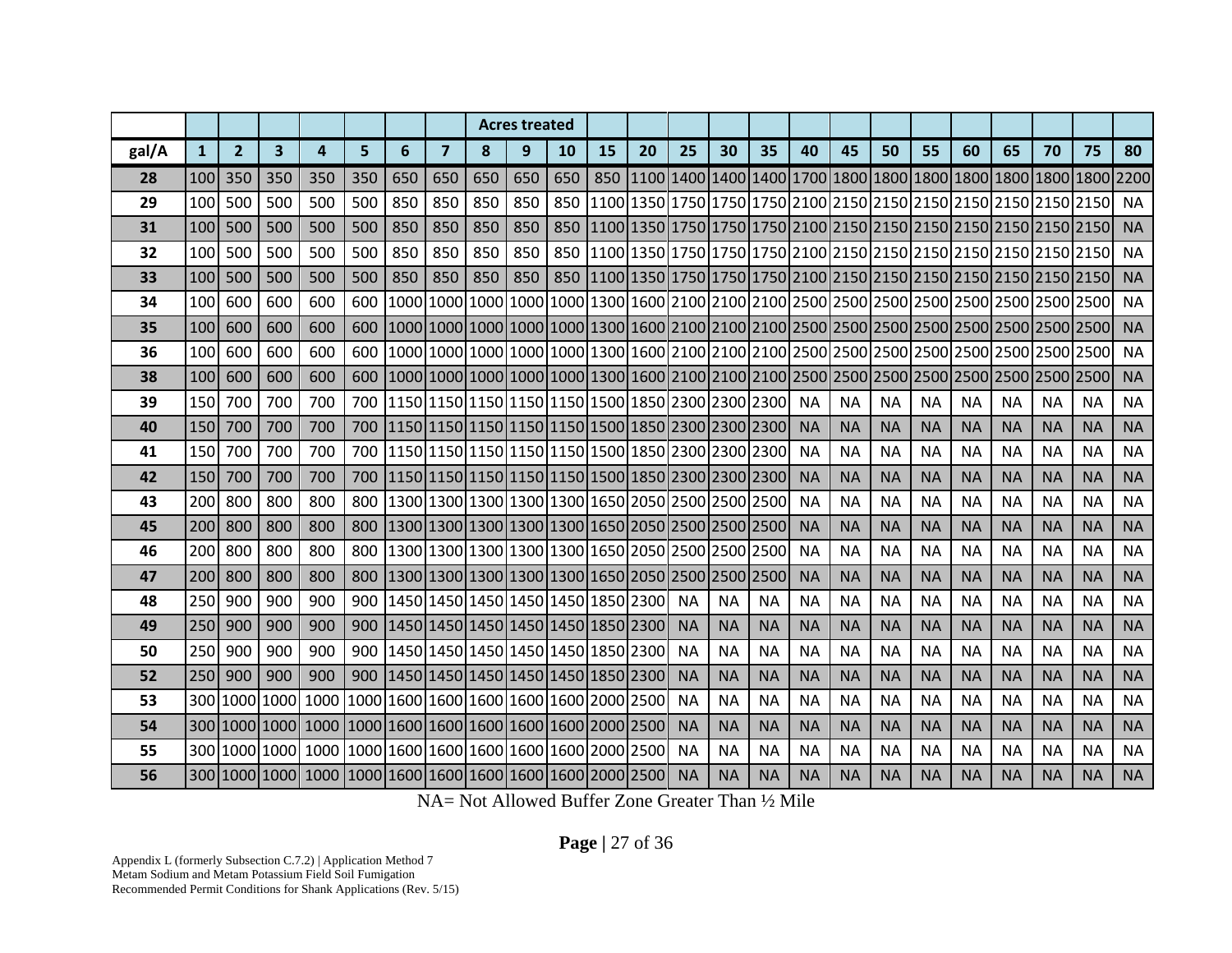|       |                  |                |              |     |     |     |                |     | <b>Acres treated</b>                              |           |    |    |           |           |           |           |           |           |           |           |           |           |           |           |
|-------|------------------|----------------|--------------|-----|-----|-----|----------------|-----|---------------------------------------------------|-----------|----|----|-----------|-----------|-----------|-----------|-----------|-----------|-----------|-----------|-----------|-----------|-----------|-----------|
| gal/A | $\mathbf{1}$     | $\overline{2}$ | $\mathbf{3}$ | 4   | 5   | 6   | $\overline{7}$ | 8   | 9                                                 | <b>10</b> | 15 | 20 | 25        | 30        | 35        | 40        | 45        | 50        | 55        | 60        | 65        | 70        | 75        | 80        |
| 28    | 100              | 350            | 350          | 350 | 350 | 650 | 650            | 650 | 650                                               | 650       |    |    |           |           |           |           |           |           |           |           |           |           |           |           |
| 29    | 100              | 500            | 500          | 500 | 500 | 850 | 850            | 850 | 850                                               | 850       |    |    |           |           |           |           |           |           |           |           |           |           |           | <b>NA</b> |
| 31    | 100              | 500            | 500          | 500 | 500 | 850 | 850            | 850 | 850                                               | 850       |    |    |           |           |           |           |           |           |           |           |           |           |           | <b>NA</b> |
| 32    | 100              | 500            | 500          | 500 | 500 | 850 | 850            | 850 | 850                                               | 850       |    |    |           |           |           |           |           |           |           |           |           |           |           | <b>NA</b> |
| 33    | 100              | 500            | 500          | 500 | 500 | 850 | 850            | 850 | 850                                               |           |    |    |           |           |           |           |           |           |           |           |           |           |           | <b>NA</b> |
| 34    | 100              | 600            | 600          | 600 | 600 |     |                |     |                                                   |           |    |    |           |           |           |           |           |           |           |           |           |           |           | <b>NA</b> |
| 35    | 100              | 600            | 600          | 600 | 600 |     |                |     |                                                   |           |    |    |           |           |           |           |           |           |           |           |           |           |           | <b>NA</b> |
| 36    | 100              | 600            | 600          | 600 | 600 |     |                |     |                                                   |           |    |    |           |           |           |           |           |           |           |           |           |           |           | <b>NA</b> |
| 38    | 100              | 600            | 600          | 600 | 600 |     |                |     |                                                   |           |    |    |           |           |           |           |           |           |           |           |           |           |           | <b>NA</b> |
| 39    | 150              | 700            | 700          | 700 | 700 |     |                |     | 1150 1150 1150 1150 1150 1500 1650 2300 2300 2300 |           |    |    |           |           |           | <b>NA</b> | <b>NA</b> | <b>NA</b> | <b>NA</b> | <b>NA</b> | <b>NA</b> | <b>NA</b> | <b>NA</b> | <b>NA</b> |
| 40    | <b>150</b>       | 700            | 700          | 700 | 700 |     |                |     | 1150 1150 1150 1150 1150 1500 1850 2300 2300 2300 |           |    |    |           |           |           | <b>NA</b> | <b>NA</b> | <b>NA</b> | <b>NA</b> | <b>NA</b> | <b>NA</b> | <b>NA</b> | <b>NA</b> | <b>NA</b> |
| 41    | 150              | 700            | 700          | 700 | 700 |     |                |     | 1150 1150 1150 1150 1150 1500 1850 2300 2300 2300 |           |    |    |           |           |           | <b>NA</b> | <b>NA</b> | <b>NA</b> | <b>NA</b> | <b>NA</b> | <b>NA</b> | <b>NA</b> | <b>NA</b> | <b>NA</b> |
| 42    | 150 <sup>I</sup> | 700            | 700          | 700 | 700 |     |                |     | 1150 1150 1150 1150 1150 1500 1850 2300 2300 2300 |           |    |    |           |           |           | <b>NA</b> | <b>NA</b> | <b>NA</b> | <b>NA</b> | <b>NA</b> | <b>NA</b> | <b>NA</b> | <b>NA</b> | <b>NA</b> |
| 43    | 200              | 800            | 800          | 800 | 800 |     |                |     | 1300 1300 1300 1300 1300 1650 2050 2500 2500 2500 |           |    |    |           |           |           | <b>NA</b> | <b>NA</b> | <b>NA</b> | <b>NA</b> | <b>NA</b> | <b>NA</b> | <b>NA</b> | <b>NA</b> | <b>NA</b> |
| 45    | 200              | 800            | 800          | 800 | 800 |     |                |     | 1300 1300 1300 1300 1300 1650 2050 2500 2500 2500 |           |    |    |           |           |           | <b>NA</b> | <b>NA</b> | <b>NA</b> | <b>NA</b> | <b>NA</b> | <b>NA</b> | <b>NA</b> | <b>NA</b> | <b>NA</b> |
| 46    | 200              | 800            | 800          | 800 | 800 |     |                |     | 1300 1300 1300 1300 1300 1650 2050 2500 2500 2500 |           |    |    |           |           |           | <b>NA</b> | <b>NA</b> | <b>NA</b> | <b>NA</b> | <b>NA</b> | <b>NA</b> | <b>NA</b> | <b>NA</b> | <b>NA</b> |
| 47    | 200 <sup>1</sup> | 800            | 800          | 800 | 800 |     |                |     | 1300 1300 1300 1300 1300 1650 2050 2500 2500 2500 |           |    |    |           |           |           | <b>NA</b> | <b>NA</b> | <b>NA</b> | <b>NA</b> | <b>NA</b> | <b>NA</b> | <b>NA</b> | <b>NA</b> | <b>NA</b> |
| 48    | 250              | 900            | 900          | 900 | 900 |     |                |     | 1450 1450 1450 1450 1450 1850 2300                |           |    |    | <b>NA</b> | <b>NA</b> | <b>NA</b> | <b>NA</b> | <b>NA</b> | <b>NA</b> | <b>NA</b> | <b>NA</b> | <b>NA</b> | <b>NA</b> | <b>NA</b> | <b>NA</b> |
| 49    | 250              | 900            | 900          | 900 | 900 |     |                |     | 1450 1450 1450 1450 1450 1850 2300                |           |    |    | <b>NA</b> | <b>NA</b> | <b>NA</b> | <b>NA</b> | <b>NA</b> | <b>NA</b> | <b>NA</b> | <b>NA</b> | <b>NA</b> | <b>NA</b> | <b>NA</b> | <b>NA</b> |
| 50    | 250              | 900            | 900          | 900 | 900 |     |                |     | 1450 1450 1450 1450 1450 1850 2300                |           |    |    | <b>NA</b> | <b>NA</b> | <b>NA</b> | <b>NA</b> | <b>NA</b> | <b>NA</b> | <b>NA</b> | <b>NA</b> | <b>NA</b> | <b>NA</b> | <b>NA</b> | <b>NA</b> |
| 52    | 250l             | 900            | 900          | 900 |     |     |                |     | 900 1450 1450 1450 1450 1450 1450 1850 2300       |           |    |    | <b>NA</b> | <b>NA</b> | <b>NA</b> | <b>NA</b> | <b>NA</b> | <b>NA</b> | <b>NA</b> | <b>NA</b> | <b>NA</b> | <b>NA</b> | <b>NA</b> | <b>NA</b> |
| 53    |                  |                |              |     |     |     |                |     |                                                   |           |    |    | <b>NA</b> | <b>NA</b> | <b>NA</b> | <b>NA</b> | <b>NA</b> | <b>NA</b> | <b>NA</b> | <b>NA</b> | <b>NA</b> | <b>NA</b> | <b>NA</b> | <b>NA</b> |
| 54    |                  |                |              |     |     |     |                |     |                                                   |           |    |    | <b>NA</b> | <b>NA</b> | <b>NA</b> | <b>NA</b> | <b>NA</b> | <b>NA</b> | <b>NA</b> | <b>NA</b> | <b>NA</b> | <b>NA</b> | <b>NA</b> | <b>NA</b> |
| 55    |                  |                |              |     |     |     |                |     |                                                   |           |    |    | <b>NA</b> | <b>NA</b> | <b>NA</b> | <b>NA</b> | <b>NA</b> | <b>NA</b> | <b>NA</b> | <b>NA</b> | <b>NA</b> | <b>NA</b> | <b>NA</b> | <b>NA</b> |
| 56    |                  |                |              |     |     |     |                |     |                                                   |           |    |    | <b>NA</b> | <b>NA</b> | <b>NA</b> | <b>NA</b> | <b>NA</b> | <b>NA</b> | <b>NA</b> | <b>NA</b> | <b>NA</b> | <b>NA</b> | <b>NA</b> | <b>NA</b> |

NA= Not Allowed Buffer Zone Greater Than ½ Mile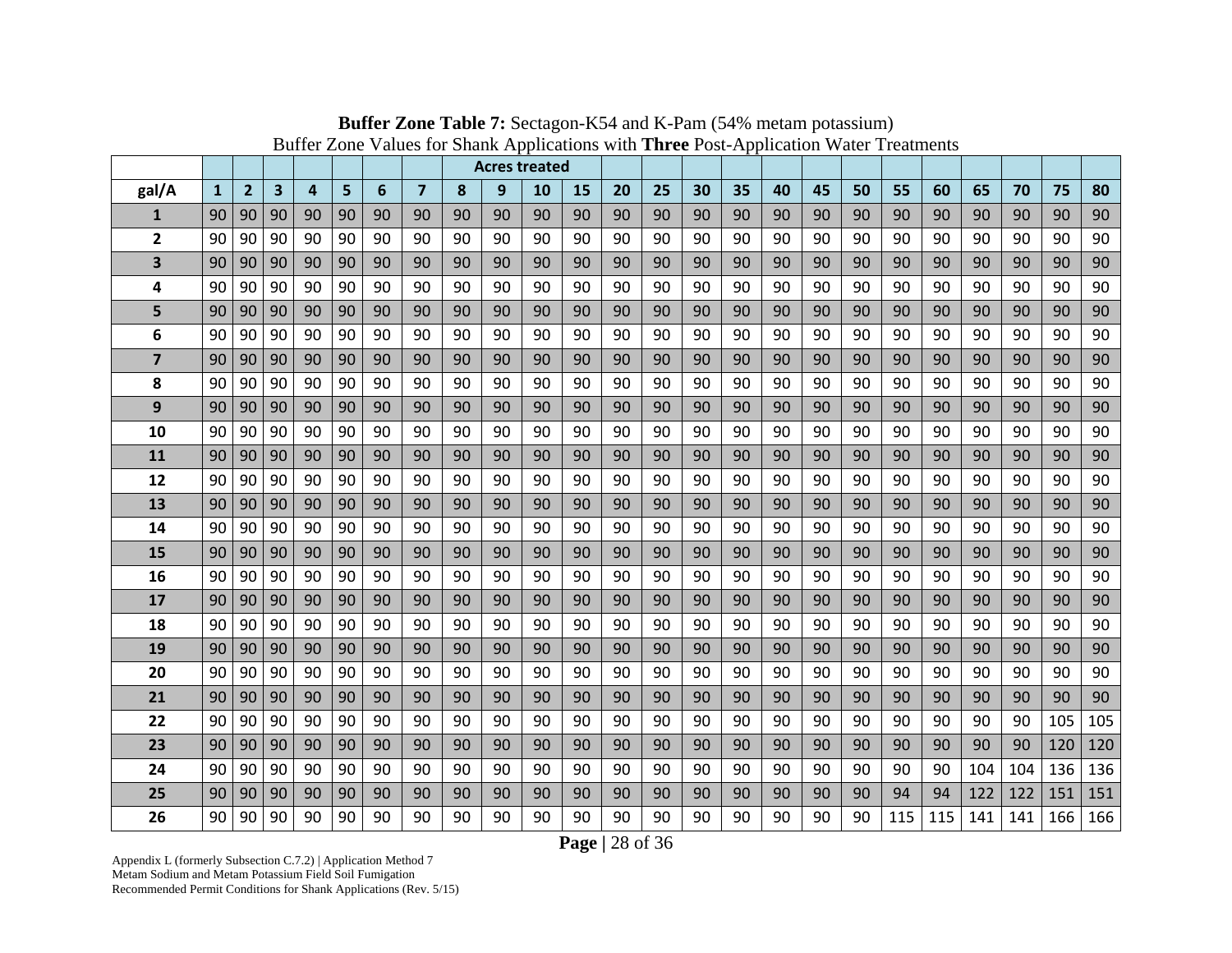|                |              |                |    |    |    |    |                |    | <b>Acres treated</b> |    |    |    |    |    |    |    |    |    |     |     |     |     |     |     |
|----------------|--------------|----------------|----|----|----|----|----------------|----|----------------------|----|----|----|----|----|----|----|----|----|-----|-----|-----|-----|-----|-----|
| gal/A          | $\mathbf{1}$ | $\overline{2}$ | 3  | 4  | 5  | 6  | $\overline{7}$ | 8  | 9                    | 10 | 15 | 20 | 25 | 30 | 35 | 40 | 45 | 50 | 55  | 60  | 65  | 70  | 75  | 80  |
| $\mathbf{1}$   | 90           | 90             | 90 | 90 | 90 | 90 | 90             | 90 | 90                   | 90 | 90 | 90 | 90 | 90 | 90 | 90 | 90 | 90 | 90  | 90  | 90  | 90  | 90  | 90  |
| 2              | 90           | 90             | 90 | 90 | 90 | 90 | 90             | 90 | 90                   | 90 | 90 | 90 | 90 | 90 | 90 | 90 | 90 | 90 | 90  | 90  | 90  | 90  | 90  | 90  |
| 3              | 90           | 90             | 90 | 90 | 90 | 90 | 90             | 90 | 90                   | 90 | 90 | 90 | 90 | 90 | 90 | 90 | 90 | 90 | 90  | 90  | 90  | 90  | 90  | 90  |
| 4              | 90           | 90             | 90 | 90 | 90 | 90 | 90             | 90 | 90                   | 90 | 90 | 90 | 90 | 90 | 90 | 90 | 90 | 90 | 90  | 90  | 90  | 90  | 90  | 90  |
| 5              | 90           | 90             | 90 | 90 | 90 | 90 | 90             | 90 | 90                   | 90 | 90 | 90 | 90 | 90 | 90 | 90 | 90 | 90 | 90  | 90  | 90  | 90  | 90  | 90  |
| 6              | 90           | 90             | 90 | 90 | 90 | 90 | 90             | 90 | 90                   | 90 | 90 | 90 | 90 | 90 | 90 | 90 | 90 | 90 | 90  | 90  | 90  | 90  | 90  | 90  |
| $\overline{7}$ | 90           | 90             | 90 | 90 | 90 | 90 | 90             | 90 | 90                   | 90 | 90 | 90 | 90 | 90 | 90 | 90 | 90 | 90 | 90  | 90  | 90  | 90  | 90  | 90  |
| 8              | 90           | 90             | 90 | 90 | 90 | 90 | 90             | 90 | 90                   | 90 | 90 | 90 | 90 | 90 | 90 | 90 | 90 | 90 | 90  | 90  | 90  | 90  | 90  | 90  |
| 9              | 90           | 90             | 90 | 90 | 90 | 90 | 90             | 90 | 90                   | 90 | 90 | 90 | 90 | 90 | 90 | 90 | 90 | 90 | 90  | 90  | 90  | 90  | 90  | 90  |
| 10             | 90           | 90             | 90 | 90 | 90 | 90 | 90             | 90 | 90                   | 90 | 90 | 90 | 90 | 90 | 90 | 90 | 90 | 90 | 90  | 90  | 90  | 90  | 90  | 90  |
| <b>11</b>      | 90           | 90             | 90 | 90 | 90 | 90 | 90             | 90 | 90                   | 90 | 90 | 90 | 90 | 90 | 90 | 90 | 90 | 90 | 90  | 90  | 90  | 90  | 90  | 90  |
| 12             | 90           | 90             | 90 | 90 | 90 | 90 | 90             | 90 | 90                   | 90 | 90 | 90 | 90 | 90 | 90 | 90 | 90 | 90 | 90  | 90  | 90  | 90  | 90  | 90  |
| 13             | 90           | 90             | 90 | 90 | 90 | 90 | 90             | 90 | 90                   | 90 | 90 | 90 | 90 | 90 | 90 | 90 | 90 | 90 | 90  | 90  | 90  | 90  | 90  | 90  |
| 14             | 90           | 90             | 90 | 90 | 90 | 90 | 90             | 90 | 90                   | 90 | 90 | 90 | 90 | 90 | 90 | 90 | 90 | 90 | 90  | 90  | 90  | 90  | 90  | 90  |
| 15             | 90           | 90             | 90 | 90 | 90 | 90 | 90             | 90 | 90                   | 90 | 90 | 90 | 90 | 90 | 90 | 90 | 90 | 90 | 90  | 90  | 90  | 90  | 90  | 90  |
| 16             | 90           | 90             | 90 | 90 | 90 | 90 | 90             | 90 | 90                   | 90 | 90 | 90 | 90 | 90 | 90 | 90 | 90 | 90 | 90  | 90  | 90  | 90  | 90  | 90  |
| 17             | 90           | 90             | 90 | 90 | 90 | 90 | 90             | 90 | 90                   | 90 | 90 | 90 | 90 | 90 | 90 | 90 | 90 | 90 | 90  | 90  | 90  | 90  | 90  | 90  |
| 18             | 90           | 90             | 90 | 90 | 90 | 90 | 90             | 90 | 90                   | 90 | 90 | 90 | 90 | 90 | 90 | 90 | 90 | 90 | 90  | 90  | 90  | 90  | 90  | 90  |
| 19             | 90           | 90             | 90 | 90 | 90 | 90 | 90             | 90 | 90                   | 90 | 90 | 90 | 90 | 90 | 90 | 90 | 90 | 90 | 90  | 90  | 90  | 90  | 90  | 90  |
| 20             | 90           | 90             | 90 | 90 | 90 | 90 | 90             | 90 | 90                   | 90 | 90 | 90 | 90 | 90 | 90 | 90 | 90 | 90 | 90  | 90  | 90  | 90  | 90  | 90  |
| 21             | 90           | 90             | 90 | 90 | 90 | 90 | 90             | 90 | 90                   | 90 | 90 | 90 | 90 | 90 | 90 | 90 | 90 | 90 | 90  | 90  | 90  | 90  | 90  | 90  |
| 22             | 90           | 90             | 90 | 90 | 90 | 90 | 90             | 90 | 90                   | 90 | 90 | 90 | 90 | 90 | 90 | 90 | 90 | 90 | 90  | 90  | 90  | 90  | 105 | 105 |
| 23             | 90           | 90             | 90 | 90 | 90 | 90 | 90             | 90 | 90                   | 90 | 90 | 90 | 90 | 90 | 90 | 90 | 90 | 90 | 90  | 90  | 90  | 90  | 120 | 120 |
| 24             | 90           | 90             | 90 | 90 | 90 | 90 | 90             | 90 | 90                   | 90 | 90 | 90 | 90 | 90 | 90 | 90 | 90 | 90 | 90  | 90  | 104 | 104 | 136 | 136 |
| 25             | 90           | 90             | 90 | 90 | 90 | 90 | 90             | 90 | 90                   | 90 | 90 | 90 | 90 | 90 | 90 | 90 | 90 | 90 | 94  | 94  | 122 | 122 | 151 | 151 |
| 26             | 90           | 90             | 90 | 90 | 90 | 90 | 90             | 90 | 90                   | 90 | 90 | 90 | 90 | 90 | 90 | 90 | 90 | 90 | 115 | 115 | 141 | 141 | 166 | 166 |

**Buffer Zone Table 7:** Sectagon-K54 and K-Pam (54% metam potassium) Buffer Zone Values for Shank Applications with **Three** Post-Application Water Treatments

**Page |** 28 of 36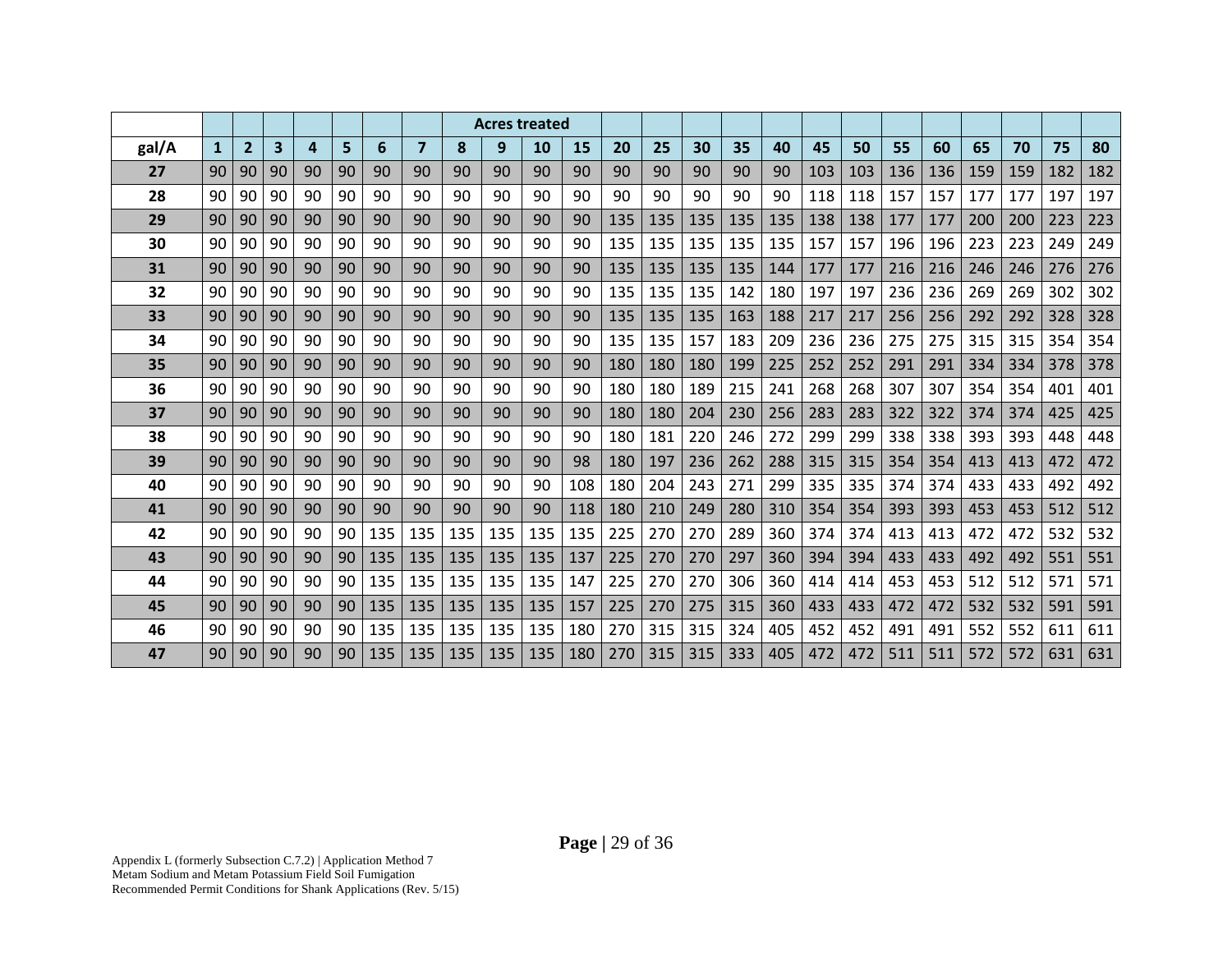|       |              |                |    |    |    |     |                |     | <b>Acres treated</b> |           |     |     |     |     |     |     |     |     |     |     |     |     |     |     |
|-------|--------------|----------------|----|----|----|-----|----------------|-----|----------------------|-----------|-----|-----|-----|-----|-----|-----|-----|-----|-----|-----|-----|-----|-----|-----|
| gal/A | $\mathbf{1}$ | $\overline{2}$ | 3  | 4  | 5  | 6   | $\overline{ }$ | 8   | 9                    | <b>10</b> | 15  | 20  | 25  | 30  | 35  | 40  | 45  | 50  | 55  | 60  | 65  | 70  | 75  | 80  |
| 27    | 90           | 90             | 90 | 90 | 90 | 90  | 90             | 90  | 90                   | 90        | 90  | 90  | 90  | 90  | 90  | 90  | 103 | 103 | 136 | 136 | 159 | 159 | 182 | 182 |
| 28    | 90           | 90             | 90 | 90 | 90 | 90  | 90             | 90  | 90                   | 90        | 90  | 90  | 90  | 90  | 90  | 90  | 118 | 118 | 157 | 157 | 177 | 177 | 197 | 197 |
| 29    | 90           | 90             | 90 | 90 | 90 | 90  | 90             | 90  | 90                   | 90        | 90  | 135 | 135 | 135 | 135 | 135 | 138 | 138 | 177 | 177 | 200 | 200 | 223 | 223 |
| 30    | 90           | 90             | 90 | 90 | 90 | 90  | 90             | 90  | 90                   | 90        | 90  | 135 | 135 | 135 | 135 | 135 | 157 | 157 | 196 | 196 | 223 | 223 | 249 | 249 |
| 31    | 90           | 90             | 90 | 90 | 90 | 90  | 90             | 90  | 90                   | 90        | 90  | 135 | 135 | 135 | 135 | 144 | 177 | 177 | 216 | 216 | 246 | 246 | 276 | 276 |
| 32    | 90           | 90             | 90 | 90 | 90 | 90  | 90             | 90  | 90                   | 90        | 90  | 135 | 135 | 135 | 142 | 180 | 197 | 197 | 236 | 236 | 269 | 269 | 302 | 302 |
| 33    | 90           | 90             | 90 | 90 | 90 | 90  | 90             | 90  | 90                   | 90        | 90  | 135 | 135 | 135 | 163 | 188 | 217 | 217 | 256 | 256 | 292 | 292 | 328 | 328 |
| 34    | 90           | 90             | 90 | 90 | 90 | 90  | 90             | 90  | 90                   | 90        | 90  | 135 | 135 | 157 | 183 | 209 | 236 | 236 | 275 | 275 | 315 | 315 | 354 | 354 |
| 35    | 90           | 90             | 90 | 90 | 90 | 90  | 90             | 90  | 90                   | 90        | 90  | 180 | 180 | 180 | 199 | 225 | 252 | 252 | 291 | 291 | 334 | 334 | 378 | 378 |
| 36    | 90           | 90             | 90 | 90 | 90 | 90  | 90             | 90  | 90                   | 90        | 90  | 180 | 180 | 189 | 215 | 241 | 268 | 268 | 307 | 307 | 354 | 354 | 401 | 401 |
| 37    | 90           | 90             | 90 | 90 | 90 | 90  | 90             | 90  | 90                   | 90        | 90  | 180 | 180 | 204 | 230 | 256 | 283 | 283 | 322 | 322 | 374 | 374 | 425 | 425 |
| 38    | 90           | 90             | 90 | 90 | 90 | 90  | 90             | 90  | 90                   | 90        | 90  | 180 | 181 | 220 | 246 | 272 | 299 | 299 | 338 | 338 | 393 | 393 | 448 | 448 |
| 39    | 90           | 90             | 90 | 90 | 90 | 90  | 90             | 90  | 90                   | 90        | 98  | 180 | 197 | 236 | 262 | 288 | 315 | 315 | 354 | 354 | 413 | 413 | 472 | 472 |
| 40    | 90           | 90             | 90 | 90 | 90 | 90  | 90             | 90  | 90                   | 90        | 108 | 180 | 204 | 243 | 271 | 299 | 335 | 335 | 374 | 374 | 433 | 433 | 492 | 492 |
| 41    | 90           | 90             | 90 | 90 | 90 | 90  | 90             | 90  | 90                   | 90        | 118 | 180 | 210 | 249 | 280 | 310 | 354 | 354 | 393 | 393 | 453 | 453 | 512 | 512 |
| 42    | 90           | 90             | 90 | 90 | 90 | 135 | 135            | 135 | 135                  | 135       | 135 | 225 | 270 | 270 | 289 | 360 | 374 | 374 | 413 | 413 | 472 | 472 | 532 | 532 |
| 43    | 90           | 90             | 90 | 90 | 90 | 135 | 135            | 135 | 135                  | 135       | 137 | 225 | 270 | 270 | 297 | 360 | 394 | 394 | 433 | 433 | 492 | 492 | 551 | 551 |
| 44    | 90           | 90             | 90 | 90 | 90 | 135 | 135            | 135 | 135                  | 135       | 147 | 225 | 270 | 270 | 306 | 360 | 414 | 414 | 453 | 453 | 512 | 512 | 571 | 571 |
| 45    | 90           | 90             | 90 | 90 | 90 | 135 | 135            | 135 | 135                  | 135       | 157 | 225 | 270 | 275 | 315 | 360 | 433 | 433 | 472 | 472 | 532 | 532 | 591 | 591 |
| 46    | 90           | 90             | 90 | 90 | 90 | 135 | 135            | 135 | 135                  | 135       | 180 | 270 | 315 | 315 | 324 | 405 | 452 | 452 | 491 | 491 | 552 | 552 | 611 | 611 |
| 47    | 90           | 90             | 90 | 90 | 90 | 135 | 135            | 135 | 135                  | 135       | 180 | 270 | 315 | 315 | 333 | 405 | 472 | 472 | 511 | 511 | 572 | 572 | 631 | 631 |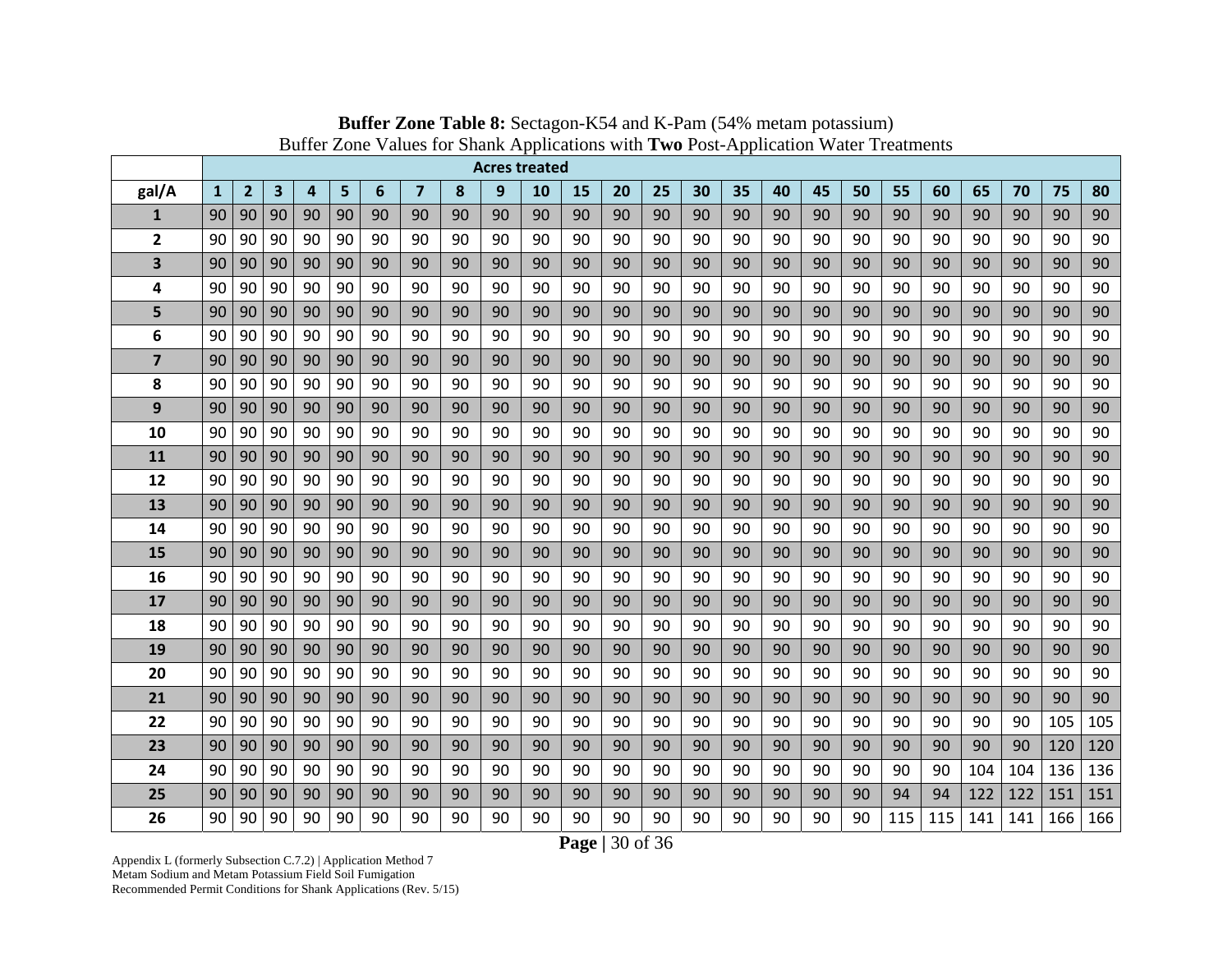|                         |              |                |                         |                         |    |    |                |    | <b>Acres treated</b> |    |    |    |    |    |    |    |    |    |     |     |     |     |     |     |
|-------------------------|--------------|----------------|-------------------------|-------------------------|----|----|----------------|----|----------------------|----|----|----|----|----|----|----|----|----|-----|-----|-----|-----|-----|-----|
| gal/A                   | $\mathbf{1}$ | $\overline{2}$ | $\overline{\mathbf{3}}$ | $\overline{\mathbf{4}}$ | 5  | 6  | $\overline{7}$ | 8  | 9                    | 10 | 15 | 20 | 25 | 30 | 35 | 40 | 45 | 50 | 55  | 60  | 65  | 70  | 75  | 80  |
| $\mathbf{1}$            | 90           | 90             | 90                      | 90                      | 90 | 90 | 90             | 90 | 90                   | 90 | 90 | 90 | 90 | 90 | 90 | 90 | 90 | 90 | 90  | 90  | 90  | 90  | 90  | 90  |
| $\overline{2}$          | 90           | 90             | 90                      | 90                      | 90 | 90 | 90             | 90 | 90                   | 90 | 90 | 90 | 90 | 90 | 90 | 90 | 90 | 90 | 90  | 90  | 90  | 90  | 90  | 90  |
| 3                       | 90           | 90             | 90                      | 90                      | 90 | 90 | 90             | 90 | 90                   | 90 | 90 | 90 | 90 | 90 | 90 | 90 | 90 | 90 | 90  | 90  | 90  | 90  | 90  | 90  |
| 4                       | 90           | 90             | 90                      | 90                      | 90 | 90 | 90             | 90 | 90                   | 90 | 90 | 90 | 90 | 90 | 90 | 90 | 90 | 90 | 90  | 90  | 90  | 90  | 90  | 90  |
| 5                       | 90           | 90             | 90                      | 90                      | 90 | 90 | 90             | 90 | 90                   | 90 | 90 | 90 | 90 | 90 | 90 | 90 | 90 | 90 | 90  | 90  | 90  | 90  | 90  | 90  |
| 6                       | 90           | 90             | 90                      | 90                      | 90 | 90 | 90             | 90 | 90                   | 90 | 90 | 90 | 90 | 90 | 90 | 90 | 90 | 90 | 90  | 90  | 90  | 90  | 90  | 90  |
| $\overline{\mathbf{z}}$ | 90           | 90             | 90                      | 90                      | 90 | 90 | 90             | 90 | 90                   | 90 | 90 | 90 | 90 | 90 | 90 | 90 | 90 | 90 | 90  | 90  | 90  | 90  | 90  | 90  |
| 8                       | 90           | 90             | 90                      | 90                      | 90 | 90 | 90             | 90 | 90                   | 90 | 90 | 90 | 90 | 90 | 90 | 90 | 90 | 90 | 90  | 90  | 90  | 90  | 90  | 90  |
| 9                       | 90           | 90             | 90                      | 90                      | 90 | 90 | 90             | 90 | 90                   | 90 | 90 | 90 | 90 | 90 | 90 | 90 | 90 | 90 | 90  | 90  | 90  | 90  | 90  | 90  |
| 10                      | 90           | 90             | 90                      | 90                      | 90 | 90 | 90             | 90 | 90                   | 90 | 90 | 90 | 90 | 90 | 90 | 90 | 90 | 90 | 90  | 90  | 90  | 90  | 90  | 90  |
| 11                      | 90           | 90             | 90                      | 90                      | 90 | 90 | 90             | 90 | 90                   | 90 | 90 | 90 | 90 | 90 | 90 | 90 | 90 | 90 | 90  | 90  | 90  | 90  | 90  | 90  |
| 12                      | 90           | 90             | 90                      | 90                      | 90 | 90 | 90             | 90 | 90                   | 90 | 90 | 90 | 90 | 90 | 90 | 90 | 90 | 90 | 90  | 90  | 90  | 90  | 90  | 90  |
| 13                      | 90           | 90             | 90                      | 90                      | 90 | 90 | 90             | 90 | 90                   | 90 | 90 | 90 | 90 | 90 | 90 | 90 | 90 | 90 | 90  | 90  | 90  | 90  | 90  | 90  |
| 14                      | 90           | 90             | 90                      | 90                      | 90 | 90 | 90             | 90 | 90                   | 90 | 90 | 90 | 90 | 90 | 90 | 90 | 90 | 90 | 90  | 90  | 90  | 90  | 90  | 90  |
| 15                      | 90           | 90             | 90                      | 90                      | 90 | 90 | 90             | 90 | 90                   | 90 | 90 | 90 | 90 | 90 | 90 | 90 | 90 | 90 | 90  | 90  | 90  | 90  | 90  | 90  |
| 16                      | 90           | 90             | 90                      | 90                      | 90 | 90 | 90             | 90 | 90                   | 90 | 90 | 90 | 90 | 90 | 90 | 90 | 90 | 90 | 90  | 90  | 90  | 90  | 90  | 90  |
| 17                      | 90           | 90             | 90                      | 90                      | 90 | 90 | 90             | 90 | 90                   | 90 | 90 | 90 | 90 | 90 | 90 | 90 | 90 | 90 | 90  | 90  | 90  | 90  | 90  | 90  |
| 18                      | 90           | 90             | 90                      | 90                      | 90 | 90 | 90             | 90 | 90                   | 90 | 90 | 90 | 90 | 90 | 90 | 90 | 90 | 90 | 90  | 90  | 90  | 90  | 90  | 90  |
| 19                      | 90           | 90             | 90                      | 90                      | 90 | 90 | 90             | 90 | 90                   | 90 | 90 | 90 | 90 | 90 | 90 | 90 | 90 | 90 | 90  | 90  | 90  | 90  | 90  | 90  |
| 20                      | 90           | 90             | 90                      | 90                      | 90 | 90 | 90             | 90 | 90                   | 90 | 90 | 90 | 90 | 90 | 90 | 90 | 90 | 90 | 90  | 90  | 90  | 90  | 90  | 90  |
| 21                      | 90           | 90             | 90                      | 90                      | 90 | 90 | 90             | 90 | 90                   | 90 | 90 | 90 | 90 | 90 | 90 | 90 | 90 | 90 | 90  | 90  | 90  | 90  | 90  | 90  |
| 22                      | 90           | 90             | 90                      | 90                      | 90 | 90 | 90             | 90 | 90                   | 90 | 90 | 90 | 90 | 90 | 90 | 90 | 90 | 90 | 90  | 90  | 90  | 90  | 105 | 105 |
| 23                      | 90           | 90             | 90                      | 90                      | 90 | 90 | 90             | 90 | 90                   | 90 | 90 | 90 | 90 | 90 | 90 | 90 | 90 | 90 | 90  | 90  | 90  | 90  | 120 | 120 |
| 24                      | 90           | 90             | 90                      | 90                      | 90 | 90 | 90             | 90 | 90                   | 90 | 90 | 90 | 90 | 90 | 90 | 90 | 90 | 90 | 90  | 90  | 104 | 104 | 136 | 136 |
| 25                      | 90           | 90             | 90                      | 90                      | 90 | 90 | 90             | 90 | 90                   | 90 | 90 | 90 | 90 | 90 | 90 | 90 | 90 | 90 | 94  | 94  | 122 | 122 | 151 | 151 |
| 26                      | 90           | 90             | 90                      | 90                      | 90 | 90 | 90             | 90 | 90                   | 90 | 90 | 90 | 90 | 90 | 90 | 90 | 90 | 90 | 115 | 115 | 141 | 141 | 166 | 166 |

**Buffer Zone Table 8:** Sectagon-K54 and K-Pam (54% metam potassium) Buffer Zone Values for Shank Applications with **Two** Post-Application Water Treatments

**Page |** 30 of 36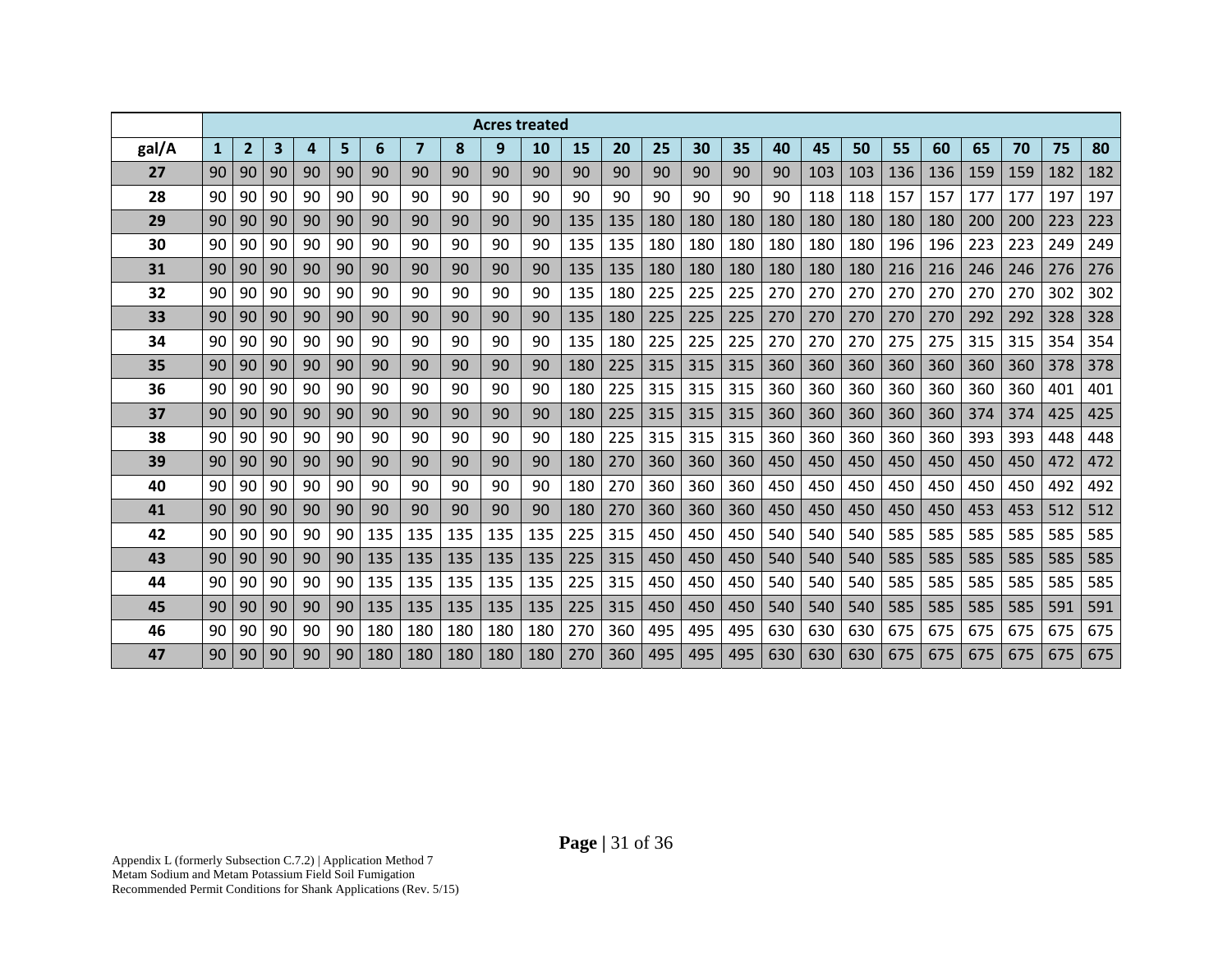|       |              |              |                         |    |    |     |                         |     | <b>Acres treated</b> |           |     |     |     |     |     |     |     |     |     |     |     |     |     |     |
|-------|--------------|--------------|-------------------------|----|----|-----|-------------------------|-----|----------------------|-----------|-----|-----|-----|-----|-----|-----|-----|-----|-----|-----|-----|-----|-----|-----|
| gal/A | $\mathbf{1}$ | $\mathbf{2}$ | $\overline{\mathbf{3}}$ | 4  | 5  | 6   | $\overline{\mathbf{z}}$ | 8   | 9                    | <b>10</b> | 15  | 20  | 25  | 30  | 35  | 40  | 45  | 50  | 55  | 60  | 65  | 70  | 75  | 80  |
| 27    | 90           | 90           | 90                      | 90 | 90 | 90  | 90                      | 90  | 90                   | 90        | 90  | 90  | 90  | 90  | 90  | 90  | 103 | 103 | 136 | 136 | 159 | 159 | 182 | 182 |
| 28    | 90           | 90           | 90                      | 90 | 90 | 90  | 90                      | 90  | 90                   | 90        | 90  | 90  | 90  | 90  | 90  | 90  | 118 | 118 | 157 | 157 | 177 | 177 | 197 | 197 |
| 29    | 90           | 90           | 90                      | 90 | 90 | 90  | 90                      | 90  | 90                   | 90        | 135 | 135 | 180 | 180 | 180 | 180 | 180 | 180 | 180 | 180 | 200 | 200 | 223 | 223 |
| 30    | 90           | 90           | 90                      | 90 | 90 | 90  | 90                      | 90  | 90                   | 90        | 135 | 135 | 180 | 180 | 180 | 180 | 180 | 180 | 196 | 196 | 223 | 223 | 249 | 249 |
| 31    | 90           | 90           | 90                      | 90 | 90 | 90  | 90                      | 90  | 90                   | 90        | 135 | 135 | 180 | 180 | 180 | 180 | 180 | 180 | 216 | 216 | 246 | 246 | 276 | 276 |
| 32    | 90           | 90           | 90                      | 90 | 90 | 90  | 90                      | 90  | 90                   | 90        | 135 | 180 | 225 | 225 | 225 | 270 | 270 | 270 | 270 | 270 | 270 | 270 | 302 | 302 |
| 33    | 90           | 90           | 90                      | 90 | 90 | 90  | 90                      | 90  | 90                   | 90        | 135 | 180 | 225 | 225 | 225 | 270 | 270 | 270 | 270 | 270 | 292 | 292 | 328 | 328 |
| 34    | 90           | 90           | 90                      | 90 | 90 | 90  | 90                      | 90  | 90                   | 90        | 135 | 180 | 225 | 225 | 225 | 270 | 270 | 270 | 275 | 275 | 315 | 315 | 354 | 354 |
| 35    | 90           | 90           | 90                      | 90 | 90 | 90  | 90                      | 90  | 90                   | 90        | 180 | 225 | 315 | 315 | 315 | 360 | 360 | 360 | 360 | 360 | 360 | 360 | 378 | 378 |
| 36    | 90           | 90           | 90                      | 90 | 90 | 90  | 90                      | 90  | 90                   | 90        | 180 | 225 | 315 | 315 | 315 | 360 | 360 | 360 | 360 | 360 | 360 | 360 | 401 | 401 |
| 37    | 90           | 90           | 90                      | 90 | 90 | 90  | 90                      | 90  | 90                   | 90        | 180 | 225 | 315 | 315 | 315 | 360 | 360 | 360 | 360 | 360 | 374 | 374 | 425 | 425 |
| 38    | 90           | 90           | 90                      | 90 | 90 | 90  | 90                      | 90  | 90                   | 90        | 180 | 225 | 315 | 315 | 315 | 360 | 360 | 360 | 360 | 360 | 393 | 393 | 448 | 448 |
| 39    | 90           | 90           | 90                      | 90 | 90 | 90  | 90                      | 90  | 90                   | 90        | 180 | 270 | 360 | 360 | 360 | 450 | 450 | 450 | 450 | 450 | 450 | 450 | 472 | 472 |
| 40    | 90           | 90           | 90                      | 90 | 90 | 90  | 90                      | 90  | 90                   | 90        | 180 | 270 | 360 | 360 | 360 | 450 | 450 | 450 | 450 | 450 | 450 | 450 | 492 | 492 |
| 41    | 90           | 90           | 90                      | 90 | 90 | 90  | 90                      | 90  | 90                   | 90        | 180 | 270 | 360 | 360 | 360 | 450 | 450 | 450 | 450 | 450 | 453 | 453 | 512 | 512 |
| 42    | 90           | 90           | 90                      | 90 | 90 | 135 | 135                     | 135 | 135                  | 135       | 225 | 315 | 450 | 450 | 450 | 540 | 540 | 540 | 585 | 585 | 585 | 585 | 585 | 585 |
| 43    | 90           | 90           | 90                      | 90 | 90 | 135 | 135                     | 135 | 135                  | 135       | 225 | 315 | 450 | 450 | 450 | 540 | 540 | 540 | 585 | 585 | 585 | 585 | 585 | 585 |
| 44    | 90           | 90           | 90                      | 90 | 90 | 135 | 135                     | 135 | 135                  | 135       | 225 | 315 | 450 | 450 | 450 | 540 | 540 | 540 | 585 | 585 | 585 | 585 | 585 | 585 |
| 45    | 90           | 90           | 90                      | 90 | 90 | 135 | 135                     | 135 | 135                  | 135       | 225 | 315 | 450 | 450 | 450 | 540 | 540 | 540 | 585 | 585 | 585 | 585 | 591 | 591 |
| 46    | 90           | 90           | 90                      | 90 | 90 | 180 | 180                     | 180 | 180                  | 180       | 270 | 360 | 495 | 495 | 495 | 630 | 630 | 630 | 675 | 675 | 675 | 675 | 675 | 675 |
| 47    | 90           | 90           | 90                      | 90 | 90 | 180 | 180                     | 180 | 180                  | 180       | 270 | 360 | 495 | 495 | 495 | 630 | 630 | 630 | 675 | 675 | 675 | 675 | 675 | 675 |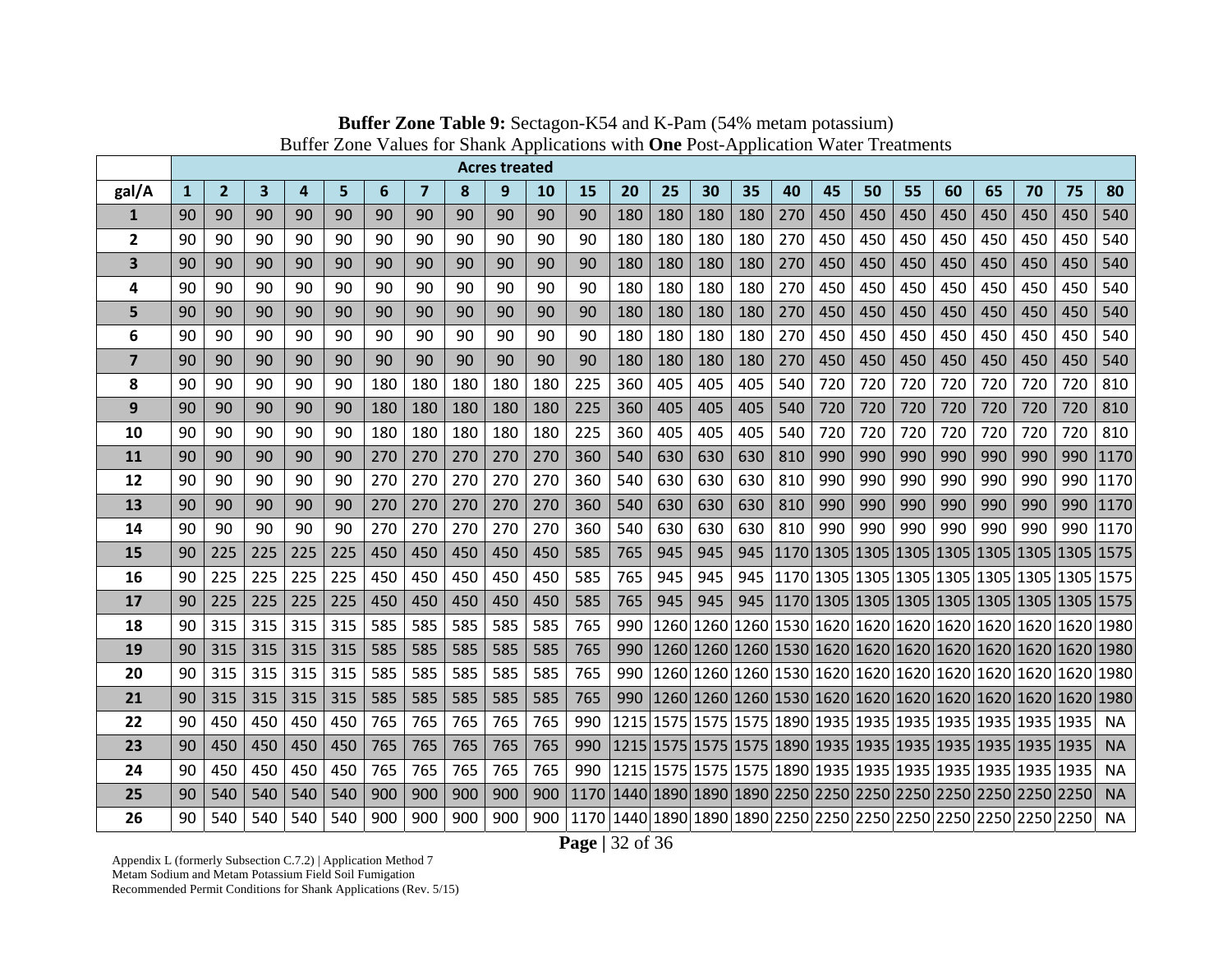|                         |                 |                |     |     |     |     |                         |     | <b>Acres treated</b> |           |                                                                             |     |     |     |     |                                                             |     |     |     |     |     |     |     |                                                             |
|-------------------------|-----------------|----------------|-----|-----|-----|-----|-------------------------|-----|----------------------|-----------|-----------------------------------------------------------------------------|-----|-----|-----|-----|-------------------------------------------------------------|-----|-----|-----|-----|-----|-----|-----|-------------------------------------------------------------|
| gal/A                   | $\mathbf{1}$    | $\overline{2}$ | 3   | 4   | 5   | 6   | $\overline{\mathbf{z}}$ | 8   | 9                    | <b>10</b> | 15                                                                          | 20  | 25  | 30  | 35  | 40                                                          | 45  | 50  | 55  | 60  | 65  | 70  | 75  | 80                                                          |
| $\mathbf{1}$            | 90              | 90             | 90  | 90  | 90  | 90  | 90                      | 90  | 90                   | 90        | 90                                                                          | 180 | 180 | 180 | 180 | 270                                                         | 450 | 450 | 450 | 450 | 450 | 450 | 450 | 540                                                         |
| $\overline{2}$          | 90              | 90             | 90  | 90  | 90  | 90  | 90                      | 90  | 90                   | 90        | 90                                                                          | 180 | 180 | 180 | 180 | 270                                                         | 450 | 450 | 450 | 450 | 450 | 450 | 450 | 540                                                         |
| $\overline{\mathbf{3}}$ | 90              | 90             | 90  | 90  | 90  | 90  | 90                      | 90  | 90                   | 90        | 90                                                                          | 180 | 180 | 180 | 180 | 270                                                         | 450 | 450 | 450 | 450 | 450 | 450 | 450 | 540                                                         |
| 4                       | 90              | 90             | 90  | 90  | 90  | 90  | 90                      | 90  | 90                   | 90        | 90                                                                          | 180 | 180 | 180 | 180 | 270                                                         | 450 | 450 | 450 | 450 | 450 | 450 | 450 | 540                                                         |
| 5                       | 90              | 90             | 90  | 90  | 90  | 90  | 90                      | 90  | 90                   | 90        | 90                                                                          | 180 | 180 | 180 | 180 | 270                                                         | 450 | 450 | 450 | 450 | 450 | 450 | 450 | 540                                                         |
| 6                       | 90              | 90             | 90  | 90  | 90  | 90  | 90                      | 90  | 90                   | 90        | 90                                                                          | 180 | 180 | 180 | 180 | 270                                                         | 450 | 450 | 450 | 450 | 450 | 450 | 450 | 540                                                         |
| $\overline{7}$          | 90              | 90             | 90  | 90  | 90  | 90  | 90                      | 90  | 90                   | 90        | 90                                                                          | 180 | 180 | 180 | 180 | 270                                                         | 450 | 450 | 450 | 450 | 450 | 450 | 450 | 540                                                         |
| 8                       | 90              | 90             | 90  | 90  | 90  | 180 | 180                     | 180 | 180                  | 180       | 225                                                                         | 360 | 405 | 405 | 405 | 540                                                         | 720 | 720 | 720 | 720 | 720 | 720 | 720 | 810                                                         |
| 9                       | 90              | 90             | 90  | 90  | 90  | 180 | 180                     | 180 | 180                  | 180       | 225                                                                         | 360 | 405 | 405 | 405 | 540                                                         | 720 | 720 | 720 | 720 | 720 | 720 | 720 | 810                                                         |
| 10                      | 90              | 90             | 90  | 90  | 90  | 180 | 180                     | 180 | 180                  | 180       | 225                                                                         | 360 | 405 | 405 | 405 | 540                                                         | 720 | 720 | 720 | 720 | 720 | 720 | 720 | 810                                                         |
| 11                      | 90              | 90             | 90  | 90  | 90  | 270 | 270                     | 270 | 270                  | 270       | 360                                                                         | 540 | 630 | 630 | 630 | 810                                                         | 990 | 990 | 990 | 990 | 990 | 990 | 990 | 1170                                                        |
| 12                      | 90              | 90             | 90  | 90  | 90  | 270 | 270                     | 270 | 270                  | 270       | 360                                                                         | 540 | 630 | 630 | 630 | 810                                                         | 990 | 990 | 990 | 990 | 990 | 990 | 990 | 1170                                                        |
| 13                      | 90              | 90             | 90  | 90  | 90  | 270 | 270                     | 270 | 270                  | 270       | 360                                                                         | 540 | 630 | 630 | 630 | 810                                                         | 990 | 990 | 990 | 990 | 990 | 990 | 990 | 1170                                                        |
| 14                      | 90              | 90             | 90  | 90  | 90  | 270 | 270                     | 270 | 270                  | 270       | 360                                                                         | 540 | 630 | 630 | 630 | 810                                                         | 990 | 990 | 990 | 990 | 990 | 990 | 990 | 1170                                                        |
| 15                      | 90              | 225            | 225 | 225 | 225 | 450 | 450                     | 450 | 450                  | 450       | 585                                                                         | 765 | 945 | 945 | 945 |                                                             |     |     |     |     |     |     |     | 1170 1305 1305 1305 1305 1305 1305 1305 1575                |
| 16                      | 90              | 225            | 225 | 225 | 225 | 450 | 450                     | 450 | 450                  | 450       | 585                                                                         | 765 | 945 | 945 | 945 |                                                             |     |     |     |     |     |     |     | 1170 1305 1305 1305 1305 1305 1305 1305 1575                |
| 17                      | 90              | 225            | 225 | 225 | 225 | 450 | 450                     | 450 | 450                  | 450       | 585                                                                         | 765 | 945 | 945 | 945 |                                                             |     |     |     |     |     |     |     |                                                             |
| 18                      | 90              | 315            | 315 | 315 | 315 | 585 | 585                     | 585 | 585                  | 585       | 765                                                                         | 990 |     |     |     |                                                             |     |     |     |     |     |     |     |                                                             |
| 19                      | 90              | 315            | 315 | 315 | 315 | 585 | 585                     | 585 | 585                  | 585       | 765                                                                         | 990 |     |     |     |                                                             |     |     |     |     |     |     |     | 1260 1260 1260 1530 1620 1620 1620 1620 1620 1620 1620 1980 |
| 20                      | 90              | 315            | 315 | 315 | 315 | 585 | 585                     | 585 | 585                  | 585       | 765                                                                         | 990 |     |     |     |                                                             |     |     |     |     |     |     |     |                                                             |
| 21                      | 90              | 315            | 315 | 315 | 315 | 585 | 585                     | 585 | 585                  | 585       | 765                                                                         | 990 |     |     |     | 1260 1260 1260 1530 1620 1620 1620 1620 1620 1620 1620 1980 |     |     |     |     |     |     |     |                                                             |
| 22                      | 90              | 450            | 450 | 450 | 450 | 765 | 765                     | 765 | 765                  | 765       | 990                                                                         |     |     |     |     |                                                             |     |     |     |     |     |     |     | <b>NA</b>                                                   |
| 23                      | 90              | 450            | 450 | 450 | 450 | 765 | 765                     | 765 | 765                  | 765       | 990                                                                         |     |     |     |     |                                                             |     |     |     |     |     |     |     | <b>NA</b>                                                   |
| 24                      | 90              | 450            | 450 | 450 | 450 | 765 | 765                     | 765 | 765                  | 765       | 990                                                                         |     |     |     |     | 1215 1575 1575 1575 1890 1935 1935 1935 1935 1935 1935 1935 |     |     |     |     |     |     |     | <b>NA</b>                                                   |
| 25                      | 90              | 540            | 540 | 540 | 540 | 900 | 900                     | 900 | 900                  | 900       |                                                                             |     |     |     |     |                                                             |     |     |     |     |     |     |     | <b>NA</b>                                                   |
| 26                      | 90 <sub>1</sub> | 540            | 540 | 540 | 540 | 900 | 900                     | 900 | 900                  |           | 900  1170  1440  1890  1890  1890  2250  2250  2250  2250  2250  2250  2250 |     |     |     |     |                                                             |     |     |     |     |     |     |     | <b>NA</b>                                                   |

**Buffer Zone Table 9:** Sectagon-K54 and K-Pam (54% metam potassium) Buffer Zone Values for Shank Applications with **One** Post-Application Water Treatments

**Page |** 32 of 36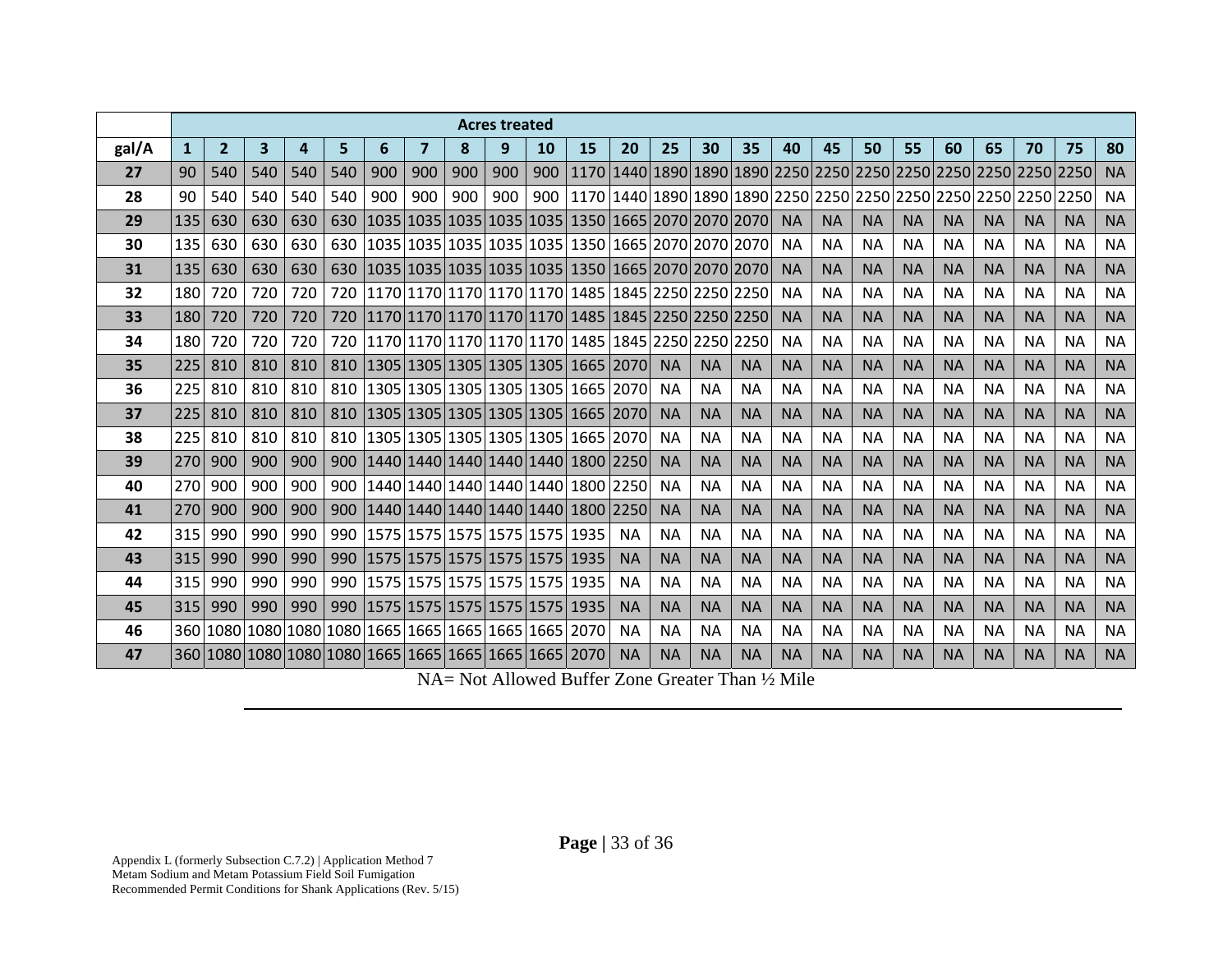|       |              |                |     |     |     |                                                       |     |                               | <b>Acres treated</b> |     |                                                   |           |           |           |           |           |           |           |           |           |           |           |           |           |
|-------|--------------|----------------|-----|-----|-----|-------------------------------------------------------|-----|-------------------------------|----------------------|-----|---------------------------------------------------|-----------|-----------|-----------|-----------|-----------|-----------|-----------|-----------|-----------|-----------|-----------|-----------|-----------|
| gal/A | $\mathbf{1}$ | $\overline{2}$ | 3   | 4   | 5   | 6                                                     | 7   | 8                             | 9                    | 10  | 15                                                | 20        | 25        | 30        | 35        | 40        | 45        | 50        | 55        | 60        | 65        | 70        | 75        | 80        |
| 27    | 90           | 540            | 540 | 540 | 540 | 900                                                   | 900 | 900                           | 900                  | 900 |                                                   |           |           |           |           |           |           |           |           |           |           |           |           | <b>NA</b> |
| 28    | 90           | 540            | 540 | 540 | 540 | 900                                                   | 900 | 900                           | 900                  |     |                                                   |           |           |           |           |           |           |           |           |           |           |           |           | <b>NA</b> |
| 29    | 135          | 630            | 630 | 630 | 630 |                                                       |     |                               |                      |     | 1035 1035 1035 1035 1035 1350 1665 2070 2070 2070 |           |           |           |           | <b>NA</b> | <b>NA</b> | <b>NA</b> | <b>NA</b> | <b>NA</b> | <b>NA</b> | <b>NA</b> | <b>NA</b> | <b>NA</b> |
| 30    | 135          | 630            | 630 | 630 | 630 |                                                       |     |                               |                      |     | 1035 1035 1035 1035 1035 1350 1665 2070 2070 2070 |           |           |           |           | <b>NA</b> | <b>NA</b> | <b>NA</b> | <b>NA</b> | <b>NA</b> | <b>NA</b> | <b>NA</b> | <b>NA</b> | <b>NA</b> |
| 31    | 135          | 630            | 630 | 630 | 630 |                                                       |     |                               |                      |     | 1035 1035 1035 1035 1035 1350 1665 2070 2070 2070 |           |           |           |           | <b>NA</b> | <b>NA</b> | <b>NA</b> | <b>NA</b> | <b>NA</b> | <b>NA</b> | <b>NA</b> | <b>NA</b> | <b>NA</b> |
| 32    | 180          | 720            | 720 | 720 | 720 |                                                       |     |                               |                      |     | 1170 1170 1170 1170 1170 1485 1845 2250 2250 2250 |           |           |           |           | <b>NA</b> | <b>NA</b> | <b>NA</b> | <b>NA</b> | <b>NA</b> | ΝA        | <b>NA</b> | <b>NA</b> | <b>NA</b> |
| 33    | 180          | 720            | 720 | 720 | 720 |                                                       |     |                               |                      |     | 1170 1170 1170 1170 1170 1485 1845 2250 2250 2250 |           |           |           |           | <b>NA</b> | <b>NA</b> | <b>NA</b> | <b>NA</b> | <b>NA</b> | <b>NA</b> | <b>NA</b> | <b>NA</b> | <b>NA</b> |
| 34    | 180          | 720            | 720 | 720 | 720 |                                                       |     |                               |                      |     | 1170 1170 1170 1170 1170 1285 1845 2250 2250 2250 |           |           |           |           | <b>NA</b> | <b>NA</b> | <b>NA</b> | <b>NA</b> | <b>NA</b> | <b>NA</b> | <b>NA</b> | <b>NA</b> | <b>NA</b> |
| 35    | 225          | 810            | 810 | 810 | 810 |                                                       |     |                               |                      |     | 1305 1305 1305 1305 1305 1665 2070                |           | <b>NA</b> | <b>NA</b> | <b>NA</b> | <b>NA</b> | <b>NA</b> | <b>NA</b> | <b>NA</b> | <b>NA</b> | <b>NA</b> | <b>NA</b> | <b>NA</b> | <b>NA</b> |
| 36    | 225          | 810            | 810 | 810 | 810 |                                                       |     |                               |                      |     | 1305 1305 1305 1305 1305 1665 2070                |           | <b>NA</b> | <b>NA</b> | <b>NA</b> | <b>NA</b> | <b>NA</b> | <b>NA</b> | <b>NA</b> | <b>NA</b> | <b>NA</b> | <b>NA</b> | <b>NA</b> | <b>NA</b> |
| 37    | 225          | 810            | 810 | 810 | 810 |                                                       |     |                               |                      |     | 1305 1305 1305 1305 1305 1665 2070                |           | <b>NA</b> | <b>NA</b> | <b>NA</b> | <b>NA</b> | <b>NA</b> | <b>NA</b> | <b>NA</b> | <b>NA</b> | <b>NA</b> | <b>NA</b> | <b>NA</b> | <b>NA</b> |
| 38    | 225          | 810            | 810 | 810 | 810 |                                                       |     |                               |                      |     | 1305 1305 1305 1305 1305 1665 2070                |           | <b>NA</b> | <b>NA</b> | <b>NA</b> | <b>NA</b> | <b>NA</b> | <b>NA</b> | <b>NA</b> | <b>NA</b> | <b>NA</b> | <b>NA</b> | <b>NA</b> | <b>NA</b> |
| 39    | 270          | 900            | 900 | 900 | 900 |                                                       |     |                               |                      |     | 1440 1440 1440 1440 1440 1800 2250                |           | <b>NA</b> | <b>NA</b> | <b>NA</b> | <b>NA</b> | <b>NA</b> | <b>NA</b> | <b>NA</b> | <b>NA</b> | <b>NA</b> | <b>NA</b> | <b>NA</b> | <b>NA</b> |
| 40    | 270          | 900            | 900 | 900 | 900 |                                                       |     |                               |                      |     | 1440 1440 1440 1440 1440 1600 2250                |           | <b>NA</b> | <b>NA</b> | <b>NA</b> | <b>NA</b> | <b>NA</b> | <b>NA</b> | <b>NA</b> | <b>NA</b> | <b>NA</b> | <b>NA</b> | <b>NA</b> | <b>NA</b> |
| 41    | 270          | 900            | 900 | 900 | 900 |                                                       |     |                               |                      |     | 1440 1440 1440 1440 1440 1800 2250                |           | <b>NA</b> | <b>NA</b> | <b>NA</b> | <b>NA</b> | <b>NA</b> | <b>NA</b> | <b>NA</b> | <b>NA</b> | <b>NA</b> | <b>NA</b> | <b>NA</b> | <b>NA</b> |
| 42    | 315          | 990            | 990 | 990 | 990 |                                                       |     | 1575 1575 1575 1575 1575 1935 |                      |     |                                                   | <b>NA</b> | <b>NA</b> | <b>NA</b> | <b>NA</b> | <b>NA</b> | <b>NA</b> | <b>NA</b> | <b>NA</b> | <b>NA</b> | <b>NA</b> | <b>NA</b> | <b>NA</b> | <b>NA</b> |
| 43    | 315          | 990            | 990 | 990 | 990 |                                                       |     |                               |                      |     | 1575 1575 1575 1575 1575 1935                     | <b>NA</b> | <b>NA</b> | <b>NA</b> | <b>NA</b> | <b>NA</b> | <b>NA</b> | <b>NA</b> | <b>NA</b> | <b>NA</b> | <b>NA</b> | <b>NA</b> | <b>NA</b> | <b>NA</b> |
| 44    | 315          | 990            | 990 | 990 |     | 990   1575   1575   1575   1575   1575   1935         |     |                               |                      |     |                                                   | <b>NA</b> | <b>NA</b> | <b>NA</b> | <b>NA</b> | <b>NA</b> | <b>NA</b> | <b>NA</b> | <b>NA</b> | <b>NA</b> | <b>NA</b> | <b>NA</b> | <b>NA</b> | <b>NA</b> |
| 45    | 315          | 990            | 990 | 990 | 990 |                                                       |     |                               |                      |     | 1575 1575 1575 1575 1575 1935                     | <b>NA</b> | <b>NA</b> | <b>NA</b> | <b>NA</b> | <b>NA</b> | <b>NA</b> | <b>NA</b> | <b>NA</b> | <b>NA</b> | <b>NA</b> | <b>NA</b> | <b>NA</b> | <b>NA</b> |
| 46    |              |                |     |     |     | 360 1080 1080 1080 1080 1665 1665 1665 1665 1665 2070 |     |                               |                      |     |                                                   | <b>NA</b> | <b>NA</b> | <b>NA</b> | <b>NA</b> | <b>NA</b> | <b>NA</b> | <b>NA</b> | <b>NA</b> | <b>NA</b> | <b>NA</b> | <b>NA</b> | <b>NA</b> | <b>NA</b> |
| 47    |              |                |     |     |     | 360 1080 1080 1080 1080 1665 1665 1665 1665 1665 2070 |     |                               |                      |     |                                                   | <b>NA</b> | <b>NA</b> | <b>NA</b> | <b>NA</b> | <b>NA</b> | <b>NA</b> | <b>NA</b> | <b>NA</b> | <b>NA</b> | <b>NA</b> | <b>NA</b> | <b>NA</b> | <b>NA</b> |

NA= Not Allowed Buffer Zone Greater Than ½ Mile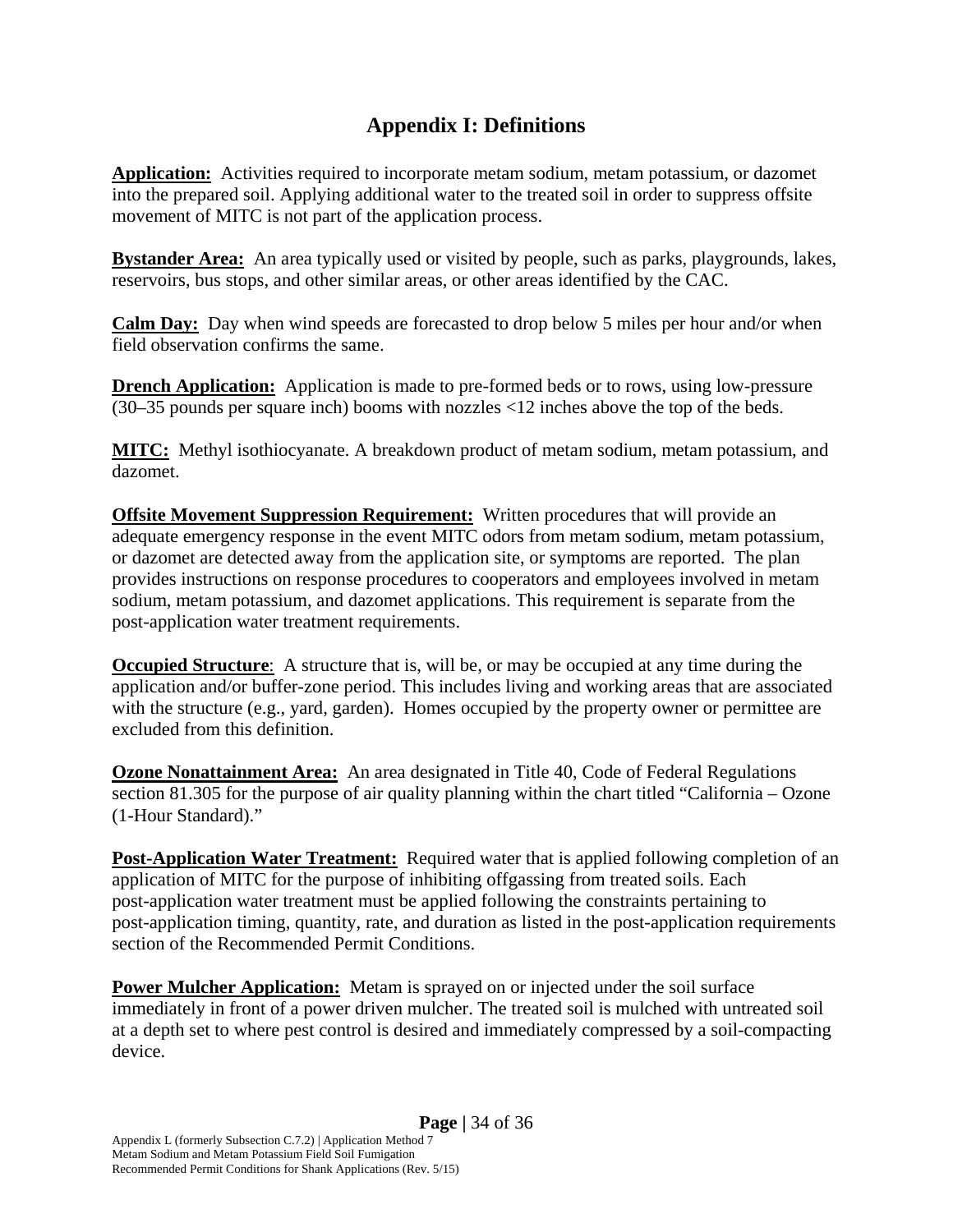#### **Appendix I: Definitions**

**Application:** Activities required to incorporate metam sodium, metam potassium, or dazomet into the prepared soil. Applying additional water to the treated soil in order to suppress offsite movement of MITC is not part of the application process.

**Bystander Area:** An area typically used or visited by people, such as parks, playgrounds, lakes, reservoirs, bus stops, and other similar areas, or other areas identified by the CAC.

**Calm Day:** Day when wind speeds are forecasted to drop below 5 miles per hour and/or when field observation confirms the same.

**Drench Application:** Application is made to pre-formed beds or to rows, using low-pressure (30–35 pounds per square inch) booms with nozzles <12 inches above the top of the beds.

**MITC:** Methyl isothiocyanate. A breakdown product of metam sodium, metam potassium, and dazomet.

**Offsite Movement Suppression Requirement:** Written procedures that will provide an adequate emergency response in the event MITC odors from metam sodium, metam potassium, or dazomet are detected away from the application site, or symptoms are reported. The plan provides instructions on response procedures to cooperators and employees involved in metam sodium, metam potassium, and dazomet applications. This requirement is separate from the post-application water treatment requirements.

**Occupied Structure**: A structure that is, will be, or may be occupied at any time during the application and/or buffer-zone period. This includes living and working areas that are associated with the structure (e.g., yard, garden). Homes occupied by the property owner or permittee are excluded from this definition.

**Ozone Nonattainment Area:** An area designated in Title 40, Code of Federal Regulations section 81.305 for the purpose of air quality planning within the chart titled "California – Ozone (1-Hour Standard)."

**Post-Application Water Treatment:** Required water that is applied following completion of an application of MITC for the purpose of inhibiting offgassing from treated soils. Each post-application water treatment must be applied following the constraints pertaining to post-application timing, quantity, rate, and duration as listed in the post-application requirements section of the Recommended Permit Conditions.

**Power Mulcher Application:** Metam is sprayed on or injected under the soil surface immediately in front of a power driven mulcher. The treated soil is mulched with untreated soil at a depth set to where pest control is desired and immediately compressed by a soil-compacting device.

Recommended Permit Conditions for Shank Applications (Rev. 5/15)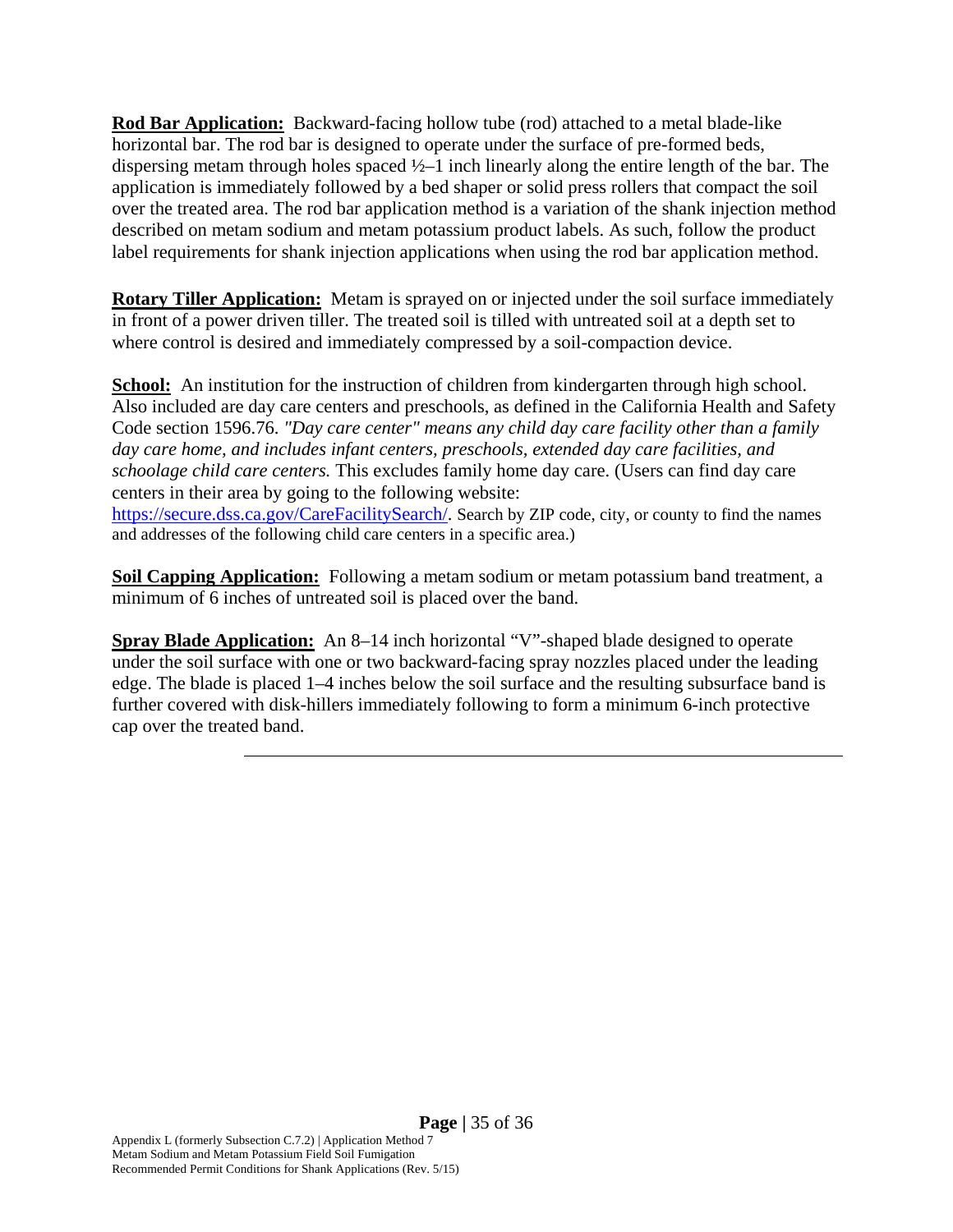**Rod Bar Application:** Backward-facing hollow tube (rod) attached to a metal blade-like horizontal bar. The rod bar is designed to operate under the surface of pre-formed beds, dispersing metam through holes spaced ½–1 inch linearly along the entire length of the bar. The application is immediately followed by a bed shaper or solid press rollers that compact the soil over the treated area. The rod bar application method is a variation of the shank injection method described on metam sodium and metam potassium product labels. As such, follow the product label requirements for shank injection applications when using the rod bar application method.

**Rotary Tiller Application:** Metam is sprayed on or injected under the soil surface immediately in front of a power driven tiller. The treated soil is tilled with untreated soil at a depth set to where control is desired and immediately compressed by a soil-compaction device.

**School:** An institution for the instruction of children from kindergarten through high school. Also included are day care centers and preschools, as defined in the California Health and Safety Code section 1596.76. *"Day care center" means any child day care facility other than a family day care home, and includes infant centers, preschools, extended day care facilities, and schoolage child care centers.* This excludes family home day care. (Users can find day care centers in their area by going to the following website: https://secure.dss.ca.gov/CareFacilitySearch/. Search by ZIP code, city, or county to find the names and addresses of the following child care centers in a specific area.)

**Soil Capping Application:** Following a metam sodium or metam potassium band treatment, a minimum of 6 inches of untreated soil is placed over the band.

**Spray Blade Application:** An 8–14 inch horizontal "V"-shaped blade designed to operate under the soil surface with one or two backward-facing spray nozzles placed under the leading edge. The blade is placed 1–4 inches below the soil surface and the resulting subsurface band is further covered with disk-hillers immediately following to form a minimum 6-inch protective cap over the treated band.